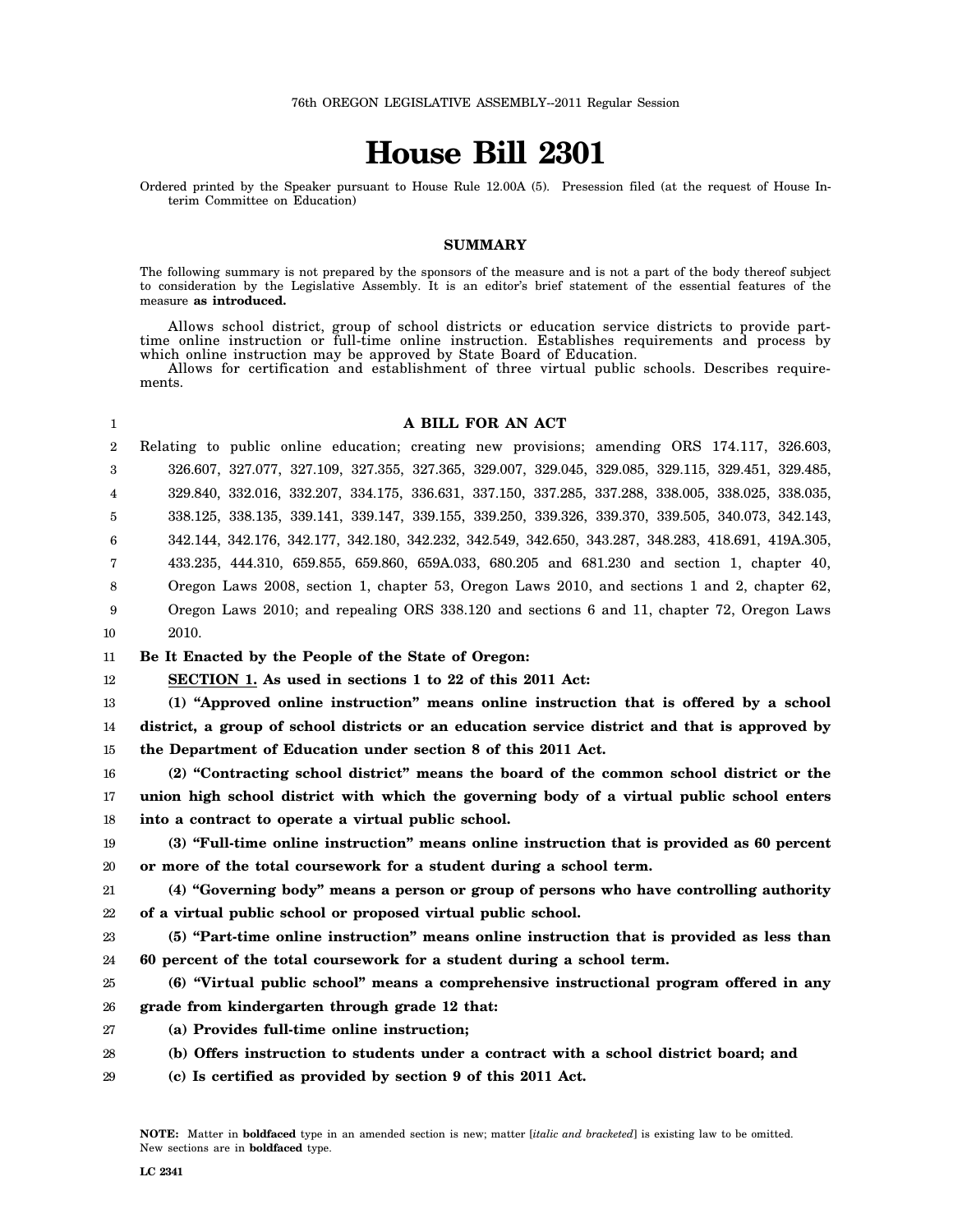# **House Bill 2301**

Ordered printed by the Speaker pursuant to House Rule 12.00A (5). Presession filed (at the request of House Interim Committee on Education)

#### **SUMMARY**

The following summary is not prepared by the sponsors of the measure and is not a part of the body thereof subject to consideration by the Legislative Assembly. It is an editor's brief statement of the essential features of the measure **as introduced.**

Allows school district, group of school districts or education service districts to provide parttime online instruction or full-time online instruction. Establishes requirements and process by which online instruction may be approved by State Board of Education.

Allows for certification and establishment of three virtual public schools. Describes requirements.

#### **A BILL FOR AN ACT**

2 3 4 5 6 7 8 9 10 Relating to public online education; creating new provisions; amending ORS 174.117, 326.603, 326.607, 327.077, 327.109, 327.355, 327.365, 329.007, 329.045, 329.085, 329.115, 329.451, 329.485, 329.840, 332.016, 332.207, 334.175, 336.631, 337.150, 337.285, 337.288, 338.005, 338.025, 338.035, 338.125, 338.135, 339.141, 339.147, 339.155, 339.250, 339.326, 339.370, 339.505, 340.073, 342.143, 342.144, 342.176, 342.177, 342.180, 342.232, 342.549, 342.650, 343.287, 348.283, 418.691, 419A.305, 433.235, 444.310, 659.855, 659.860, 659A.033, 680.205 and 681.230 and section 1, chapter 40, Oregon Laws 2008, section 1, chapter 53, Oregon Laws 2010, and sections 1 and 2, chapter 62, Oregon Laws 2010; and repealing ORS 338.120 and sections 6 and 11, chapter 72, Oregon Laws 2010.

11 **Be It Enacted by the People of the State of Oregon:**

12 **SECTION 1. As used in sections 1 to 22 of this 2011 Act:**

13 14 15 **(1) "Approved online instruction" means online instruction that is offered by a school district, a group of school districts or an education service district and that is approved by the Department of Education under section 8 of this 2011 Act.**

16 17 18 **(2) "Contracting school district" means the board of the common school district or the union high school district with which the governing body of a virtual public school enters into a contract to operate a virtual public school.**

19 20 **(3) "Full-time online instruction" means online instruction that is provided as 60 percent or more of the total coursework for a student during a school term.**

21 22 **(4) "Governing body" means a person or group of persons who have controlling authority of a virtual public school or proposed virtual public school.**

23 24 **(5) "Part-time online instruction" means online instruction that is provided as less than 60 percent of the total coursework for a student during a school term.**

25 26 **(6) "Virtual public school" means a comprehensive instructional program offered in any grade from kindergarten through grade 12 that:**

27 **(a) Provides full-time online instruction;**

28 **(b) Offers instruction to students under a contract with a school district board; and**

29 **(c) Is certified as provided by section 9 of this 2011 Act.**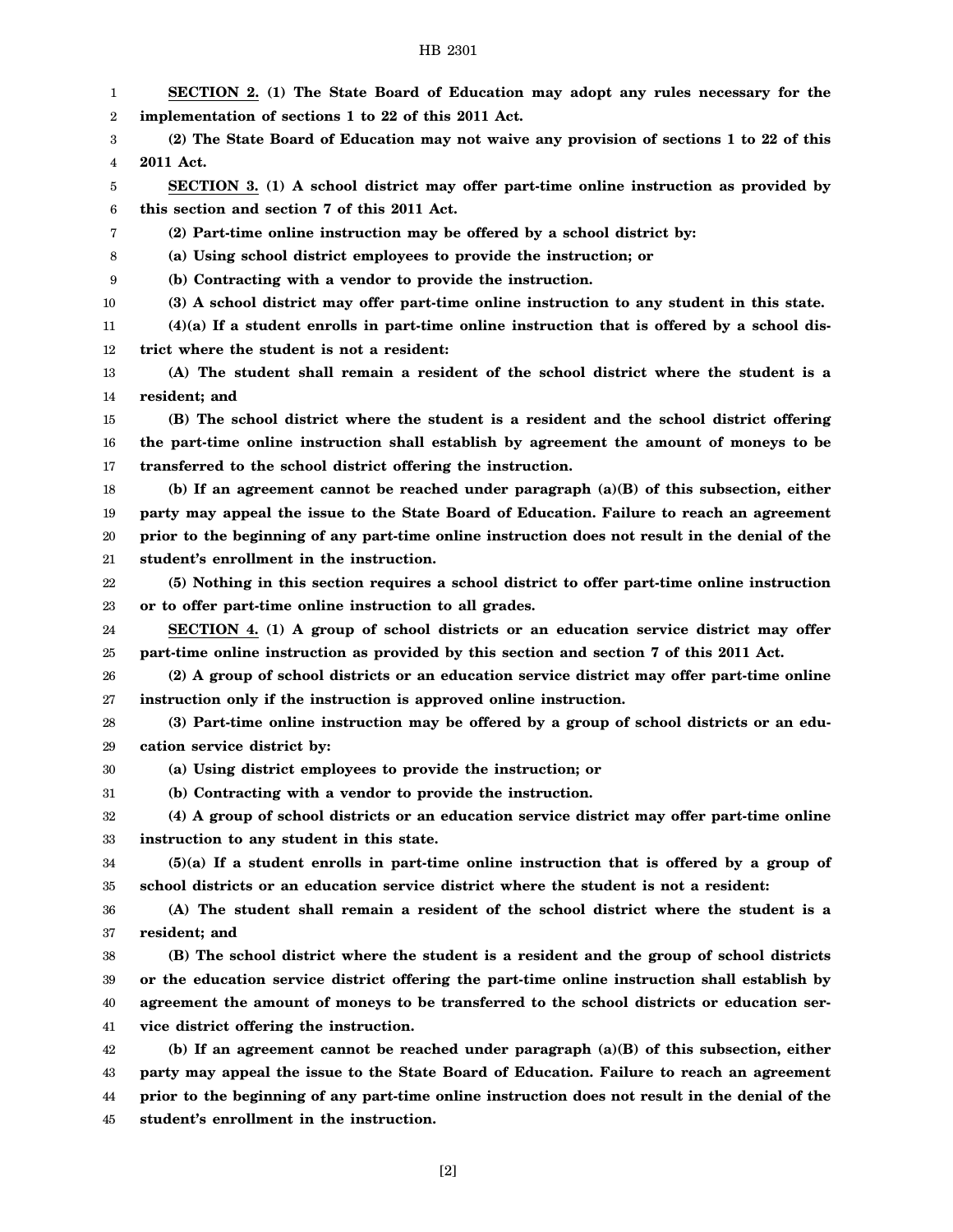| 1  | SECTION 2. (1) The State Board of Education may adopt any rules necessary for the               |
|----|-------------------------------------------------------------------------------------------------|
| 2  | implementation of sections 1 to 22 of this 2011 Act.                                            |
| 3  | (2) The State Board of Education may not waive any provision of sections 1 to 22 of this        |
| 4  | 2011 Act.                                                                                       |
| 5  | SECTION 3. (1) A school district may offer part-time online instruction as provided by          |
| 6  | this section and section 7 of this 2011 Act.                                                    |
| 7  | (2) Part-time online instruction may be offered by a school district by:                        |
| 8  | (a) Using school district employees to provide the instruction; or                              |
| 9  | (b) Contracting with a vendor to provide the instruction.                                       |
| 10 | (3) A school district may offer part-time online instruction to any student in this state.      |
| 11 | $(4)(a)$ If a student enrolls in part-time online instruction that is offered by a school dis-  |
| 12 | trict where the student is not a resident:                                                      |
| 13 | (A) The student shall remain a resident of the school district where the student is a           |
| 14 | resident; and                                                                                   |
| 15 | (B) The school district where the student is a resident and the school district offering        |
| 16 | the part-time online instruction shall establish by agreement the amount of moneys to be        |
| 17 | transferred to the school district offering the instruction.                                    |
| 18 | (b) If an agreement cannot be reached under paragraph $(a)(B)$ of this subsection, either       |
| 19 | party may appeal the issue to the State Board of Education. Failure to reach an agreement       |
| 20 | prior to the beginning of any part-time online instruction does not result in the denial of the |
| 21 | student's enrollment in the instruction.                                                        |
| 22 | (5) Nothing in this section requires a school district to offer part-time online instruction    |
| 23 | or to offer part-time online instruction to all grades.                                         |
| 24 | SECTION 4. (1) A group of school districts or an education service district may offer           |
| 25 | part-time online instruction as provided by this section and section 7 of this 2011 Act.        |
| 26 | (2) A group of school districts or an education service district may offer part-time online     |
| 27 | instruction only if the instruction is approved online instruction.                             |
| 28 | (3) Part-time online instruction may be offered by a group of school districts or an edu-       |
| 29 | cation service district by:                                                                     |
| 30 | (a) Using district employees to provide the instruction; or                                     |
| 31 | (b) Contracting with a vendor to provide the instruction.                                       |
| 32 | (4) A group of school districts or an education service district may offer part-time online     |
| 33 | instruction to any student in this state.                                                       |
| 34 | $(5)(a)$ If a student enrolls in part-time online instruction that is offered by a group of     |
| 35 | school districts or an education service district where the student is not a resident:          |
| 36 | (A) The student shall remain a resident of the school district where the student is a           |
| 37 | resident; and                                                                                   |
| 38 | (B) The school district where the student is a resident and the group of school districts       |
| 39 | or the education service district offering the part-time online instruction shall establish by  |
| 40 | agreement the amount of moneys to be transferred to the school districts or education ser-      |
| 41 | vice district offering the instruction.                                                         |
| 42 | (b) If an agreement cannot be reached under paragraph $(a)(B)$ of this subsection, either       |
| 43 | party may appeal the issue to the State Board of Education. Failure to reach an agreement       |
| 44 | prior to the beginning of any part-time online instruction does not result in the denial of the |

45 **student's enrollment in the instruction.**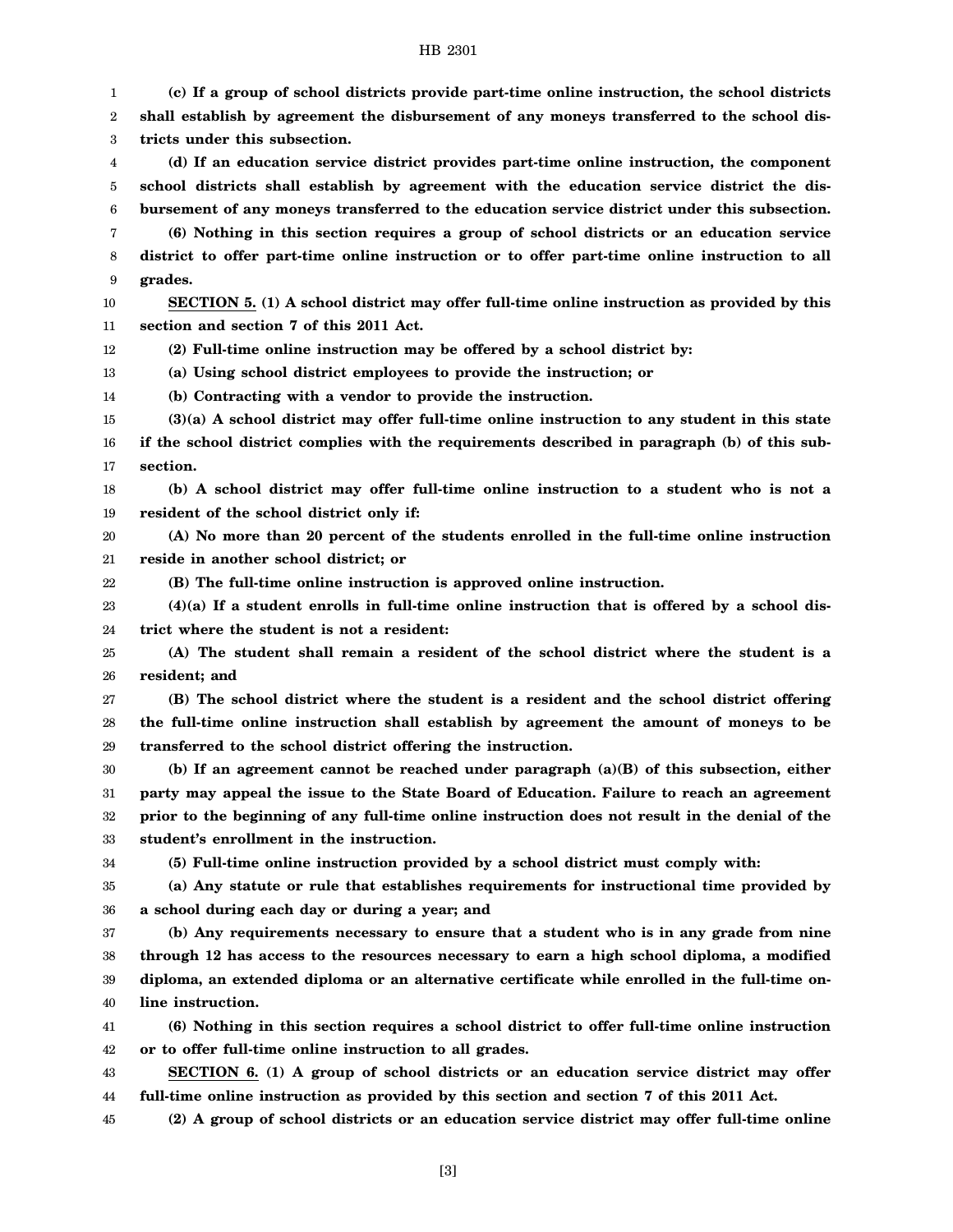1 2 3 4 5 6 7 8 9 10 11 12 13 14 15 16 17 18 19 20 21 22 23 24 25 26 27 28 29 30 31 32 33 34 35 36 37 38 39 40 41 42 43 44 45 **(c) If a group of school districts provide part-time online instruction, the school districts shall establish by agreement the disbursement of any moneys transferred to the school districts under this subsection. (d) If an education service district provides part-time online instruction, the component school districts shall establish by agreement with the education service district the disbursement of any moneys transferred to the education service district under this subsection. (6) Nothing in this section requires a group of school districts or an education service district to offer part-time online instruction or to offer part-time online instruction to all grades. SECTION 5. (1) A school district may offer full-time online instruction as provided by this section and section 7 of this 2011 Act. (2) Full-time online instruction may be offered by a school district by: (a) Using school district employees to provide the instruction; or (b) Contracting with a vendor to provide the instruction. (3)(a) A school district may offer full-time online instruction to any student in this state if the school district complies with the requirements described in paragraph (b) of this subsection. (b) A school district may offer full-time online instruction to a student who is not a resident of the school district only if: (A) No more than 20 percent of the students enrolled in the full-time online instruction reside in another school district; or (B) The full-time online instruction is approved online instruction. (4)(a) If a student enrolls in full-time online instruction that is offered by a school district where the student is not a resident: (A) The student shall remain a resident of the school district where the student is a resident; and (B) The school district where the student is a resident and the school district offering the full-time online instruction shall establish by agreement the amount of moneys to be transferred to the school district offering the instruction. (b) If an agreement cannot be reached under paragraph (a)(B) of this subsection, either party may appeal the issue to the State Board of Education. Failure to reach an agreement prior to the beginning of any full-time online instruction does not result in the denial of the student's enrollment in the instruction. (5) Full-time online instruction provided by a school district must comply with: (a) Any statute or rule that establishes requirements for instructional time provided by a school during each day or during a year; and (b) Any requirements necessary to ensure that a student who is in any grade from nine through 12 has access to the resources necessary to earn a high school diploma, a modified diploma, an extended diploma or an alternative certificate while enrolled in the full-time online instruction. (6) Nothing in this section requires a school district to offer full-time online instruction or to offer full-time online instruction to all grades. SECTION 6. (1) A group of school districts or an education service district may offer full-time online instruction as provided by this section and section 7 of this 2011 Act. (2) A group of school districts or an education service district may offer full-time online**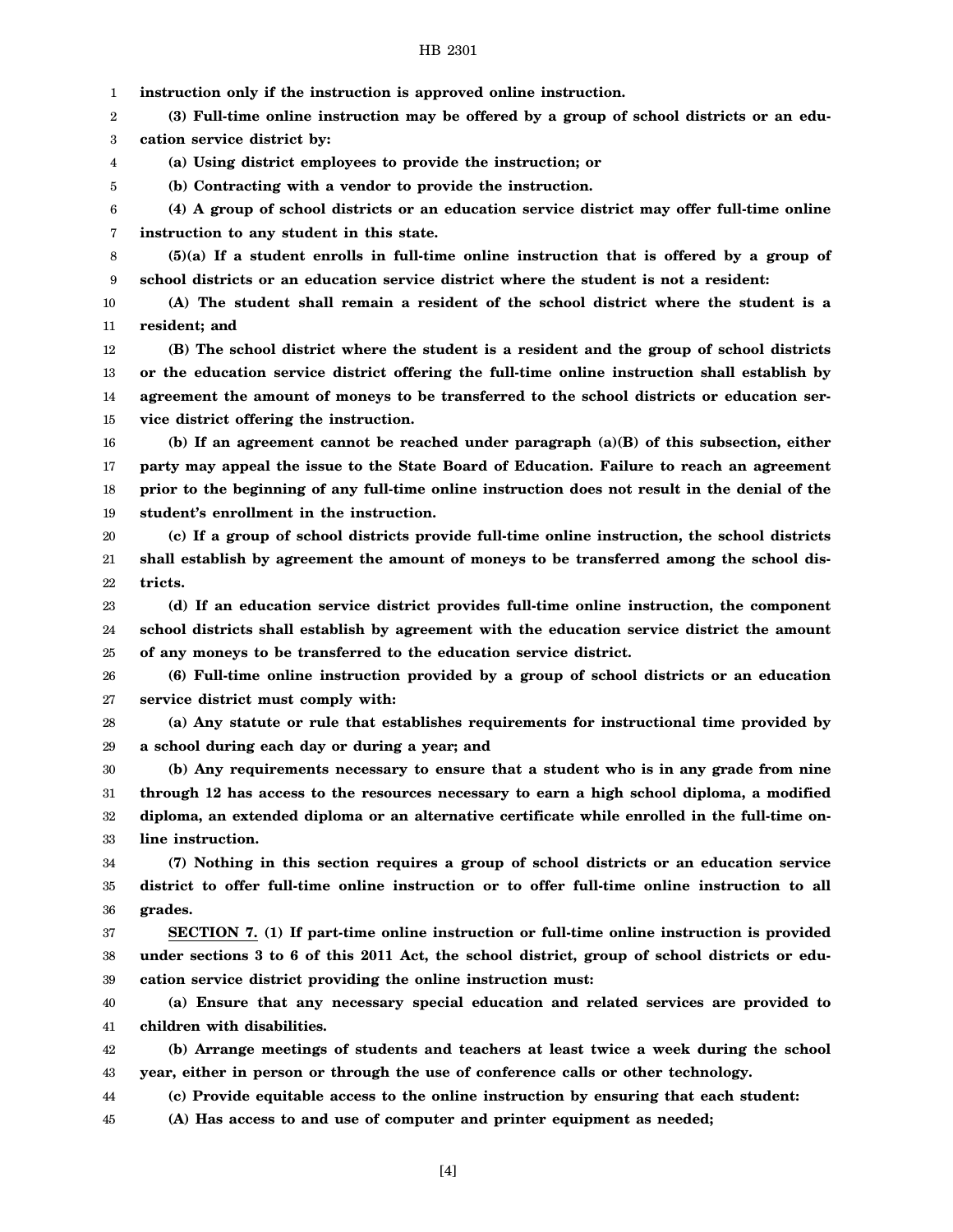1 **instruction only if the instruction is approved online instruction.**

2 3 **(3) Full-time online instruction may be offered by a group of school districts or an education service district by:**

4 **(a) Using district employees to provide the instruction; or**

**(b) Contracting with a vendor to provide the instruction.**

5

6 7 **(4) A group of school districts or an education service district may offer full-time online instruction to any student in this state.**

8 9 **(5)(a) If a student enrolls in full-time online instruction that is offered by a group of school districts or an education service district where the student is not a resident:**

10 11 **(A) The student shall remain a resident of the school district where the student is a resident; and**

12 13 14 15 **(B) The school district where the student is a resident and the group of school districts or the education service district offering the full-time online instruction shall establish by agreement the amount of moneys to be transferred to the school districts or education service district offering the instruction.**

16 17 18 19 **(b) If an agreement cannot be reached under paragraph (a)(B) of this subsection, either party may appeal the issue to the State Board of Education. Failure to reach an agreement prior to the beginning of any full-time online instruction does not result in the denial of the student's enrollment in the instruction.**

20 21 22 **(c) If a group of school districts provide full-time online instruction, the school districts shall establish by agreement the amount of moneys to be transferred among the school districts.**

23 24 25 **(d) If an education service district provides full-time online instruction, the component school districts shall establish by agreement with the education service district the amount of any moneys to be transferred to the education service district.**

26 27 **(6) Full-time online instruction provided by a group of school districts or an education service district must comply with:**

28 29 **(a) Any statute or rule that establishes requirements for instructional time provided by a school during each day or during a year; and**

30 31 32 33 **(b) Any requirements necessary to ensure that a student who is in any grade from nine through 12 has access to the resources necessary to earn a high school diploma, a modified diploma, an extended diploma or an alternative certificate while enrolled in the full-time online instruction.**

34 35 36 **(7) Nothing in this section requires a group of school districts or an education service district to offer full-time online instruction or to offer full-time online instruction to all grades.**

37 38 39 **SECTION 7. (1) If part-time online instruction or full-time online instruction is provided under sections 3 to 6 of this 2011 Act, the school district, group of school districts or education service district providing the online instruction must:**

40 41 **(a) Ensure that any necessary special education and related services are provided to children with disabilities.**

42 43 **(b) Arrange meetings of students and teachers at least twice a week during the school year, either in person or through the use of conference calls or other technology.**

44 **(c) Provide equitable access to the online instruction by ensuring that each student:**

45 **(A) Has access to and use of computer and printer equipment as needed;**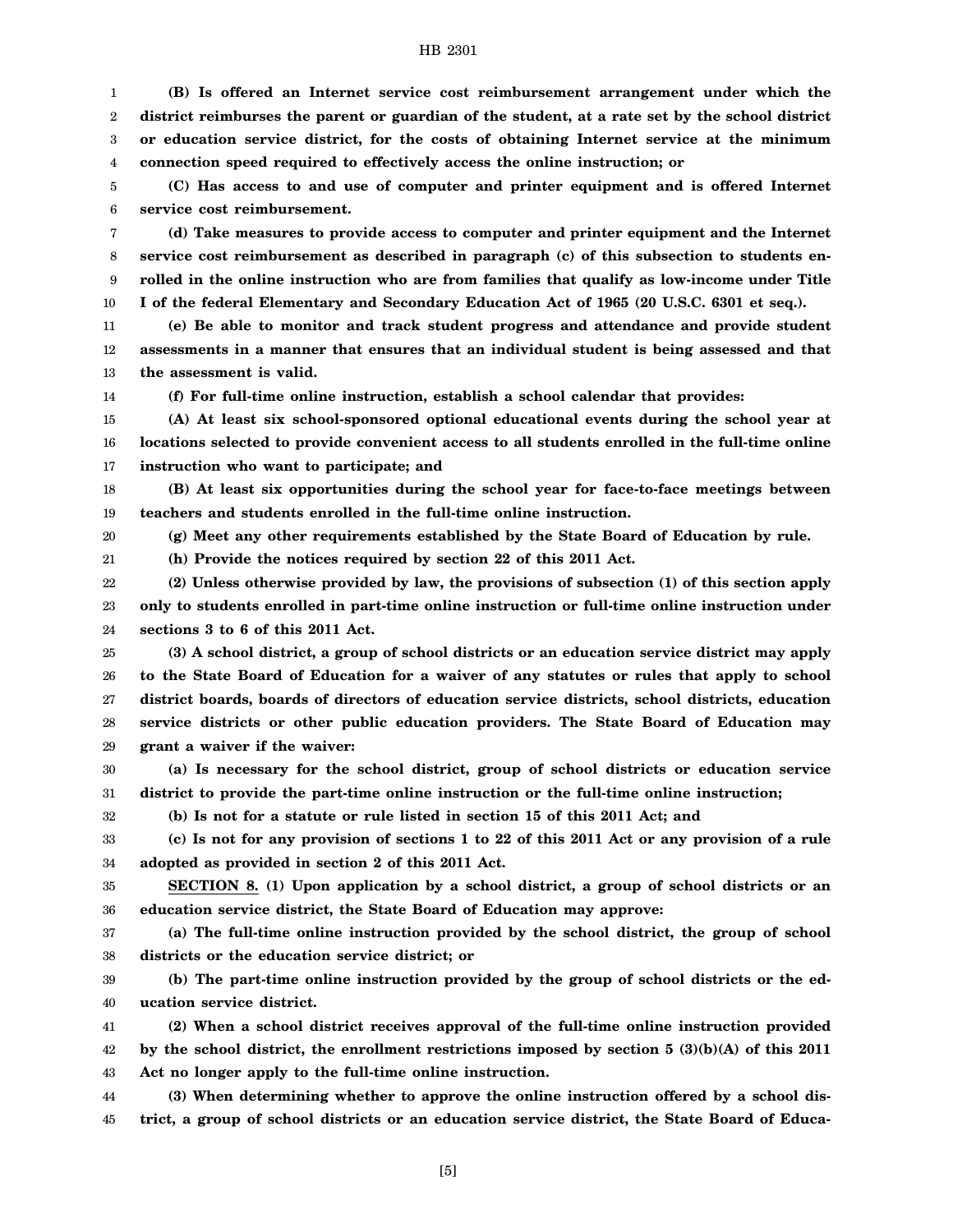1 2 3 4 **(B) Is offered an Internet service cost reimbursement arrangement under which the district reimburses the parent or guardian of the student, at a rate set by the school district or education service district, for the costs of obtaining Internet service at the minimum connection speed required to effectively access the online instruction; or**

5 6 **(C) Has access to and use of computer and printer equipment and is offered Internet service cost reimbursement.**

7 8 9 10 **(d) Take measures to provide access to computer and printer equipment and the Internet service cost reimbursement as described in paragraph (c) of this subsection to students enrolled in the online instruction who are from families that qualify as low-income under Title I of the federal Elementary and Secondary Education Act of 1965 (20 U.S.C. 6301 et seq.).**

11 12 13 **(e) Be able to monitor and track student progress and attendance and provide student assessments in a manner that ensures that an individual student is being assessed and that the assessment is valid.**

14

**(f) For full-time online instruction, establish a school calendar that provides:**

15 16 17 **(A) At least six school-sponsored optional educational events during the school year at locations selected to provide convenient access to all students enrolled in the full-time online instruction who want to participate; and**

18 19 **(B) At least six opportunities during the school year for face-to-face meetings between teachers and students enrolled in the full-time online instruction.**

20 **(g) Meet any other requirements established by the State Board of Education by rule.**

21 **(h) Provide the notices required by section 22 of this 2011 Act.**

22 23 24 **(2) Unless otherwise provided by law, the provisions of subsection (1) of this section apply only to students enrolled in part-time online instruction or full-time online instruction under sections 3 to 6 of this 2011 Act.**

25 26 27 28 29 **(3) A school district, a group of school districts or an education service district may apply to the State Board of Education for a waiver of any statutes or rules that apply to school district boards, boards of directors of education service districts, school districts, education service districts or other public education providers. The State Board of Education may grant a waiver if the waiver:**

30 31 **(a) Is necessary for the school district, group of school districts or education service district to provide the part-time online instruction or the full-time online instruction;**

32

**(b) Is not for a statute or rule listed in section 15 of this 2011 Act; and**

33 34 **(c) Is not for any provision of sections 1 to 22 of this 2011 Act or any provision of a rule adopted as provided in section 2 of this 2011 Act.**

35 36 **SECTION 8. (1) Upon application by a school district, a group of school districts or an education service district, the State Board of Education may approve:**

37 38 **(a) The full-time online instruction provided by the school district, the group of school districts or the education service district; or**

39 40 **(b) The part-time online instruction provided by the group of school districts or the education service district.**

41 42 43 **(2) When a school district receives approval of the full-time online instruction provided by the school district, the enrollment restrictions imposed by section 5 (3)(b)(A) of this 2011 Act no longer apply to the full-time online instruction.**

44 45 **(3) When determining whether to approve the online instruction offered by a school district, a group of school districts or an education service district, the State Board of Educa-**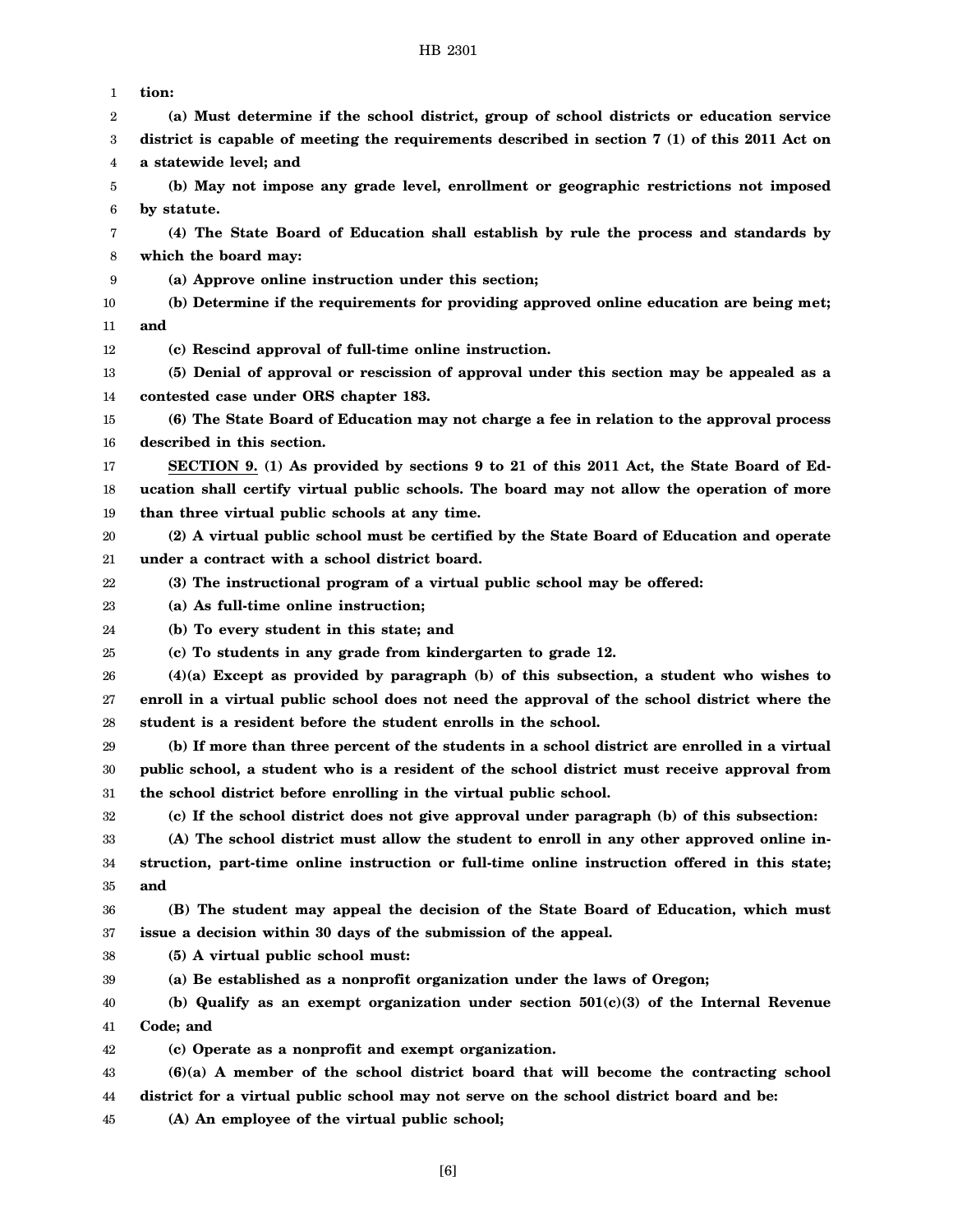| 1  | tion:                                                                                                                                    |
|----|------------------------------------------------------------------------------------------------------------------------------------------|
| 2  | (a) Must determine if the school district, group of school districts or education service                                                |
| 3  | district is capable of meeting the requirements described in section $7(1)$ of this 2011 Act on                                          |
| 4  | a statewide level; and                                                                                                                   |
| 5  | (b) May not impose any grade level, enrollment or geographic restrictions not imposed                                                    |
| 6  | by statute.                                                                                                                              |
| 7  | (4) The State Board of Education shall establish by rule the process and standards by                                                    |
| 8  | which the board may:                                                                                                                     |
| 9  | (a) Approve online instruction under this section;                                                                                       |
| 10 | (b) Determine if the requirements for providing approved online education are being met;                                                 |
| 11 | and                                                                                                                                      |
| 12 | (c) Rescind approval of full-time online instruction.                                                                                    |
| 13 | (5) Denial of approval or rescission of approval under this section may be appealed as a                                                 |
| 14 | contested case under ORS chapter 183.                                                                                                    |
| 15 | (6) The State Board of Education may not charge a fee in relation to the approval process                                                |
| 16 | described in this section.                                                                                                               |
| 17 | SECTION 9. (1) As provided by sections 9 to 21 of this 2011 Act, the State Board of Ed-                                                  |
| 18 | ucation shall certify virtual public schools. The board may not allow the operation of more                                              |
| 19 | than three virtual public schools at any time.                                                                                           |
| 20 | (2) A virtual public school must be certified by the State Board of Education and operate                                                |
| 21 | under a contract with a school district board.                                                                                           |
| 22 | (3) The instructional program of a virtual public school may be offered:                                                                 |
|    |                                                                                                                                          |
| 23 | (a) As full-time online instruction;                                                                                                     |
| 24 | (b) To every student in this state; and                                                                                                  |
| 25 | (c) To students in any grade from kindergarten to grade 12.                                                                              |
| 26 | $(4)(a)$ Except as provided by paragraph $(b)$ of this subsection, a student who wishes to                                               |
| 27 | enroll in a virtual public school does not need the approval of the school district where the                                            |
| 28 | student is a resident before the student enrolls in the school.                                                                          |
| 29 | (b) If more than three percent of the students in a school district are enrolled in a virtual                                            |
| 30 | public school, a student who is a resident of the school district must receive approval from                                             |
| 31 | the school district before enrolling in the virtual public school.                                                                       |
| 32 | (c) If the school district does not give approval under paragraph (b) of this subsection:                                                |
| 33 | (A) The school district must allow the student to enroll in any other approved online in-                                                |
| 34 | struction, part-time online instruction or full-time online instruction offered in this state;                                           |
| 35 | and                                                                                                                                      |
| 36 | (B) The student may appeal the decision of the State Board of Education, which must                                                      |
| 37 | issue a decision within 30 days of the submission of the appeal.                                                                         |
| 38 | (5) A virtual public school must:                                                                                                        |
| 39 | (a) Be established as a nonprofit organization under the laws of Oregon;                                                                 |
| 40 | (b) Qualify as an exempt organization under section $501(c)(3)$ of the Internal Revenue                                                  |
| 41 | Code; and                                                                                                                                |
| 42 | (c) Operate as a nonprofit and exempt organization.                                                                                      |
| 43 | $(6)(a)$ A member of the school district board that will become the contracting school                                                   |
| 44 | district for a virtual public school may not serve on the school district board and be:<br>(A) An employee of the virtual public school; |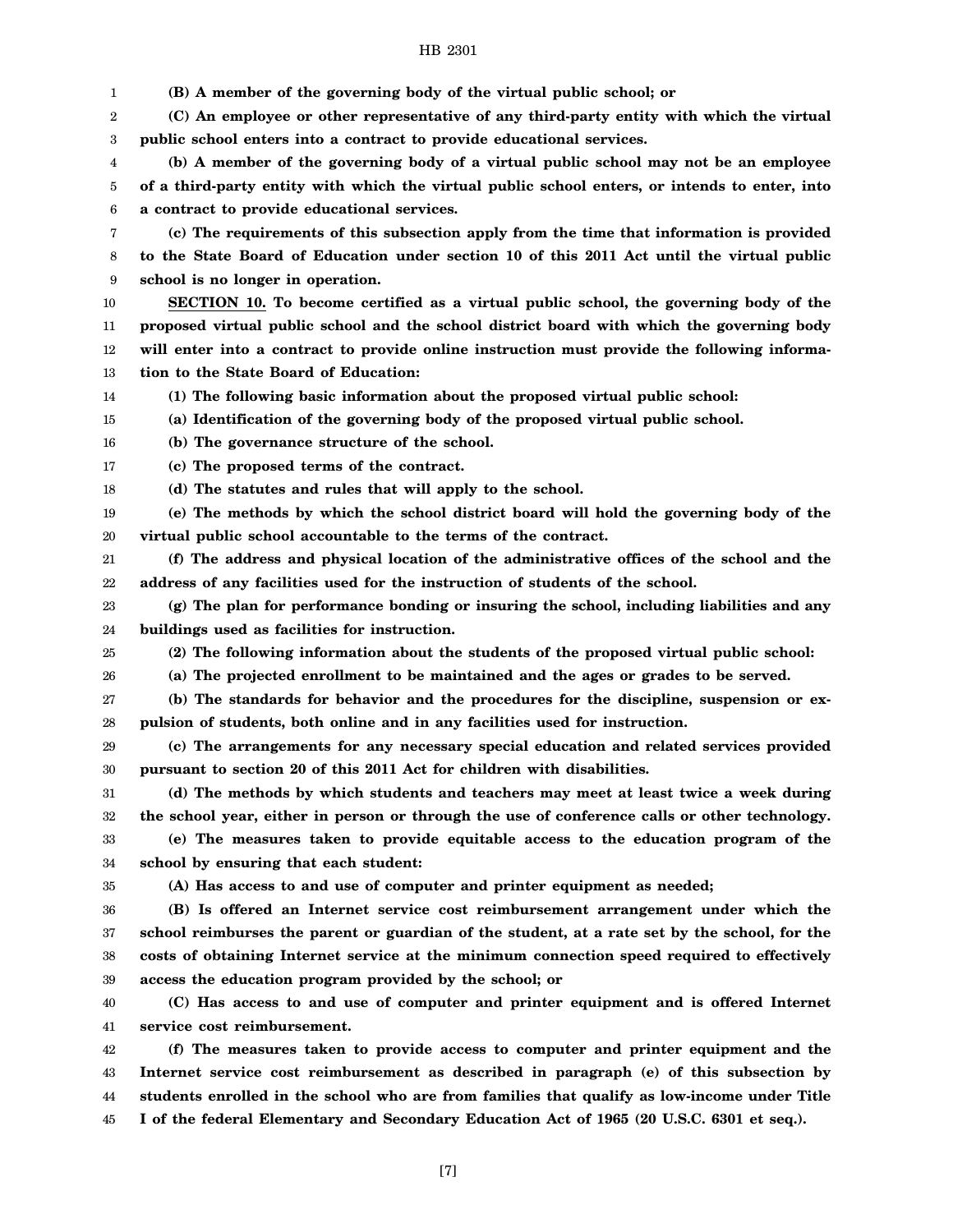1 2 3 4 5 6 7 8 9 10 11 12 13 14 15 16 17 18 19 20 21 22 23 24 25 26 27 28 29 30 31 32 33 34 35 36 37 38 39 40 41 42 43 44 **(B) A member of the governing body of the virtual public school; or (C) An employee or other representative of any third-party entity with which the virtual public school enters into a contract to provide educational services. (b) A member of the governing body of a virtual public school may not be an employee of a third-party entity with which the virtual public school enters, or intends to enter, into a contract to provide educational services. (c) The requirements of this subsection apply from the time that information is provided to the State Board of Education under section 10 of this 2011 Act until the virtual public school is no longer in operation. SECTION 10. To become certified as a virtual public school, the governing body of the proposed virtual public school and the school district board with which the governing body will enter into a contract to provide online instruction must provide the following information to the State Board of Education: (1) The following basic information about the proposed virtual public school: (a) Identification of the governing body of the proposed virtual public school. (b) The governance structure of the school. (c) The proposed terms of the contract. (d) The statutes and rules that will apply to the school. (e) The methods by which the school district board will hold the governing body of the virtual public school accountable to the terms of the contract. (f) The address and physical location of the administrative offices of the school and the address of any facilities used for the instruction of students of the school. (g) The plan for performance bonding or insuring the school, including liabilities and any buildings used as facilities for instruction. (2) The following information about the students of the proposed virtual public school: (a) The projected enrollment to be maintained and the ages or grades to be served. (b) The standards for behavior and the procedures for the discipline, suspension or expulsion of students, both online and in any facilities used for instruction. (c) The arrangements for any necessary special education and related services provided pursuant to section 20 of this 2011 Act for children with disabilities. (d) The methods by which students and teachers may meet at least twice a week during the school year, either in person or through the use of conference calls or other technology. (e) The measures taken to provide equitable access to the education program of the school by ensuring that each student: (A) Has access to and use of computer and printer equipment as needed; (B) Is offered an Internet service cost reimbursement arrangement under which the school reimburses the parent or guardian of the student, at a rate set by the school, for the costs of obtaining Internet service at the minimum connection speed required to effectively access the education program provided by the school; or (C) Has access to and use of computer and printer equipment and is offered Internet service cost reimbursement. (f) The measures taken to provide access to computer and printer equipment and the Internet service cost reimbursement as described in paragraph (e) of this subsection by students enrolled in the school who are from families that qualify as low-income under Title**

45 **I of the federal Elementary and Secondary Education Act of 1965 (20 U.S.C. 6301 et seq.).**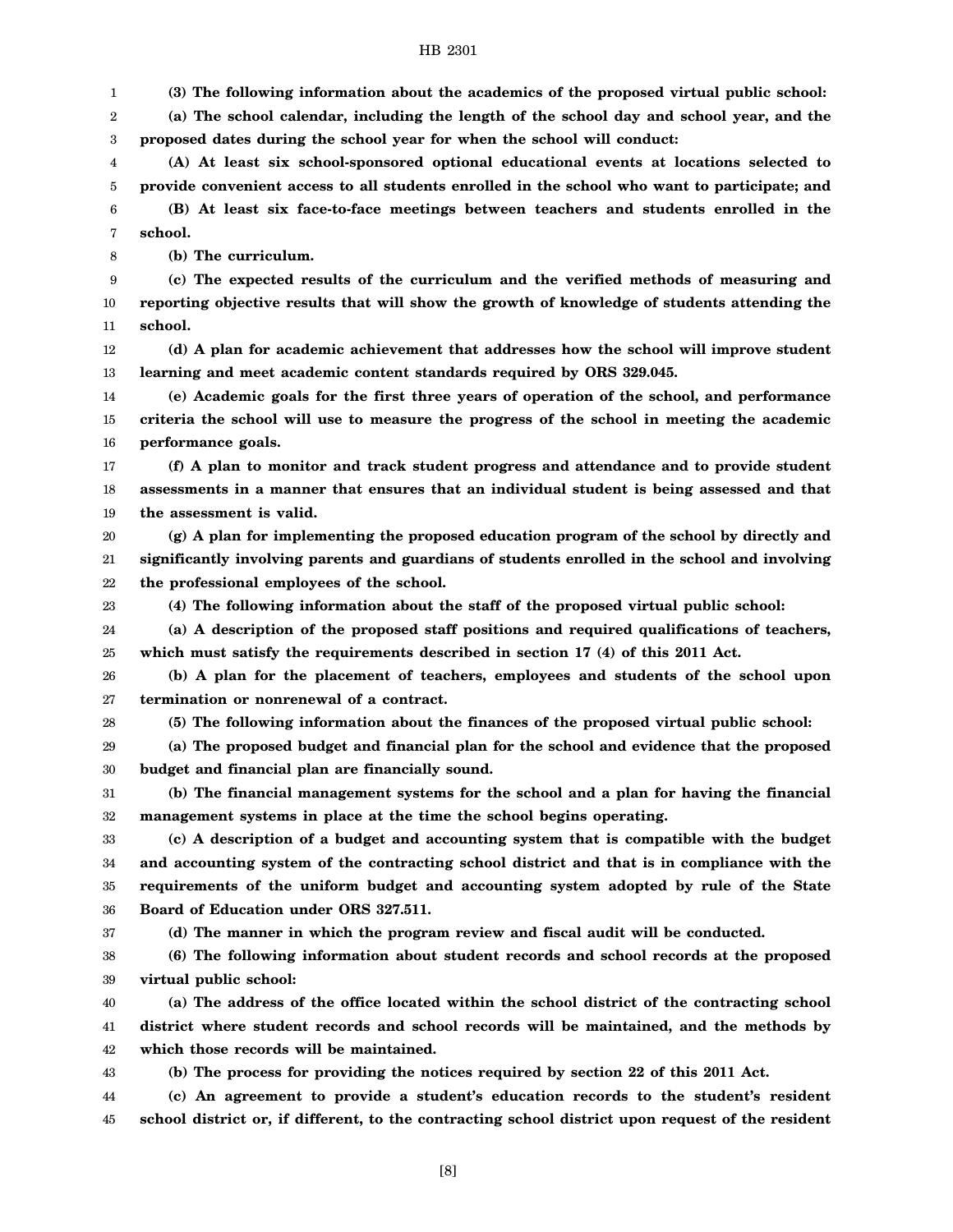1 **(3) The following information about the academics of the proposed virtual public school:**

2 3 **(a) The school calendar, including the length of the school day and school year, and the proposed dates during the school year for when the school will conduct:**

4 5 **(A) At least six school-sponsored optional educational events at locations selected to provide convenient access to all students enrolled in the school who want to participate; and**

6 7 **(B) At least six face-to-face meetings between teachers and students enrolled in the school.**

8 **(b) The curriculum.**

9 10 11 **(c) The expected results of the curriculum and the verified methods of measuring and reporting objective results that will show the growth of knowledge of students attending the school.**

12 13 **(d) A plan for academic achievement that addresses how the school will improve student learning and meet academic content standards required by ORS 329.045.**

14 15 16 **(e) Academic goals for the first three years of operation of the school, and performance criteria the school will use to measure the progress of the school in meeting the academic performance goals.**

17 18 19 **(f) A plan to monitor and track student progress and attendance and to provide student assessments in a manner that ensures that an individual student is being assessed and that the assessment is valid.**

20 21 22 **(g) A plan for implementing the proposed education program of the school by directly and significantly involving parents and guardians of students enrolled in the school and involving the professional employees of the school.**

23

24 **(a) A description of the proposed staff positions and required qualifications of teachers,**

**(4) The following information about the staff of the proposed virtual public school:**

25 **which must satisfy the requirements described in section 17 (4) of this 2011 Act.**

26 27 **(b) A plan for the placement of teachers, employees and students of the school upon termination or nonrenewal of a contract.**

28 **(5) The following information about the finances of the proposed virtual public school:**

29 30 **(a) The proposed budget and financial plan for the school and evidence that the proposed budget and financial plan are financially sound.**

31 32 **(b) The financial management systems for the school and a plan for having the financial management systems in place at the time the school begins operating.**

33 34 35 36 **(c) A description of a budget and accounting system that is compatible with the budget and accounting system of the contracting school district and that is in compliance with the requirements of the uniform budget and accounting system adopted by rule of the State Board of Education under ORS 327.511.**

37

**(d) The manner in which the program review and fiscal audit will be conducted.**

38 39 **(6) The following information about student records and school records at the proposed virtual public school:**

40 41 42 **(a) The address of the office located within the school district of the contracting school district where student records and school records will be maintained, and the methods by which those records will be maintained.**

43

**(b) The process for providing the notices required by section 22 of this 2011 Act.**

44 45 **(c) An agreement to provide a student's education records to the student's resident school district or, if different, to the contracting school district upon request of the resident**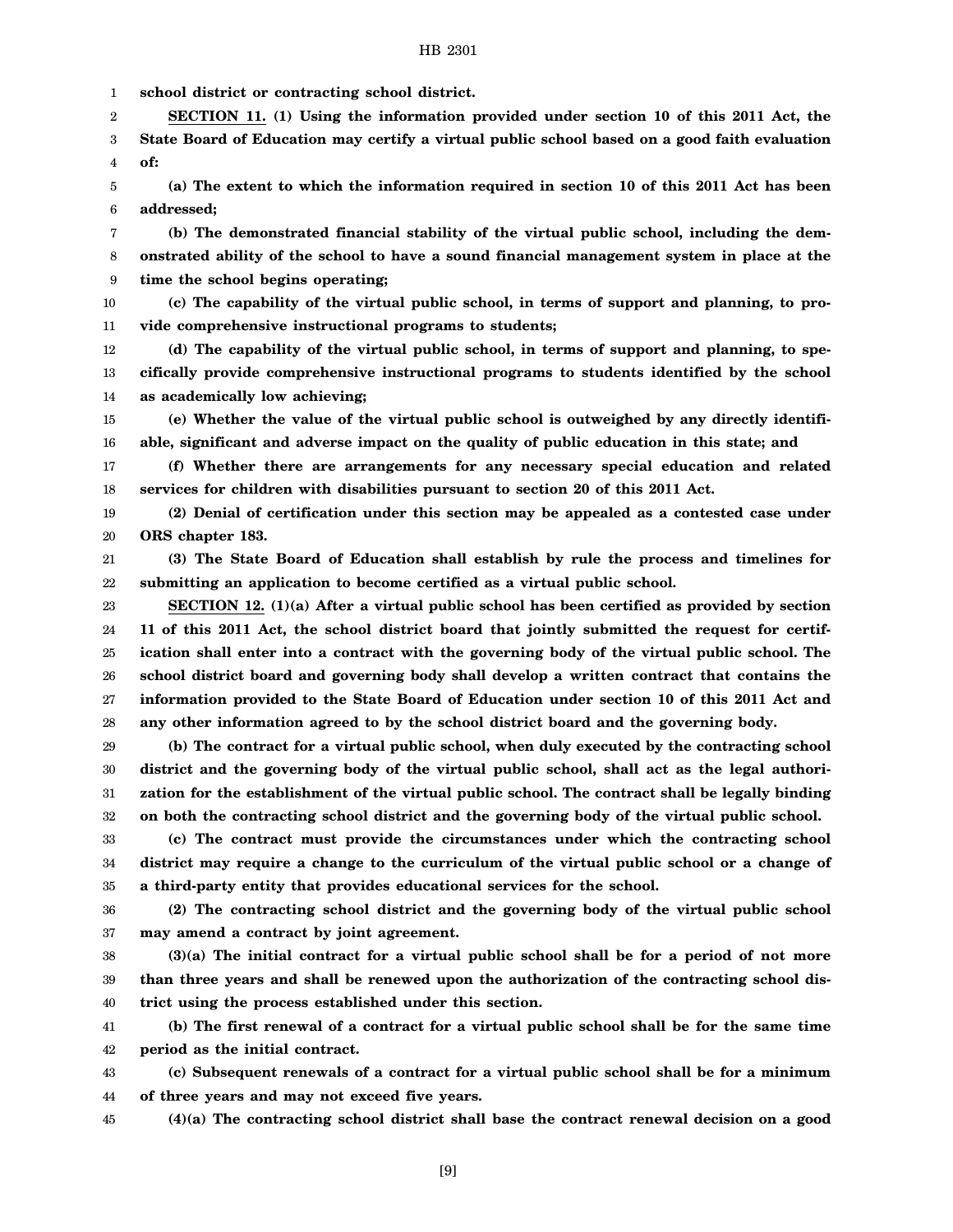1 **school district or contracting school district.**

2 3 4 **SECTION 11. (1) Using the information provided under section 10 of this 2011 Act, the State Board of Education may certify a virtual public school based on a good faith evaluation of:**

5 6 **(a) The extent to which the information required in section 10 of this 2011 Act has been addressed;**

7 8 9 **(b) The demonstrated financial stability of the virtual public school, including the demonstrated ability of the school to have a sound financial management system in place at the time the school begins operating;**

10 11 **(c) The capability of the virtual public school, in terms of support and planning, to provide comprehensive instructional programs to students;**

12 13 14 **(d) The capability of the virtual public school, in terms of support and planning, to specifically provide comprehensive instructional programs to students identified by the school as academically low achieving;**

15 16 **(e) Whether the value of the virtual public school is outweighed by any directly identifiable, significant and adverse impact on the quality of public education in this state; and**

17 18 **(f) Whether there are arrangements for any necessary special education and related services for children with disabilities pursuant to section 20 of this 2011 Act.**

19 20 **(2) Denial of certification under this section may be appealed as a contested case under ORS chapter 183.**

21 22 **(3) The State Board of Education shall establish by rule the process and timelines for submitting an application to become certified as a virtual public school.**

23 24 25 26 27 28 **SECTION 12. (1)(a) After a virtual public school has been certified as provided by section 11 of this 2011 Act, the school district board that jointly submitted the request for certification shall enter into a contract with the governing body of the virtual public school. The school district board and governing body shall develop a written contract that contains the information provided to the State Board of Education under section 10 of this 2011 Act and any other information agreed to by the school district board and the governing body.**

29 30 31 32 **(b) The contract for a virtual public school, when duly executed by the contracting school district and the governing body of the virtual public school, shall act as the legal authorization for the establishment of the virtual public school. The contract shall be legally binding on both the contracting school district and the governing body of the virtual public school.**

33 34 35 **(c) The contract must provide the circumstances under which the contracting school district may require a change to the curriculum of the virtual public school or a change of a third-party entity that provides educational services for the school.**

36 37 **(2) The contracting school district and the governing body of the virtual public school may amend a contract by joint agreement.**

38 39 40 **(3)(a) The initial contract for a virtual public school shall be for a period of not more than three years and shall be renewed upon the authorization of the contracting school district using the process established under this section.**

41 42 **(b) The first renewal of a contract for a virtual public school shall be for the same time period as the initial contract.**

43 44 **(c) Subsequent renewals of a contract for a virtual public school shall be for a minimum of three years and may not exceed five years.**

45 **(4)(a) The contracting school district shall base the contract renewal decision on a good**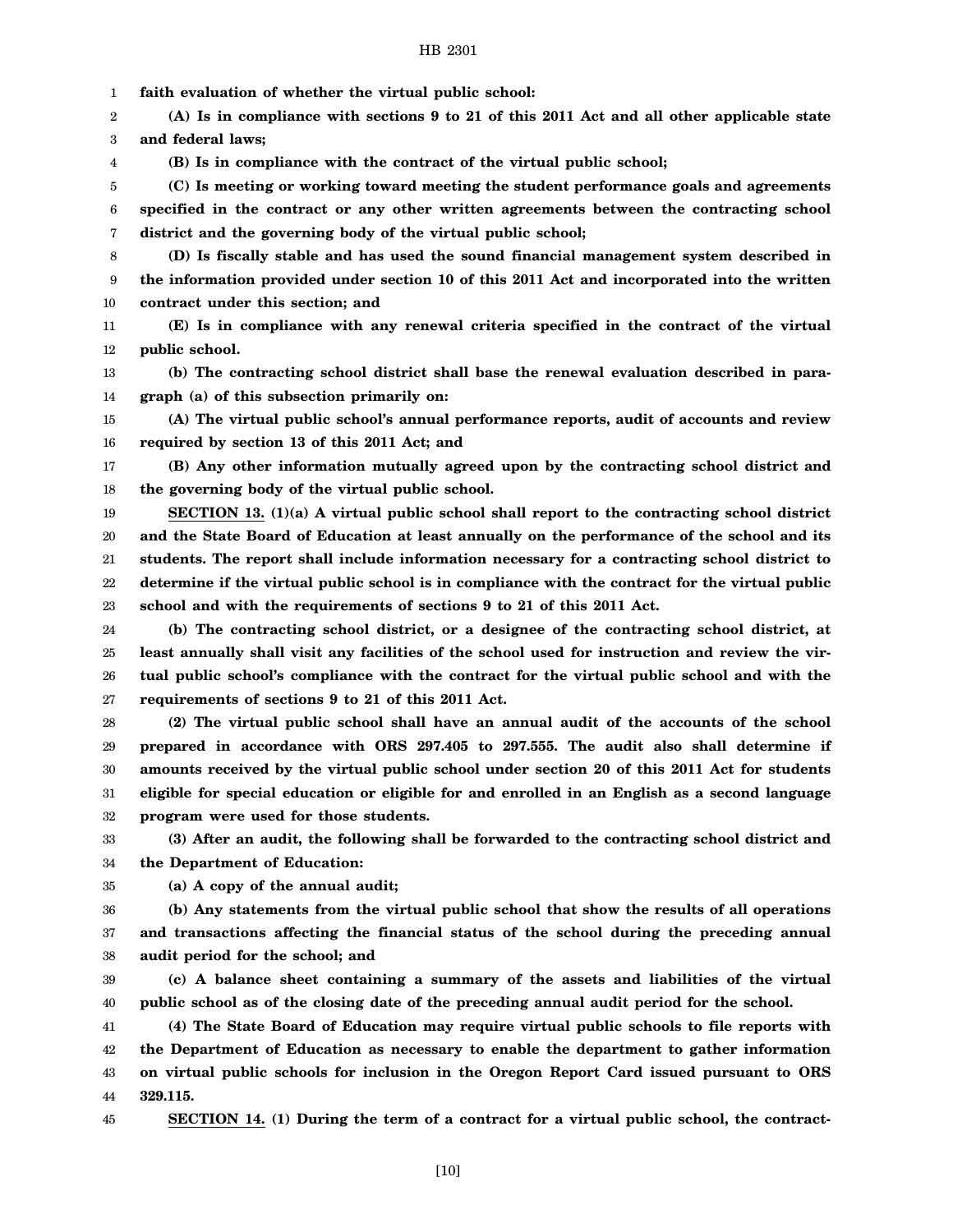1 **faith evaluation of whether the virtual public school:**

2 3 **(A) Is in compliance with sections 9 to 21 of this 2011 Act and all other applicable state and federal laws;**

**(B) Is in compliance with the contract of the virtual public school;**

5 6 7 **(C) Is meeting or working toward meeting the student performance goals and agreements specified in the contract or any other written agreements between the contracting school district and the governing body of the virtual public school;**

8 9 10 **(D) Is fiscally stable and has used the sound financial management system described in the information provided under section 10 of this 2011 Act and incorporated into the written contract under this section; and**

11 12 **(E) Is in compliance with any renewal criteria specified in the contract of the virtual public school.**

13 14 **(b) The contracting school district shall base the renewal evaluation described in paragraph (a) of this subsection primarily on:**

15 16 **(A) The virtual public school's annual performance reports, audit of accounts and review required by section 13 of this 2011 Act; and**

17 18 **(B) Any other information mutually agreed upon by the contracting school district and the governing body of the virtual public school.**

19 20 21 22 23 **SECTION 13. (1)(a) A virtual public school shall report to the contracting school district and the State Board of Education at least annually on the performance of the school and its students. The report shall include information necessary for a contracting school district to determine if the virtual public school is in compliance with the contract for the virtual public school and with the requirements of sections 9 to 21 of this 2011 Act.**

24 25 26 27 **(b) The contracting school district, or a designee of the contracting school district, at least annually shall visit any facilities of the school used for instruction and review the virtual public school's compliance with the contract for the virtual public school and with the requirements of sections 9 to 21 of this 2011 Act.**

28 29 30 31 32 **(2) The virtual public school shall have an annual audit of the accounts of the school prepared in accordance with ORS 297.405 to 297.555. The audit also shall determine if amounts received by the virtual public school under section 20 of this 2011 Act for students eligible for special education or eligible for and enrolled in an English as a second language program were used for those students.**

33 34 **(3) After an audit, the following shall be forwarded to the contracting school district and the Department of Education:**

35 **(a) A copy of the annual audit;**

36 37 38 **(b) Any statements from the virtual public school that show the results of all operations and transactions affecting the financial status of the school during the preceding annual audit period for the school; and**

39 40 **(c) A balance sheet containing a summary of the assets and liabilities of the virtual public school as of the closing date of the preceding annual audit period for the school.**

41 42 43 44 **(4) The State Board of Education may require virtual public schools to file reports with the Department of Education as necessary to enable the department to gather information on virtual public schools for inclusion in the Oregon Report Card issued pursuant to ORS 329.115.**

45

4

**SECTION 14. (1) During the term of a contract for a virtual public school, the contract-**

[10]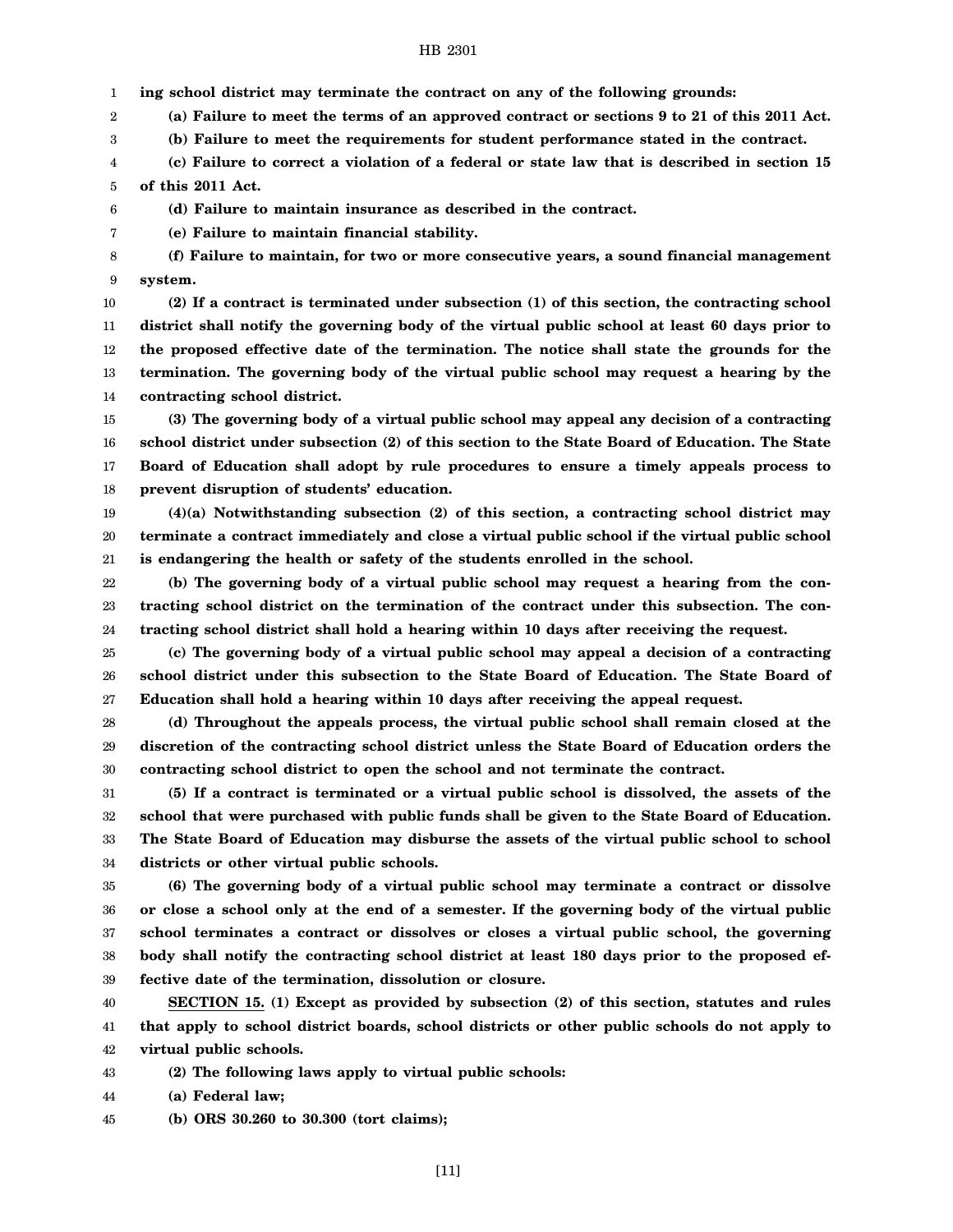1 **ing school district may terminate the contract on any of the following grounds:**

2 **(a) Failure to meet the terms of an approved contract or sections 9 to 21 of this 2011 Act.**

3 **(b) Failure to meet the requirements for student performance stated in the contract.**

4 5 **(c) Failure to correct a violation of a federal or state law that is described in section 15 of this 2011 Act.**

**(d) Failure to maintain insurance as described in the contract.**

**(e) Failure to maintain financial stability.**

8 9 **(f) Failure to maintain, for two or more consecutive years, a sound financial management system.**

**(2) If a contract is terminated under subsection (1) of this section, the contracting school district shall notify the governing body of the virtual public school at least 60 days prior to the proposed effective date of the termination. The notice shall state the grounds for the termination. The governing body of the virtual public school may request a hearing by the**

14 **contracting school district.**

6 7

15 16 17 18 **(3) The governing body of a virtual public school may appeal any decision of a contracting school district under subsection (2) of this section to the State Board of Education. The State Board of Education shall adopt by rule procedures to ensure a timely appeals process to prevent disruption of students' education.**

19 20 21 **(4)(a) Notwithstanding subsection (2) of this section, a contracting school district may terminate a contract immediately and close a virtual public school if the virtual public school is endangering the health or safety of the students enrolled in the school.**

22 23 24 **(b) The governing body of a virtual public school may request a hearing from the contracting school district on the termination of the contract under this subsection. The contracting school district shall hold a hearing within 10 days after receiving the request.**

25 26 27 **(c) The governing body of a virtual public school may appeal a decision of a contracting school district under this subsection to the State Board of Education. The State Board of Education shall hold a hearing within 10 days after receiving the appeal request.**

28 29 30 **(d) Throughout the appeals process, the virtual public school shall remain closed at the discretion of the contracting school district unless the State Board of Education orders the contracting school district to open the school and not terminate the contract.**

31 32 33 34 **(5) If a contract is terminated or a virtual public school is dissolved, the assets of the school that were purchased with public funds shall be given to the State Board of Education. The State Board of Education may disburse the assets of the virtual public school to school districts or other virtual public schools.**

35 36 37 38 39 **(6) The governing body of a virtual public school may terminate a contract or dissolve or close a school only at the end of a semester. If the governing body of the virtual public school terminates a contract or dissolves or closes a virtual public school, the governing body shall notify the contracting school district at least 180 days prior to the proposed effective date of the termination, dissolution or closure.**

40 41 42 **SECTION 15. (1) Except as provided by subsection (2) of this section, statutes and rules that apply to school district boards, school districts or other public schools do not apply to virtual public schools.**

43 **(2) The following laws apply to virtual public schools:**

44 **(a) Federal law;**

45 **(b) ORS 30.260 to 30.300 (tort claims);**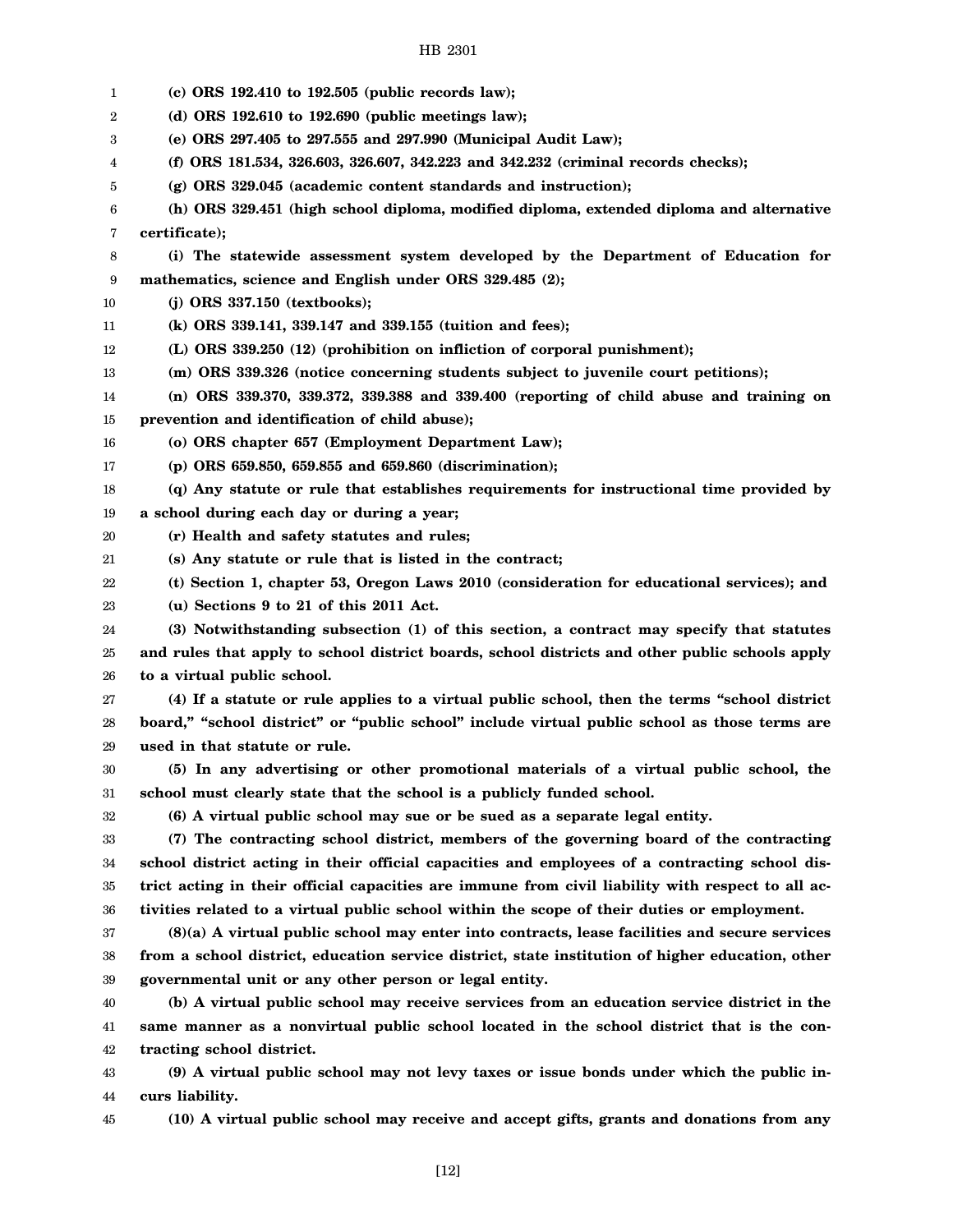| 1  | $(c)$ ORS 192.410 to 192.505 (public records law);                                                |
|----|---------------------------------------------------------------------------------------------------|
| 2  | (d) ORS 192.610 to 192.690 (public meetings law);                                                 |
| 3  | (e) ORS 297.405 to 297.555 and 297.990 (Municipal Audit Law);                                     |
| 4  | (f) ORS 181.534, 326.603, 326.607, 342.223 and 342.232 (criminal records checks);                 |
| 5  | (g) ORS 329.045 (academic content standards and instruction);                                     |
| 6  | (h) ORS 329.451 (high school diploma, modified diploma, extended diploma and alternative          |
| 7  | certificate);                                                                                     |
| 8  | (i) The statewide assessment system developed by the Department of Education for                  |
| 9  | mathematics, science and English under ORS 329.485 (2);                                           |
| 10 | $(j)$ ORS 337.150 (textbooks);                                                                    |
| 11 | (k) ORS 339.141, 339.147 and 339.155 (tuition and fees);                                          |
| 12 | (L) ORS 339.250 (12) (prohibition on infliction of corporal punishment);                          |
| 13 | (m) ORS 339.326 (notice concerning students subject to juvenile court petitions);                 |
| 14 | (n) ORS 339.370, 339.372, 339.388 and 339.400 (reporting of child abuse and training on           |
| 15 | prevention and identification of child abuse);                                                    |
| 16 | (o) ORS chapter 657 (Employment Department Law);                                                  |
| 17 | (p) ORS 659.850, 659.855 and 659.860 (discrimination);                                            |
| 18 | (q) Any statute or rule that establishes requirements for instructional time provided by          |
| 19 | a school during each day or during a year;                                                        |
| 20 | (r) Health and safety statutes and rules;                                                         |
| 21 | (s) Any statute or rule that is listed in the contract;                                           |
| 22 | (t) Section 1, chapter 53, Oregon Laws 2010 (consideration for educational services); and         |
| 23 | (u) Sections 9 to 21 of this 2011 Act.                                                            |
| 24 | (3) Notwithstanding subsection (1) of this section, a contract may specify that statutes          |
| 25 | and rules that apply to school district boards, school districts and other public schools apply   |
| 26 | to a virtual public school.                                                                       |
| 27 | (4) If a statute or rule applies to a virtual public school, then the terms "school district      |
| 28 | board," "school district" or "public school" include virtual public school as those terms are     |
| 29 | used in that statute or rule.                                                                     |
| 30 | (5) In any advertising or other promotional materials of a virtual public school, the             |
| 31 | school must clearly state that the school is a publicly funded school.                            |
| 32 | (6) A virtual public school may sue or be sued as a separate legal entity.                        |
| 33 | (7) The contracting school district, members of the governing board of the contracting            |
| 34 | school district acting in their official capacities and employees of a contracting school dis-    |
| 35 | trict acting in their official capacities are immune from civil liability with respect to all ac- |
| 36 | tivities related to a virtual public school within the scope of their duties or employment.       |
| 37 | $(8)(a)$ A virtual public school may enter into contracts, lease facilities and secure services   |
| 38 | from a school district, education service district, state institution of higher education, other  |
| 39 | governmental unit or any other person or legal entity.                                            |
| 40 | (b) A virtual public school may receive services from an education service district in the        |
| 41 | same manner as a nonvirtual public school located in the school district that is the con-         |
| 42 | tracting school district.                                                                         |
| 43 | (9) A virtual public school may not levy taxes or issue bonds under which the public in-          |
| 44 | curs liability.                                                                                   |
| 45 | (10) A virtual public school may receive and accept gifts, grants and donations from any          |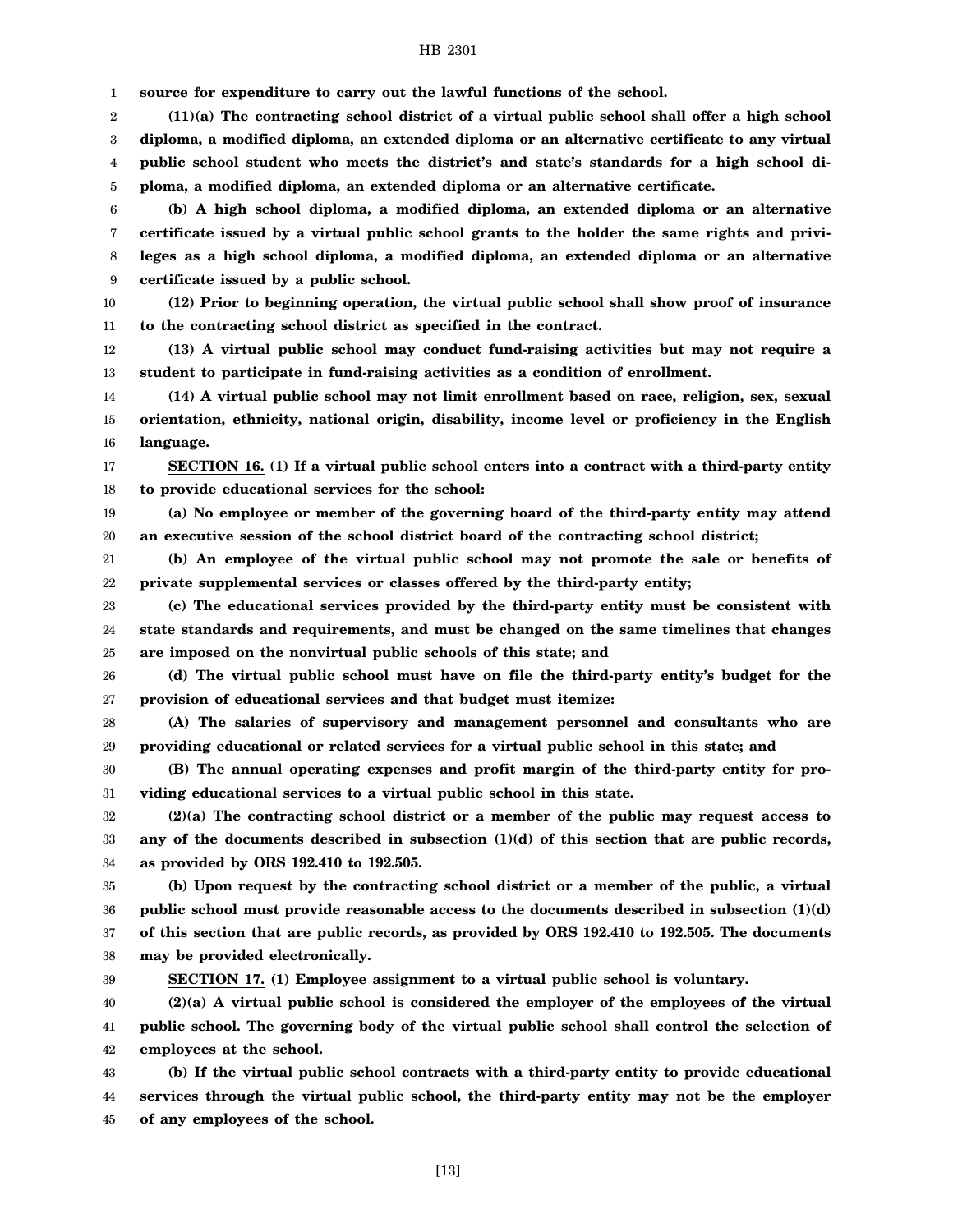1 **source for expenditure to carry out the lawful functions of the school.**

2 3 4 5 **(11)(a) The contracting school district of a virtual public school shall offer a high school diploma, a modified diploma, an extended diploma or an alternative certificate to any virtual public school student who meets the district's and state's standards for a high school diploma, a modified diploma, an extended diploma or an alternative certificate.**

6 7 8 9 **(b) A high school diploma, a modified diploma, an extended diploma or an alternative certificate issued by a virtual public school grants to the holder the same rights and privileges as a high school diploma, a modified diploma, an extended diploma or an alternative certificate issued by a public school.**

10 11 **(12) Prior to beginning operation, the virtual public school shall show proof of insurance to the contracting school district as specified in the contract.**

12 13 **(13) A virtual public school may conduct fund-raising activities but may not require a student to participate in fund-raising activities as a condition of enrollment.**

14 15 16 **(14) A virtual public school may not limit enrollment based on race, religion, sex, sexual orientation, ethnicity, national origin, disability, income level or proficiency in the English language.**

17 18 **SECTION 16. (1) If a virtual public school enters into a contract with a third-party entity to provide educational services for the school:**

19 20 **(a) No employee or member of the governing board of the third-party entity may attend an executive session of the school district board of the contracting school district;**

21 22 **(b) An employee of the virtual public school may not promote the sale or benefits of private supplemental services or classes offered by the third-party entity;**

23 24 25 **(c) The educational services provided by the third-party entity must be consistent with state standards and requirements, and must be changed on the same timelines that changes are imposed on the nonvirtual public schools of this state; and**

26 27 **(d) The virtual public school must have on file the third-party entity's budget for the provision of educational services and that budget must itemize:**

28 29 **(A) The salaries of supervisory and management personnel and consultants who are providing educational or related services for a virtual public school in this state; and**

30 31 **(B) The annual operating expenses and profit margin of the third-party entity for providing educational services to a virtual public school in this state.**

32 33 34 **(2)(a) The contracting school district or a member of the public may request access to any of the documents described in subsection (1)(d) of this section that are public records, as provided by ORS 192.410 to 192.505.**

35 36 37 38 **(b) Upon request by the contracting school district or a member of the public, a virtual public school must provide reasonable access to the documents described in subsection (1)(d) of this section that are public records, as provided by ORS 192.410 to 192.505. The documents may be provided electronically.**

39

**SECTION 17. (1) Employee assignment to a virtual public school is voluntary.**

40 41 42 **(2)(a) A virtual public school is considered the employer of the employees of the virtual public school. The governing body of the virtual public school shall control the selection of employees at the school.**

43 44 45 **(b) If the virtual public school contracts with a third-party entity to provide educational services through the virtual public school, the third-party entity may not be the employer of any employees of the school.**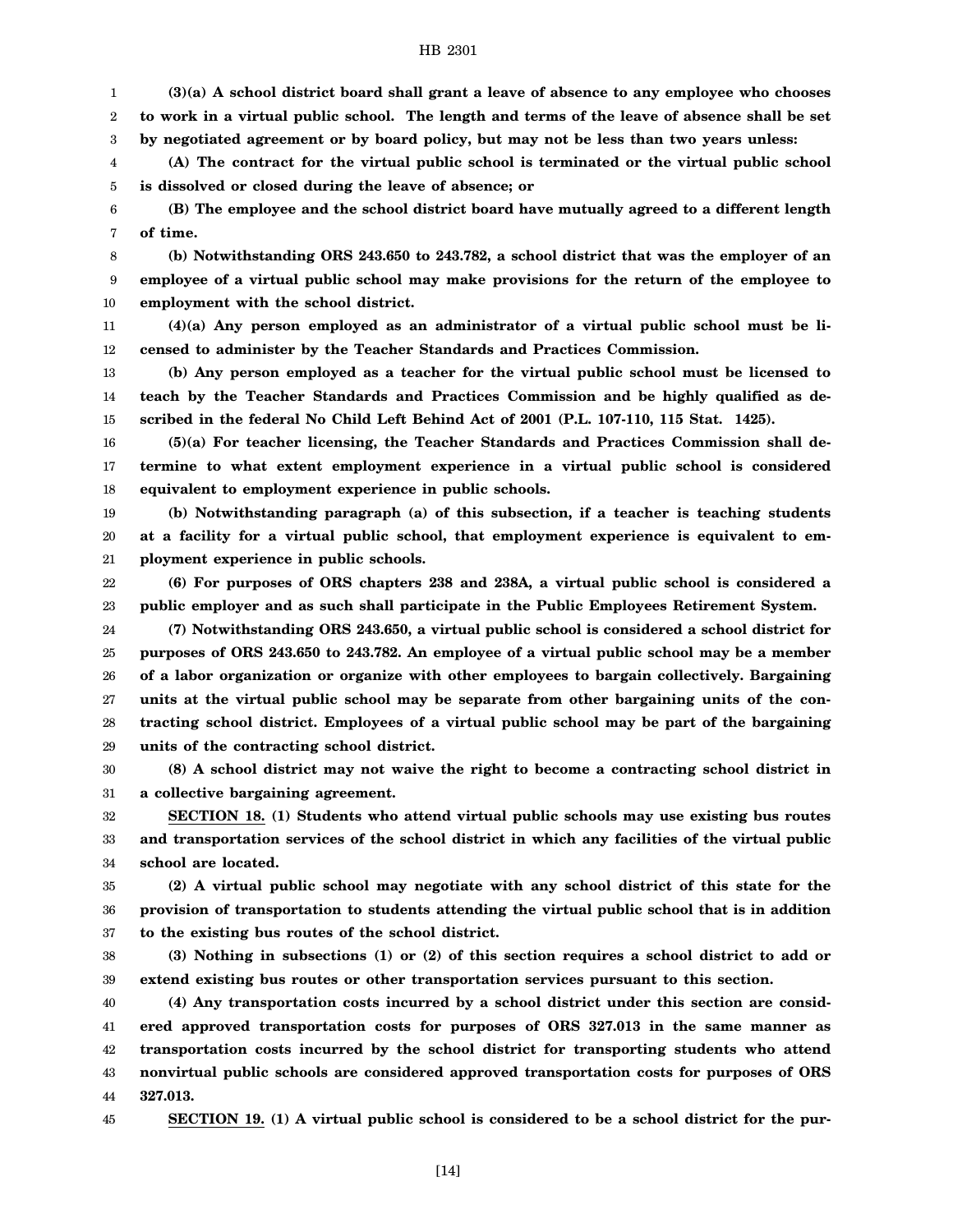1 2 3 **(3)(a) A school district board shall grant a leave of absence to any employee who chooses to work in a virtual public school. The length and terms of the leave of absence shall be set by negotiated agreement or by board policy, but may not be less than two years unless:**

4 5 **(A) The contract for the virtual public school is terminated or the virtual public school is dissolved or closed during the leave of absence; or**

6 7 **(B) The employee and the school district board have mutually agreed to a different length of time.**

8 9 10 **(b) Notwithstanding ORS 243.650 to 243.782, a school district that was the employer of an employee of a virtual public school may make provisions for the return of the employee to employment with the school district.**

11 12 **(4)(a) Any person employed as an administrator of a virtual public school must be licensed to administer by the Teacher Standards and Practices Commission.**

13 14 15 **(b) Any person employed as a teacher for the virtual public school must be licensed to teach by the Teacher Standards and Practices Commission and be highly qualified as described in the federal No Child Left Behind Act of 2001 (P.L. 107-110, 115 Stat. 1425).**

16 17 18 **(5)(a) For teacher licensing, the Teacher Standards and Practices Commission shall determine to what extent employment experience in a virtual public school is considered equivalent to employment experience in public schools.**

19 20 21 **(b) Notwithstanding paragraph (a) of this subsection, if a teacher is teaching students at a facility for a virtual public school, that employment experience is equivalent to employment experience in public schools.**

22 23 **(6) For purposes of ORS chapters 238 and 238A, a virtual public school is considered a public employer and as such shall participate in the Public Employees Retirement System.**

24 25 26 27 28 29 **(7) Notwithstanding ORS 243.650, a virtual public school is considered a school district for purposes of ORS 243.650 to 243.782. An employee of a virtual public school may be a member of a labor organization or organize with other employees to bargain collectively. Bargaining units at the virtual public school may be separate from other bargaining units of the contracting school district. Employees of a virtual public school may be part of the bargaining units of the contracting school district.**

30 31 **(8) A school district may not waive the right to become a contracting school district in a collective bargaining agreement.**

32 33 34 **SECTION 18. (1) Students who attend virtual public schools may use existing bus routes and transportation services of the school district in which any facilities of the virtual public school are located.**

35 36 37 **(2) A virtual public school may negotiate with any school district of this state for the provision of transportation to students attending the virtual public school that is in addition to the existing bus routes of the school district.**

38 39 **(3) Nothing in subsections (1) or (2) of this section requires a school district to add or extend existing bus routes or other transportation services pursuant to this section.**

40 41 42 43 44 **(4) Any transportation costs incurred by a school district under this section are considered approved transportation costs for purposes of ORS 327.013 in the same manner as transportation costs incurred by the school district for transporting students who attend nonvirtual public schools are considered approved transportation costs for purposes of ORS 327.013.**

45

**SECTION 19. (1) A virtual public school is considered to be a school district for the pur-**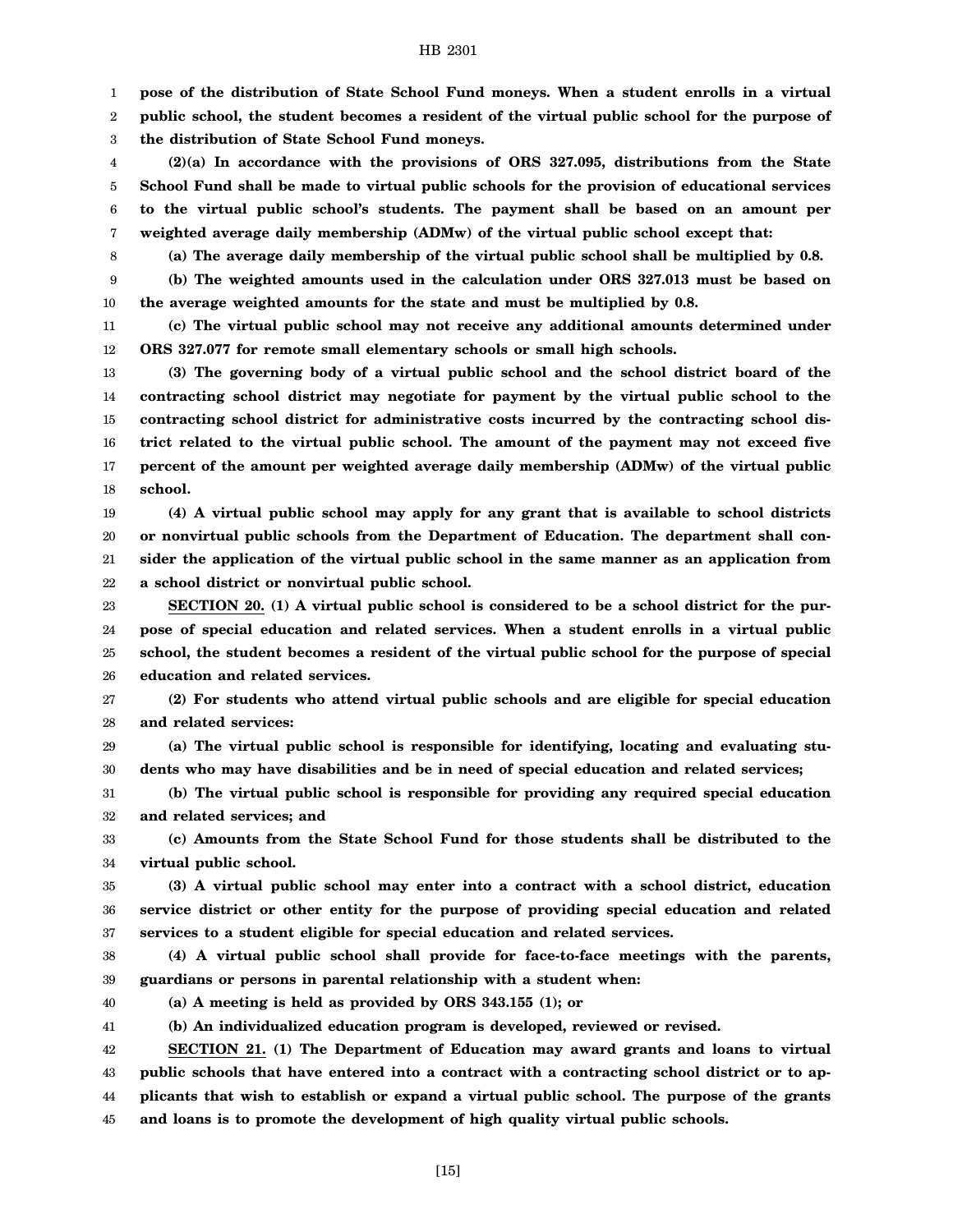1 **pose of the distribution of State School Fund moneys. When a student enrolls in a virtual**

2 3 **public school, the student becomes a resident of the virtual public school for the purpose of the distribution of State School Fund moneys.**

4 5 6 7 **(2)(a) In accordance with the provisions of ORS 327.095, distributions from the State School Fund shall be made to virtual public schools for the provision of educational services to the virtual public school's students. The payment shall be based on an amount per weighted average daily membership (ADMw) of the virtual public school except that:**

8

**(a) The average daily membership of the virtual public school shall be multiplied by 0.8.**

9 10 **(b) The weighted amounts used in the calculation under ORS 327.013 must be based on the average weighted amounts for the state and must be multiplied by 0.8.**

11 12 **(c) The virtual public school may not receive any additional amounts determined under ORS 327.077 for remote small elementary schools or small high schools.**

13 14 15 16 17 18 **(3) The governing body of a virtual public school and the school district board of the contracting school district may negotiate for payment by the virtual public school to the contracting school district for administrative costs incurred by the contracting school district related to the virtual public school. The amount of the payment may not exceed five percent of the amount per weighted average daily membership (ADMw) of the virtual public school.**

19 20 21 22 **(4) A virtual public school may apply for any grant that is available to school districts or nonvirtual public schools from the Department of Education. The department shall consider the application of the virtual public school in the same manner as an application from a school district or nonvirtual public school.**

23 24 25 26 **SECTION 20. (1) A virtual public school is considered to be a school district for the purpose of special education and related services. When a student enrolls in a virtual public school, the student becomes a resident of the virtual public school for the purpose of special education and related services.**

27 28 **(2) For students who attend virtual public schools and are eligible for special education and related services:**

29 30 **(a) The virtual public school is responsible for identifying, locating and evaluating students who may have disabilities and be in need of special education and related services;**

31 32 **(b) The virtual public school is responsible for providing any required special education and related services; and**

33 34 **(c) Amounts from the State School Fund for those students shall be distributed to the virtual public school.**

35 36 37 **(3) A virtual public school may enter into a contract with a school district, education service district or other entity for the purpose of providing special education and related services to a student eligible for special education and related services.**

38 39 **(4) A virtual public school shall provide for face-to-face meetings with the parents, guardians or persons in parental relationship with a student when:**

40

**(a) A meeting is held as provided by ORS 343.155 (1); or**

41 **(b) An individualized education program is developed, reviewed or revised.**

42 43 44 45 **SECTION 21. (1) The Department of Education may award grants and loans to virtual public schools that have entered into a contract with a contracting school district or to applicants that wish to establish or expand a virtual public school. The purpose of the grants and loans is to promote the development of high quality virtual public schools.**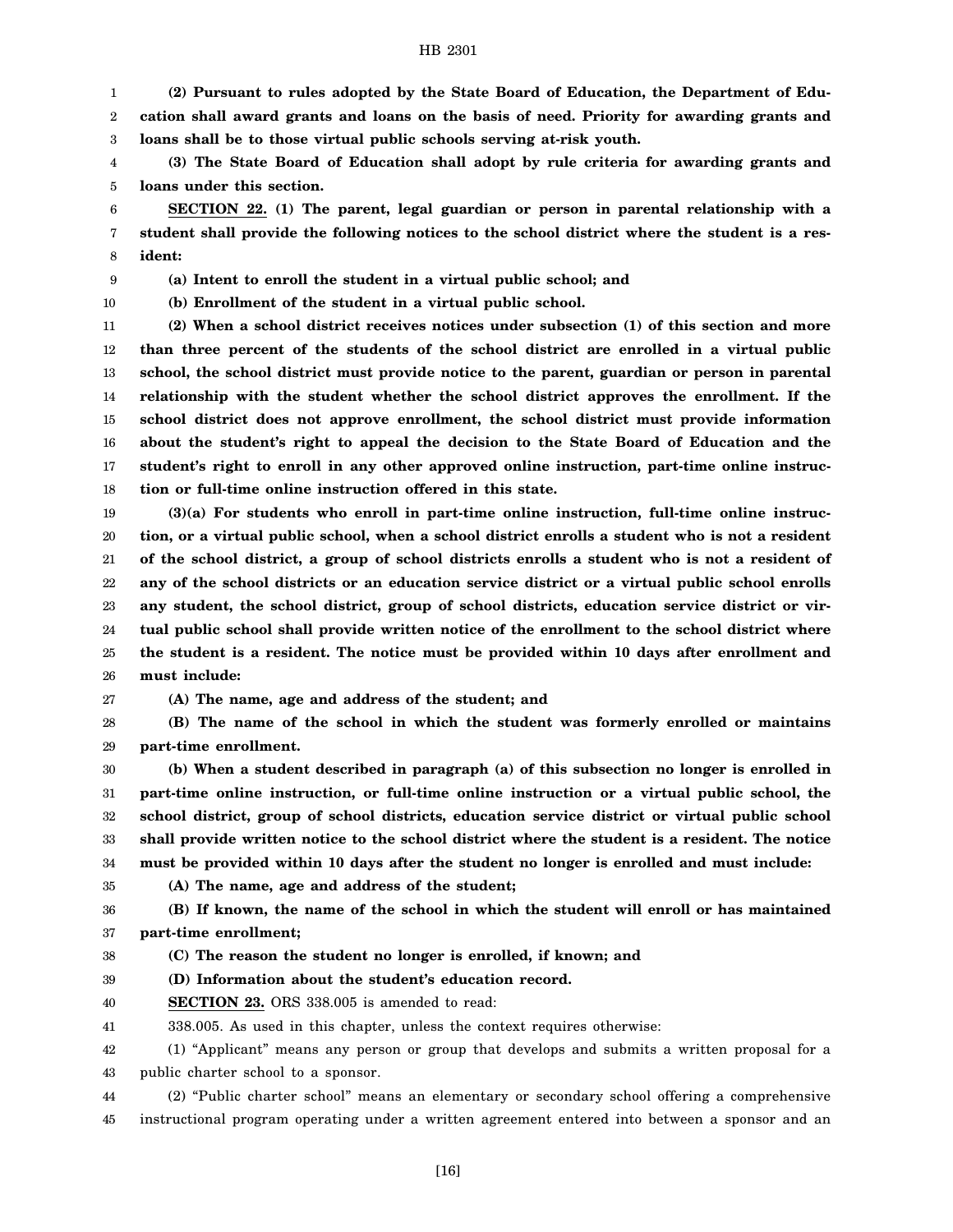1 2 3 **(2) Pursuant to rules adopted by the State Board of Education, the Department of Education shall award grants and loans on the basis of need. Priority for awarding grants and loans shall be to those virtual public schools serving at-risk youth.**

4 5 **(3) The State Board of Education shall adopt by rule criteria for awarding grants and loans under this section.**

6 7 8 **SECTION 22. (1) The parent, legal guardian or person in parental relationship with a student shall provide the following notices to the school district where the student is a resident:**

9 **(a) Intent to enroll the student in a virtual public school; and**

10

**(b) Enrollment of the student in a virtual public school.**

11 12 13 14 15 16 17 18 **(2) When a school district receives notices under subsection (1) of this section and more than three percent of the students of the school district are enrolled in a virtual public school, the school district must provide notice to the parent, guardian or person in parental relationship with the student whether the school district approves the enrollment. If the school district does not approve enrollment, the school district must provide information about the student's right to appeal the decision to the State Board of Education and the student's right to enroll in any other approved online instruction, part-time online instruction or full-time online instruction offered in this state.**

19 20 21 22 23 24 25 26 **(3)(a) For students who enroll in part-time online instruction, full-time online instruction, or a virtual public school, when a school district enrolls a student who is not a resident of the school district, a group of school districts enrolls a student who is not a resident of any of the school districts or an education service district or a virtual public school enrolls any student, the school district, group of school districts, education service district or virtual public school shall provide written notice of the enrollment to the school district where the student is a resident. The notice must be provided within 10 days after enrollment and must include:**

27 **(A) The name, age and address of the student; and**

28 29 **(B) The name of the school in which the student was formerly enrolled or maintains part-time enrollment.**

30 31 32 33 34 **(b) When a student described in paragraph (a) of this subsection no longer is enrolled in part-time online instruction, or full-time online instruction or a virtual public school, the school district, group of school districts, education service district or virtual public school shall provide written notice to the school district where the student is a resident. The notice must be provided within 10 days after the student no longer is enrolled and must include:**

35

**(A) The name, age and address of the student;**

36 37 **(B) If known, the name of the school in which the student will enroll or has maintained part-time enrollment;**

38 **(C) The reason the student no longer is enrolled, if known; and**

39 **(D) Information about the student's education record.**

40 **SECTION 23.** ORS 338.005 is amended to read:

41 338.005. As used in this chapter, unless the context requires otherwise:

42 43 (1) "Applicant" means any person or group that develops and submits a written proposal for a public charter school to a sponsor.

44 45 (2) "Public charter school" means an elementary or secondary school offering a comprehensive instructional program operating under a written agreement entered into between a sponsor and an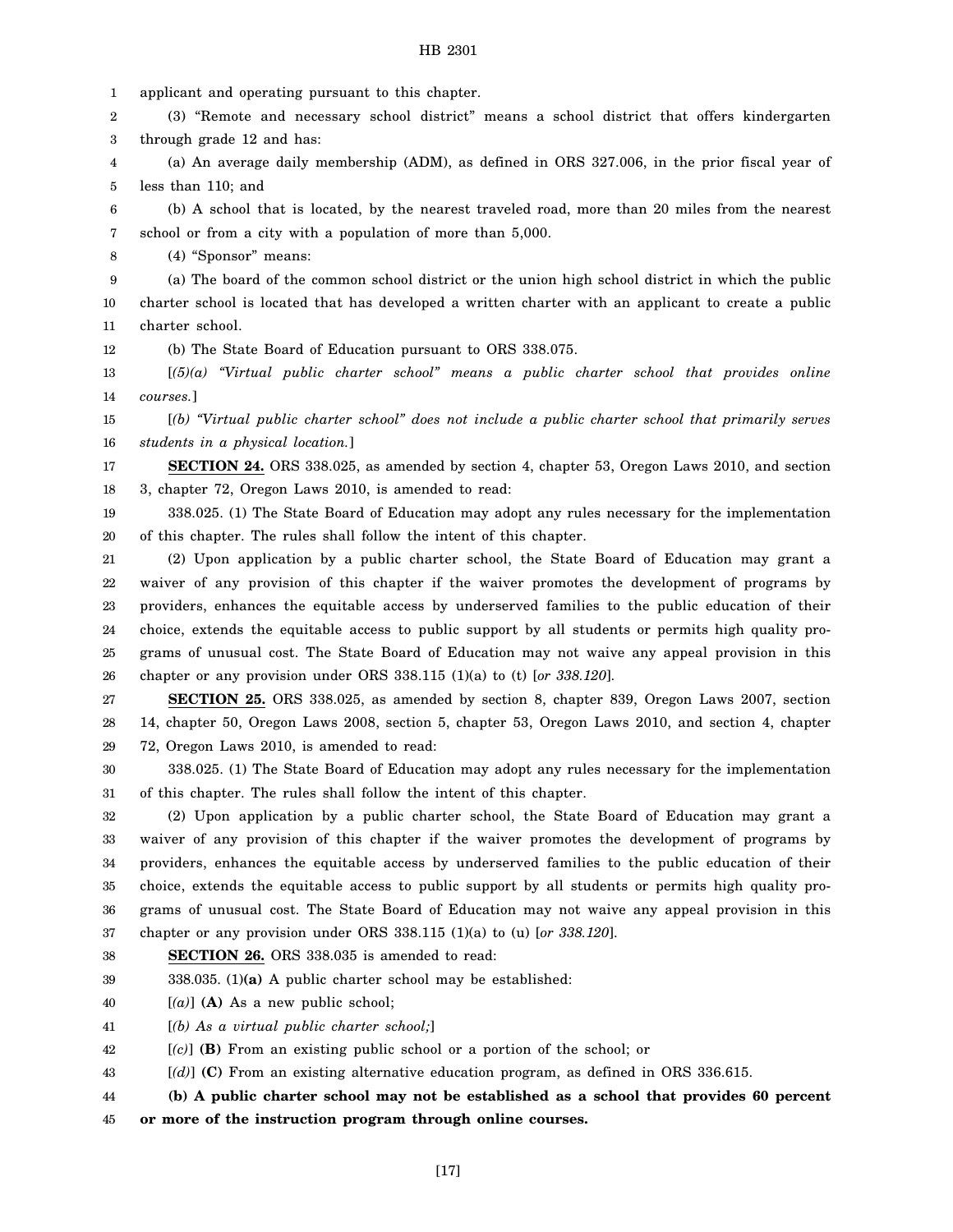1 applicant and operating pursuant to this chapter.

2 3 (3) "Remote and necessary school district" means a school district that offers kindergarten through grade 12 and has:

4 5 (a) An average daily membership (ADM), as defined in ORS 327.006, in the prior fiscal year of less than 110; and

6 7 (b) A school that is located, by the nearest traveled road, more than 20 miles from the nearest school or from a city with a population of more than 5,000.

8 (4) "Sponsor" means:

9 10 11 (a) The board of the common school district or the union high school district in which the public charter school is located that has developed a written charter with an applicant to create a public charter school.

12 (b) The State Board of Education pursuant to ORS 338.075.

13 14 [*(5)(a) "Virtual public charter school" means a public charter school that provides online courses.*]

15 16 [*(b) "Virtual public charter school" does not include a public charter school that primarily serves students in a physical location.*]

17 18 **SECTION 24.** ORS 338.025, as amended by section 4, chapter 53, Oregon Laws 2010, and section 3, chapter 72, Oregon Laws 2010, is amended to read:

19 20 338.025. (1) The State Board of Education may adopt any rules necessary for the implementation of this chapter. The rules shall follow the intent of this chapter.

21 22 23 24 25 26 (2) Upon application by a public charter school, the State Board of Education may grant a waiver of any provision of this chapter if the waiver promotes the development of programs by providers, enhances the equitable access by underserved families to the public education of their choice, extends the equitable access to public support by all students or permits high quality programs of unusual cost. The State Board of Education may not waive any appeal provision in this chapter or any provision under ORS 338.115 (1)(a) to (t) [*or 338.120*].

27 28 29 **SECTION 25.** ORS 338.025, as amended by section 8, chapter 839, Oregon Laws 2007, section 14, chapter 50, Oregon Laws 2008, section 5, chapter 53, Oregon Laws 2010, and section 4, chapter 72, Oregon Laws 2010, is amended to read:

30 31 338.025. (1) The State Board of Education may adopt any rules necessary for the implementation of this chapter. The rules shall follow the intent of this chapter.

32 33 34 35 36 37 (2) Upon application by a public charter school, the State Board of Education may grant a waiver of any provision of this chapter if the waiver promotes the development of programs by providers, enhances the equitable access by underserved families to the public education of their choice, extends the equitable access to public support by all students or permits high quality programs of unusual cost. The State Board of Education may not waive any appeal provision in this chapter or any provision under ORS 338.115 (1)(a) to (u) [*or 338.120*].

38 **SECTION 26.** ORS 338.035 is amended to read:

39 338.035. (1)**(a)** A public charter school may be established:

40 [*(a)*] **(A)** As a new public school;

41 [*(b) As a virtual public charter school;*]

42 [*(c)*] **(B)** From an existing public school or a portion of the school; or

43 [*(d)*] **(C)** From an existing alternative education program, as defined in ORS 336.615.

44 45 **(b) A public charter school may not be established as a school that provides 60 percent or more of the instruction program through online courses.**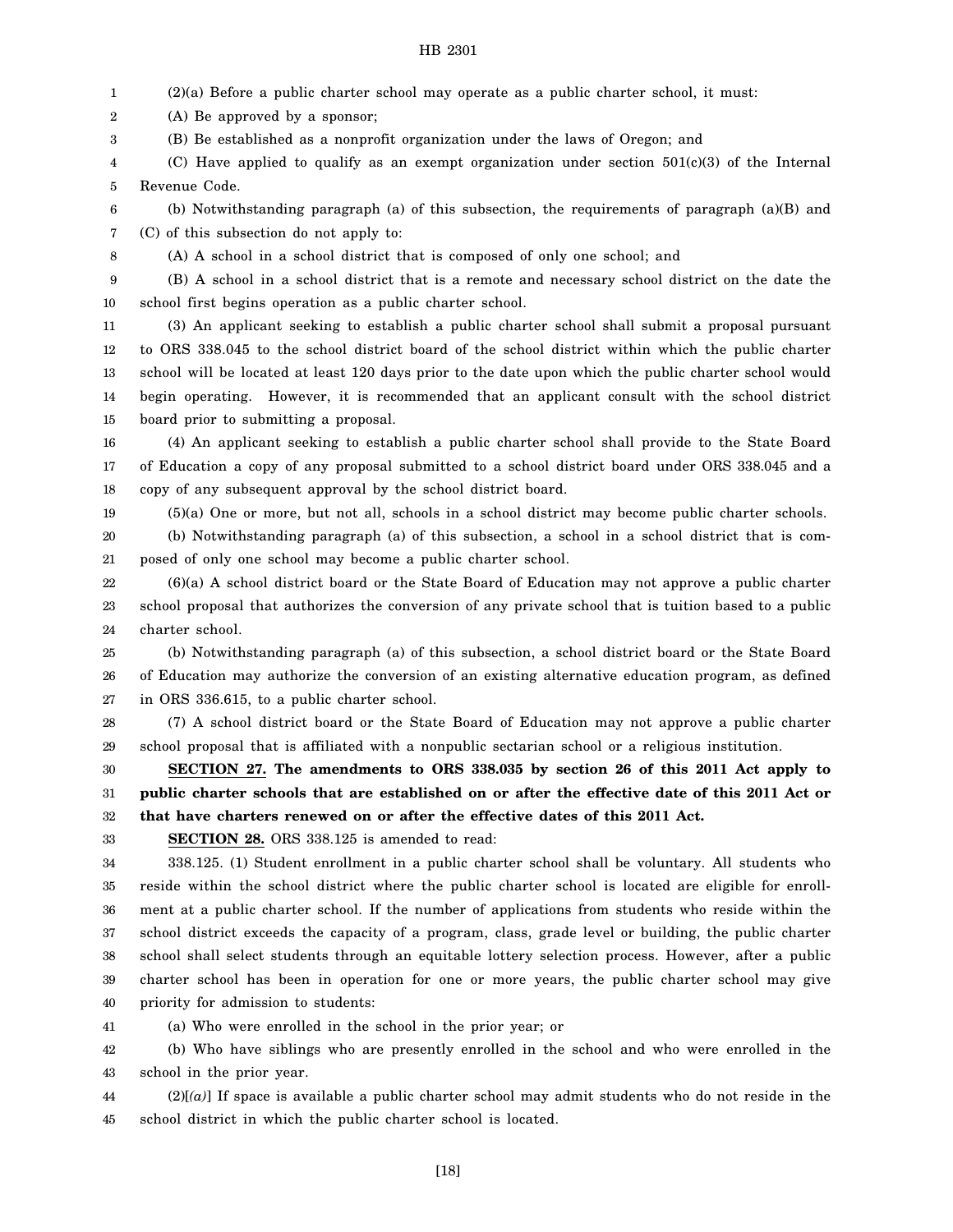1 (2)(a) Before a public charter school may operate as a public charter school, it must:

2 (A) Be approved by a sponsor;

3 (B) Be established as a nonprofit organization under the laws of Oregon; and

4 5 (C) Have applied to qualify as an exempt organization under section  $501(c)(3)$  of the Internal Revenue Code.

6 7 (b) Notwithstanding paragraph (a) of this subsection, the requirements of paragraph (a)(B) and (C) of this subsection do not apply to:

8

(A) A school in a school district that is composed of only one school; and

9 10 (B) A school in a school district that is a remote and necessary school district on the date the school first begins operation as a public charter school.

11 12 13 14 15 (3) An applicant seeking to establish a public charter school shall submit a proposal pursuant to ORS 338.045 to the school district board of the school district within which the public charter school will be located at least 120 days prior to the date upon which the public charter school would begin operating. However, it is recommended that an applicant consult with the school district board prior to submitting a proposal.

16 17 18 (4) An applicant seeking to establish a public charter school shall provide to the State Board of Education a copy of any proposal submitted to a school district board under ORS 338.045 and a copy of any subsequent approval by the school district board.

19 (5)(a) One or more, but not all, schools in a school district may become public charter schools.

20 21 (b) Notwithstanding paragraph (a) of this subsection, a school in a school district that is composed of only one school may become a public charter school.

22 23 24 (6)(a) A school district board or the State Board of Education may not approve a public charter school proposal that authorizes the conversion of any private school that is tuition based to a public charter school.

25 26 27 (b) Notwithstanding paragraph (a) of this subsection, a school district board or the State Board of Education may authorize the conversion of an existing alternative education program, as defined in ORS 336.615, to a public charter school.

28 29 (7) A school district board or the State Board of Education may not approve a public charter school proposal that is affiliated with a nonpublic sectarian school or a religious institution.

30 31 32 **SECTION 27. The amendments to ORS 338.035 by section 26 of this 2011 Act apply to public charter schools that are established on or after the effective date of this 2011 Act or that have charters renewed on or after the effective dates of this 2011 Act.**

33

**SECTION 28.** ORS 338.125 is amended to read:

34 35 36 37 38 39 40 338.125. (1) Student enrollment in a public charter school shall be voluntary. All students who reside within the school district where the public charter school is located are eligible for enrollment at a public charter school. If the number of applications from students who reside within the school district exceeds the capacity of a program, class, grade level or building, the public charter school shall select students through an equitable lottery selection process. However, after a public charter school has been in operation for one or more years, the public charter school may give priority for admission to students:

41 (a) Who were enrolled in the school in the prior year; or

42 43 (b) Who have siblings who are presently enrolled in the school and who were enrolled in the school in the prior year.

44 45 (2)[*(a)*] If space is available a public charter school may admit students who do not reside in the school district in which the public charter school is located.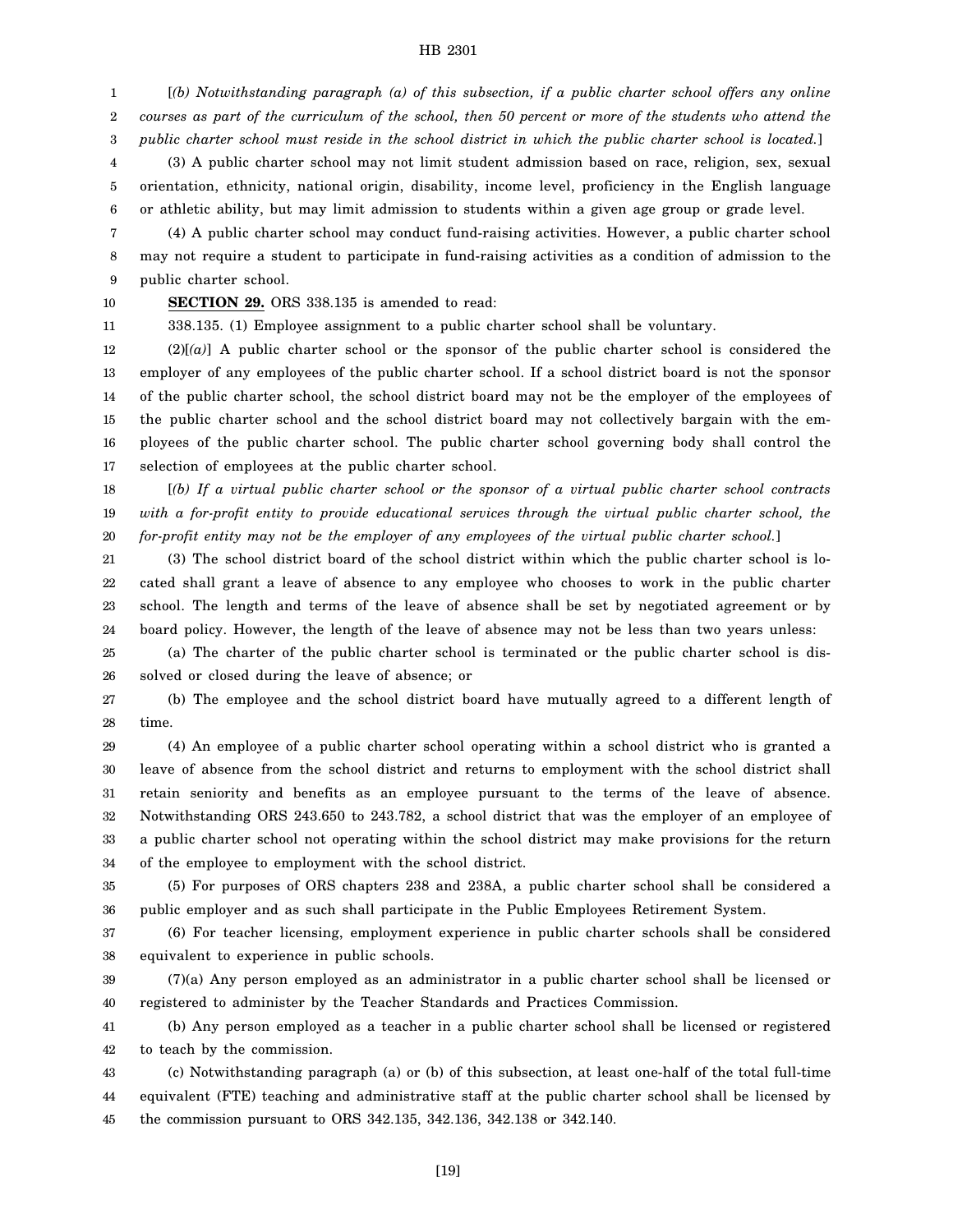1 2 3 [*(b) Notwithstanding paragraph (a) of this subsection, if a public charter school offers any online courses as part of the curriculum of the school, then 50 percent or more of the students who attend the public charter school must reside in the school district in which the public charter school is located.*]

4 5 6 (3) A public charter school may not limit student admission based on race, religion, sex, sexual orientation, ethnicity, national origin, disability, income level, proficiency in the English language or athletic ability, but may limit admission to students within a given age group or grade level.

7 8 9 (4) A public charter school may conduct fund-raising activities. However, a public charter school may not require a student to participate in fund-raising activities as a condition of admission to the public charter school.

10 11

**SECTION 29.** ORS 338.135 is amended to read:

338.135. (1) Employee assignment to a public charter school shall be voluntary.

12 13 14 15 16 17 (2)[*(a)*] A public charter school or the sponsor of the public charter school is considered the employer of any employees of the public charter school. If a school district board is not the sponsor of the public charter school, the school district board may not be the employer of the employees of the public charter school and the school district board may not collectively bargain with the employees of the public charter school. The public charter school governing body shall control the selection of employees at the public charter school.

18 19 20 [*(b) If a virtual public charter school or the sponsor of a virtual public charter school contracts with a for-profit entity to provide educational services through the virtual public charter school, the for-profit entity may not be the employer of any employees of the virtual public charter school.*]

21 22 23 24 (3) The school district board of the school district within which the public charter school is located shall grant a leave of absence to any employee who chooses to work in the public charter school. The length and terms of the leave of absence shall be set by negotiated agreement or by board policy. However, the length of the leave of absence may not be less than two years unless:

25 26 (a) The charter of the public charter school is terminated or the public charter school is dissolved or closed during the leave of absence; or

27 28 (b) The employee and the school district board have mutually agreed to a different length of time.

29 30 31 32 33 34 (4) An employee of a public charter school operating within a school district who is granted a leave of absence from the school district and returns to employment with the school district shall retain seniority and benefits as an employee pursuant to the terms of the leave of absence. Notwithstanding ORS 243.650 to 243.782, a school district that was the employer of an employee of a public charter school not operating within the school district may make provisions for the return of the employee to employment with the school district.

35 36 (5) For purposes of ORS chapters 238 and 238A, a public charter school shall be considered a public employer and as such shall participate in the Public Employees Retirement System.

37 38 (6) For teacher licensing, employment experience in public charter schools shall be considered equivalent to experience in public schools.

39 40 (7)(a) Any person employed as an administrator in a public charter school shall be licensed or registered to administer by the Teacher Standards and Practices Commission.

41 42 (b) Any person employed as a teacher in a public charter school shall be licensed or registered to teach by the commission.

43 44 45 (c) Notwithstanding paragraph (a) or (b) of this subsection, at least one-half of the total full-time equivalent (FTE) teaching and administrative staff at the public charter school shall be licensed by the commission pursuant to ORS 342.135, 342.136, 342.138 or 342.140.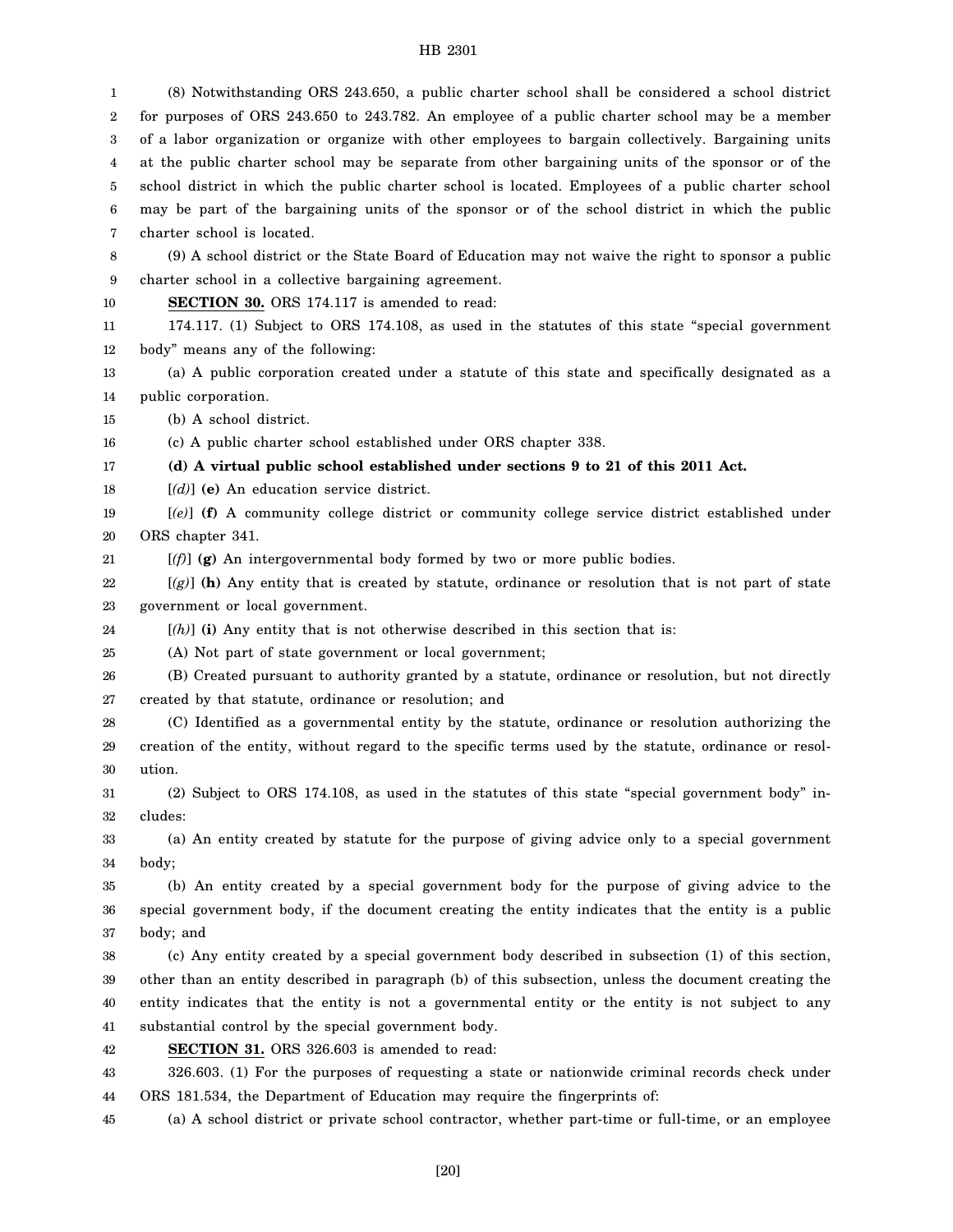1 2 3 4 5 6 7 8 9 10 11 12 13 14 15 16 17 18 19 20 21 22 23 24 25 26 27 28 29 30 31 32 33 34 35 36 37 38 39 40 41 42 43 44 45 (8) Notwithstanding ORS 243.650, a public charter school shall be considered a school district for purposes of ORS 243.650 to 243.782. An employee of a public charter school may be a member of a labor organization or organize with other employees to bargain collectively. Bargaining units at the public charter school may be separate from other bargaining units of the sponsor or of the school district in which the public charter school is located. Employees of a public charter school may be part of the bargaining units of the sponsor or of the school district in which the public charter school is located. (9) A school district or the State Board of Education may not waive the right to sponsor a public charter school in a collective bargaining agreement. **SECTION 30.** ORS 174.117 is amended to read: 174.117. (1) Subject to ORS 174.108, as used in the statutes of this state "special government body" means any of the following: (a) A public corporation created under a statute of this state and specifically designated as a public corporation. (b) A school district. (c) A public charter school established under ORS chapter 338. **(d) A virtual public school established under sections 9 to 21 of this 2011 Act.** [*(d)*] **(e)** An education service district. [*(e)*] **(f)** A community college district or community college service district established under ORS chapter 341. [*(f)*] **(g)** An intergovernmental body formed by two or more public bodies. [*(g)*] **(h)** Any entity that is created by statute, ordinance or resolution that is not part of state government or local government. [*(h)*] **(i)** Any entity that is not otherwise described in this section that is: (A) Not part of state government or local government; (B) Created pursuant to authority granted by a statute, ordinance or resolution, but not directly created by that statute, ordinance or resolution; and (C) Identified as a governmental entity by the statute, ordinance or resolution authorizing the creation of the entity, without regard to the specific terms used by the statute, ordinance or resolution. (2) Subject to ORS 174.108, as used in the statutes of this state "special government body" includes: (a) An entity created by statute for the purpose of giving advice only to a special government body; (b) An entity created by a special government body for the purpose of giving advice to the special government body, if the document creating the entity indicates that the entity is a public body; and (c) Any entity created by a special government body described in subsection (1) of this section, other than an entity described in paragraph (b) of this subsection, unless the document creating the entity indicates that the entity is not a governmental entity or the entity is not subject to any substantial control by the special government body. **SECTION 31.** ORS 326.603 is amended to read: 326.603. (1) For the purposes of requesting a state or nationwide criminal records check under ORS 181.534, the Department of Education may require the fingerprints of: (a) A school district or private school contractor, whether part-time or full-time, or an employee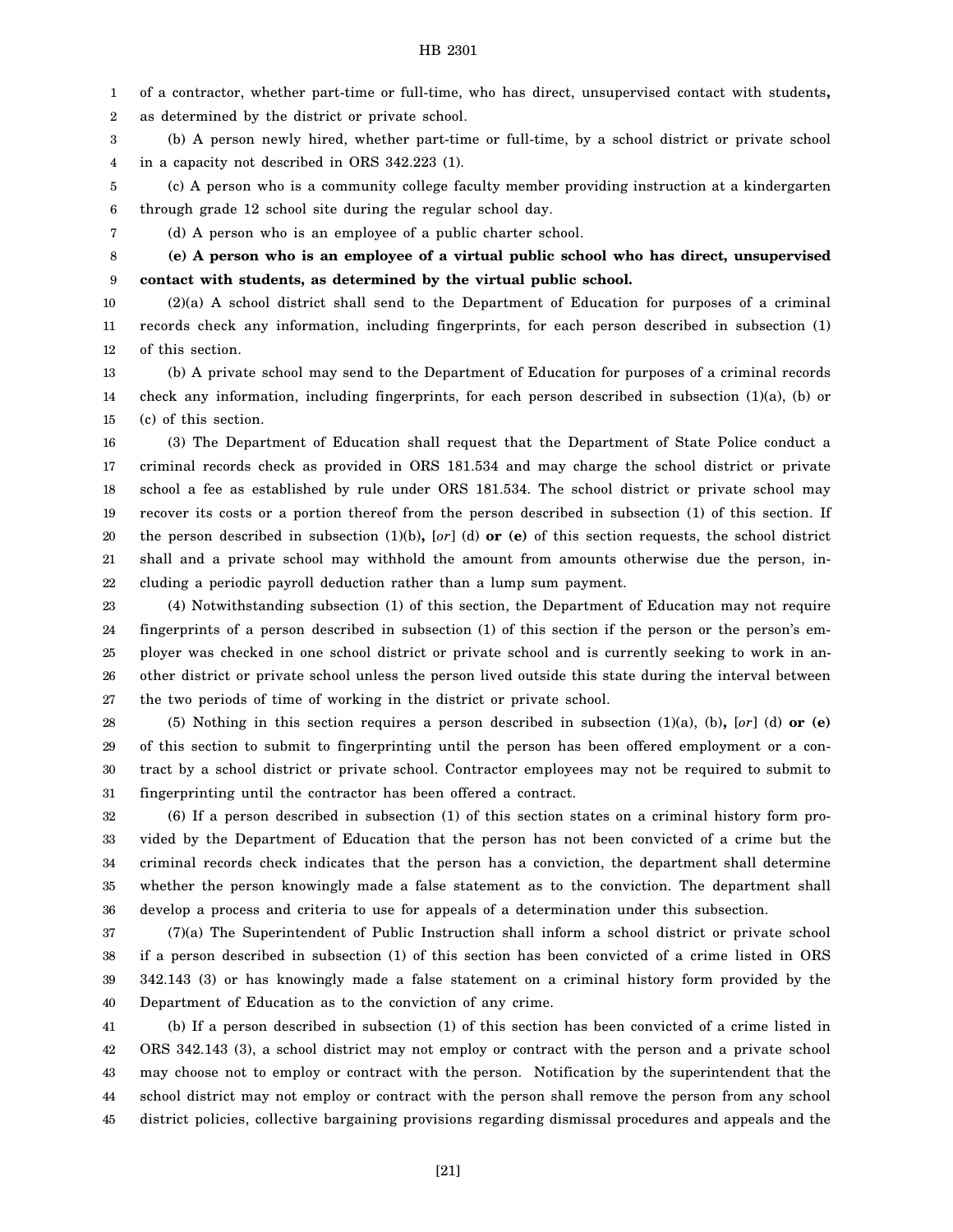1 2 of a contractor, whether part-time or full-time, who has direct, unsupervised contact with students**,** as determined by the district or private school.

3 4 (b) A person newly hired, whether part-time or full-time, by a school district or private school in a capacity not described in ORS 342.223 (1).

5 6 (c) A person who is a community college faculty member providing instruction at a kindergarten through grade 12 school site during the regular school day.

7

(d) A person who is an employee of a public charter school.

8 9 **(e) A person who is an employee of a virtual public school who has direct, unsupervised contact with students, as determined by the virtual public school.**

10 11 12 (2)(a) A school district shall send to the Department of Education for purposes of a criminal records check any information, including fingerprints, for each person described in subsection (1) of this section.

13 14 15 (b) A private school may send to the Department of Education for purposes of a criminal records check any information, including fingerprints, for each person described in subsection (1)(a), (b) or (c) of this section.

16 17 18 19 20 21 22 (3) The Department of Education shall request that the Department of State Police conduct a criminal records check as provided in ORS 181.534 and may charge the school district or private school a fee as established by rule under ORS 181.534. The school district or private school may recover its costs or a portion thereof from the person described in subsection (1) of this section. If the person described in subsection (1)(b)**,** [*or*] (d) **or (e)** of this section requests, the school district shall and a private school may withhold the amount from amounts otherwise due the person, including a periodic payroll deduction rather than a lump sum payment.

23 24 25 26 27 (4) Notwithstanding subsection (1) of this section, the Department of Education may not require fingerprints of a person described in subsection (1) of this section if the person or the person's employer was checked in one school district or private school and is currently seeking to work in another district or private school unless the person lived outside this state during the interval between the two periods of time of working in the district or private school.

28 29 30 31 (5) Nothing in this section requires a person described in subsection (1)(a), (b)**,** [*or*] (d) **or (e)** of this section to submit to fingerprinting until the person has been offered employment or a contract by a school district or private school. Contractor employees may not be required to submit to fingerprinting until the contractor has been offered a contract.

32 33 34 35 36 (6) If a person described in subsection (1) of this section states on a criminal history form provided by the Department of Education that the person has not been convicted of a crime but the criminal records check indicates that the person has a conviction, the department shall determine whether the person knowingly made a false statement as to the conviction. The department shall develop a process and criteria to use for appeals of a determination under this subsection.

37 38 39 40 (7)(a) The Superintendent of Public Instruction shall inform a school district or private school if a person described in subsection (1) of this section has been convicted of a crime listed in ORS 342.143 (3) or has knowingly made a false statement on a criminal history form provided by the Department of Education as to the conviction of any crime.

41 42 43 44 45 (b) If a person described in subsection (1) of this section has been convicted of a crime listed in ORS 342.143 (3), a school district may not employ or contract with the person and a private school may choose not to employ or contract with the person. Notification by the superintendent that the school district may not employ or contract with the person shall remove the person from any school district policies, collective bargaining provisions regarding dismissal procedures and appeals and the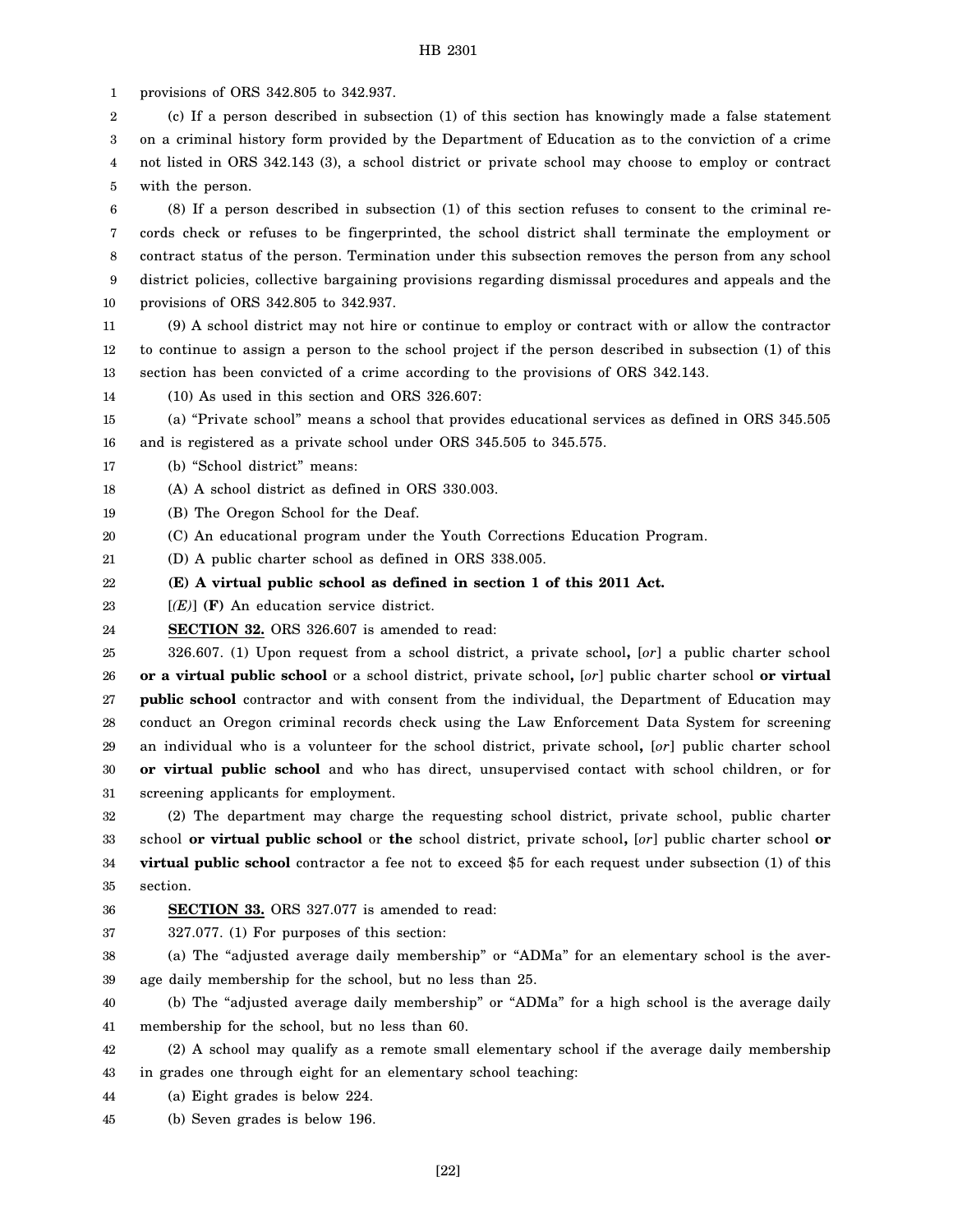1 provisions of ORS 342.805 to 342.937.

2 3 4 5 (c) If a person described in subsection (1) of this section has knowingly made a false statement on a criminal history form provided by the Department of Education as to the conviction of a crime not listed in ORS 342.143 (3), a school district or private school may choose to employ or contract with the person.

6 7 8 9 10 (8) If a person described in subsection (1) of this section refuses to consent to the criminal records check or refuses to be fingerprinted, the school district shall terminate the employment or contract status of the person. Termination under this subsection removes the person from any school district policies, collective bargaining provisions regarding dismissal procedures and appeals and the provisions of ORS 342.805 to 342.937.

11 12 13 (9) A school district may not hire or continue to employ or contract with or allow the contractor to continue to assign a person to the school project if the person described in subsection (1) of this section has been convicted of a crime according to the provisions of ORS 342.143.

14 (10) As used in this section and ORS 326.607:

15 16 (a) "Private school" means a school that provides educational services as defined in ORS 345.505 and is registered as a private school under ORS 345.505 to 345.575.

17 (b) "School district" means:

18 (A) A school district as defined in ORS 330.003.

19 (B) The Oregon School for the Deaf.

20 (C) An educational program under the Youth Corrections Education Program.

21 (D) A public charter school as defined in ORS 338.005.

- 22 **(E) A virtual public school as defined in section 1 of this 2011 Act.**
- 23 [*(E)*] **(F)** An education service district.
- 24 **SECTION 32.** ORS 326.607 is amended to read:

25 26 27 28 29 30 31 326.607. (1) Upon request from a school district, a private school**,** [*or*] a public charter school **or a virtual public school** or a school district, private school**,** [*or*] public charter school **or virtual public school** contractor and with consent from the individual, the Department of Education may conduct an Oregon criminal records check using the Law Enforcement Data System for screening an individual who is a volunteer for the school district, private school**,** [*or*] public charter school **or virtual public school** and who has direct, unsupervised contact with school children, or for screening applicants for employment.

32 33 34 35 (2) The department may charge the requesting school district, private school, public charter school **or virtual public school** or **the** school district, private school**,** [*or*] public charter school **or virtual public school** contractor a fee not to exceed \$5 for each request under subsection (1) of this section.

- 36 **SECTION 33.** ORS 327.077 is amended to read:
- 37 327.077. (1) For purposes of this section:

38 39 (a) The "adjusted average daily membership" or "ADMa" for an elementary school is the average daily membership for the school, but no less than 25.

40 41 (b) The "adjusted average daily membership" or "ADMa" for a high school is the average daily membership for the school, but no less than 60.

42 43 (2) A school may qualify as a remote small elementary school if the average daily membership in grades one through eight for an elementary school teaching:

44 (a) Eight grades is below 224.

45 (b) Seven grades is below 196.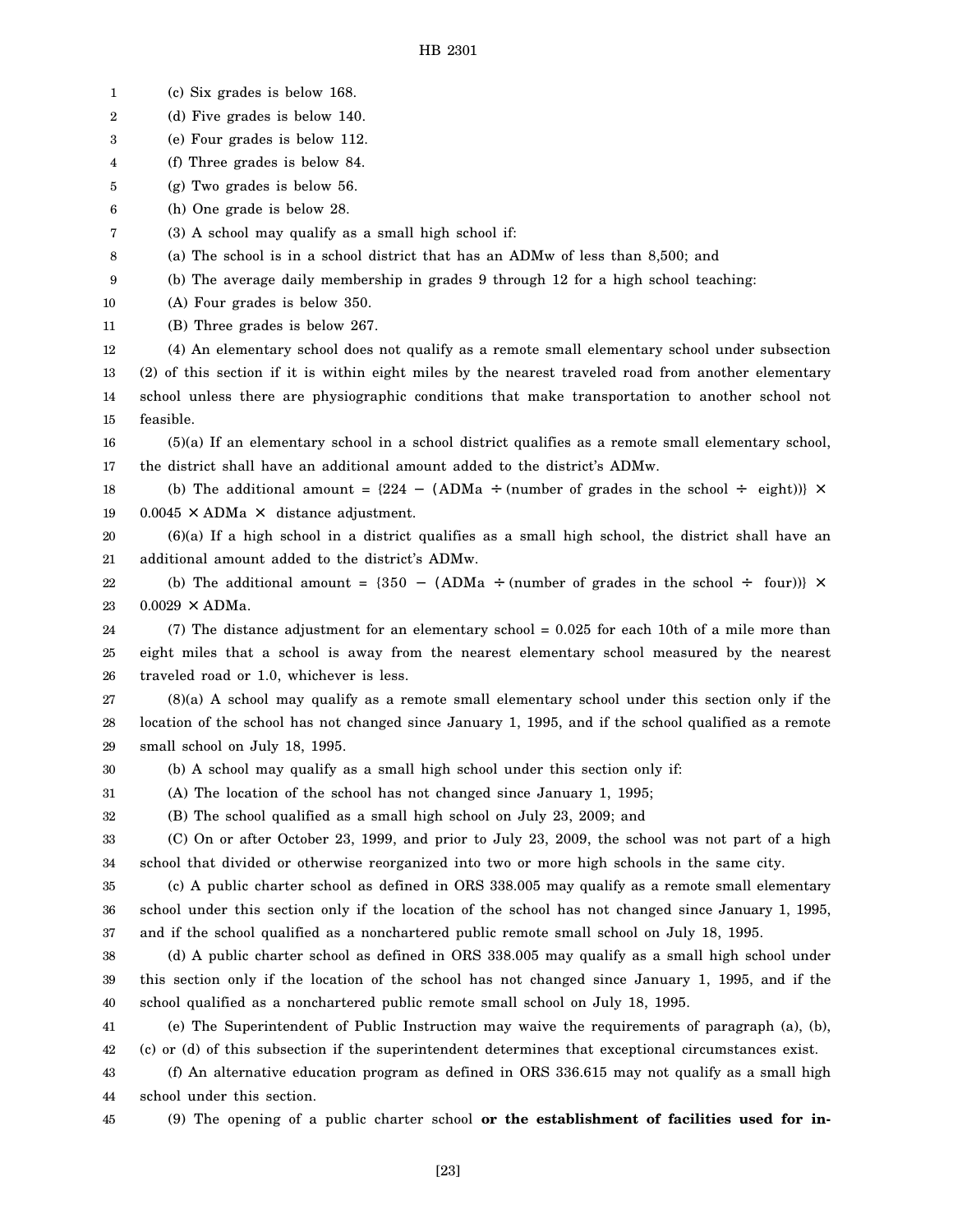1 2 3 4 5 6 7 8 9 10 11 12 13 14 15 16 17 18 19 20 21 22 23 24 25 26 27 28 29 30 31 32 33 34 35 36 37 38 39 40 41 42 43 44 45 (c) Six grades is below 168. (d) Five grades is below 140. (e) Four grades is below 112. (f) Three grades is below 84. (g) Two grades is below 56. (h) One grade is below 28. (3) A school may qualify as a small high school if: (a) The school is in a school district that has an ADMw of less than 8,500; and (b) The average daily membership in grades 9 through 12 for a high school teaching: (A) Four grades is below 350. (B) Three grades is below 267. (4) An elementary school does not qualify as a remote small elementary school under subsection (2) of this section if it is within eight miles by the nearest traveled road from another elementary school unless there are physiographic conditions that make transportation to another school not feasible. (5)(a) If an elementary school in a school district qualifies as a remote small elementary school, the district shall have an additional amount added to the district's ADMw. (b) The additional amount =  $\{224 - (ADMa + (number of grades in the school \div eight))\} \times$  $0.0045 \times$  ADMa  $\times$  distance adjustment. (6)(a) If a high school in a district qualifies as a small high school, the district shall have an additional amount added to the district's ADMw. (b) The additional amount =  $\{350 - (ADMa \div (number of grades in the school \div four))\} \times$  $0.0029 \times$  ADMa. (7) The distance adjustment for an elementary school = 0.025 for each 10th of a mile more than eight miles that a school is away from the nearest elementary school measured by the nearest traveled road or 1.0, whichever is less. (8)(a) A school may qualify as a remote small elementary school under this section only if the location of the school has not changed since January 1, 1995, and if the school qualified as a remote small school on July 18, 1995. (b) A school may qualify as a small high school under this section only if: (A) The location of the school has not changed since January 1, 1995; (B) The school qualified as a small high school on July 23, 2009; and (C) On or after October 23, 1999, and prior to July 23, 2009, the school was not part of a high school that divided or otherwise reorganized into two or more high schools in the same city. (c) A public charter school as defined in ORS 338.005 may qualify as a remote small elementary school under this section only if the location of the school has not changed since January 1, 1995, and if the school qualified as a nonchartered public remote small school on July 18, 1995. (d) A public charter school as defined in ORS 338.005 may qualify as a small high school under this section only if the location of the school has not changed since January 1, 1995, and if the school qualified as a nonchartered public remote small school on July 18, 1995. (e) The Superintendent of Public Instruction may waive the requirements of paragraph (a), (b), (c) or (d) of this subsection if the superintendent determines that exceptional circumstances exist. (f) An alternative education program as defined in ORS 336.615 may not qualify as a small high school under this section. (9) The opening of a public charter school **or the establishment of facilities used for in-**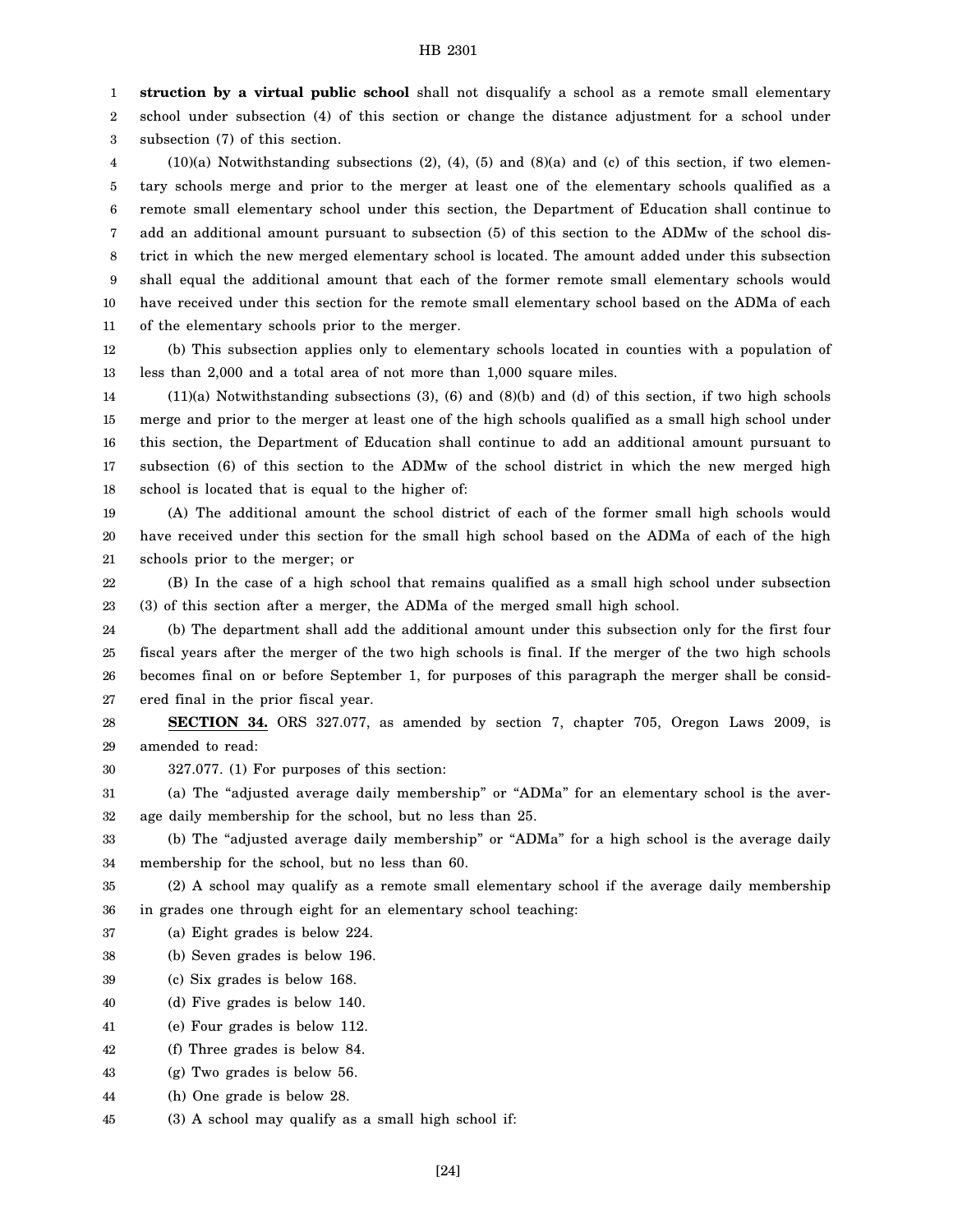1 **struction by a virtual public school** shall not disqualify a school as a remote small elementary

2 3 school under subsection (4) of this section or change the distance adjustment for a school under subsection (7) of this section.

4 5 6 7 8 9 10 11  $(10)(a)$  Notwithstanding subsections  $(2)$ ,  $(4)$ ,  $(5)$  and  $(8)(a)$  and  $(c)$  of this section, if two elementary schools merge and prior to the merger at least one of the elementary schools qualified as a remote small elementary school under this section, the Department of Education shall continue to add an additional amount pursuant to subsection (5) of this section to the ADMw of the school district in which the new merged elementary school is located. The amount added under this subsection shall equal the additional amount that each of the former remote small elementary schools would have received under this section for the remote small elementary school based on the ADMa of each of the elementary schools prior to the merger.

12 13 (b) This subsection applies only to elementary schools located in counties with a population of less than 2,000 and a total area of not more than 1,000 square miles.

14 15 16 17 18 (11)(a) Notwithstanding subsections (3), (6) and (8)(b) and (d) of this section, if two high schools merge and prior to the merger at least one of the high schools qualified as a small high school under this section, the Department of Education shall continue to add an additional amount pursuant to subsection (6) of this section to the ADMw of the school district in which the new merged high school is located that is equal to the higher of:

19 20 21 (A) The additional amount the school district of each of the former small high schools would have received under this section for the small high school based on the ADMa of each of the high schools prior to the merger; or

22 23 (B) In the case of a high school that remains qualified as a small high school under subsection (3) of this section after a merger, the ADMa of the merged small high school.

24 25 26 27 (b) The department shall add the additional amount under this subsection only for the first four fiscal years after the merger of the two high schools is final. If the merger of the two high schools becomes final on or before September 1, for purposes of this paragraph the merger shall be considered final in the prior fiscal year.

28 29 **SECTION 34.** ORS 327.077, as amended by section 7, chapter 705, Oregon Laws 2009, is amended to read:

30 327.077. (1) For purposes of this section:

31 32 (a) The "adjusted average daily membership" or "ADMa" for an elementary school is the average daily membership for the school, but no less than 25.

33 34 (b) The "adjusted average daily membership" or "ADMa" for a high school is the average daily membership for the school, but no less than 60.

35 36 (2) A school may qualify as a remote small elementary school if the average daily membership in grades one through eight for an elementary school teaching:

37 (a) Eight grades is below 224.

38 (b) Seven grades is below 196.

- 39 (c) Six grades is below 168.
- 40 (d) Five grades is below 140.
- 41 (e) Four grades is below 112.
- 42 (f) Three grades is below 84.
- 43 (g) Two grades is below 56.
- 44 (h) One grade is below 28.
- 45 (3) A school may qualify as a small high school if: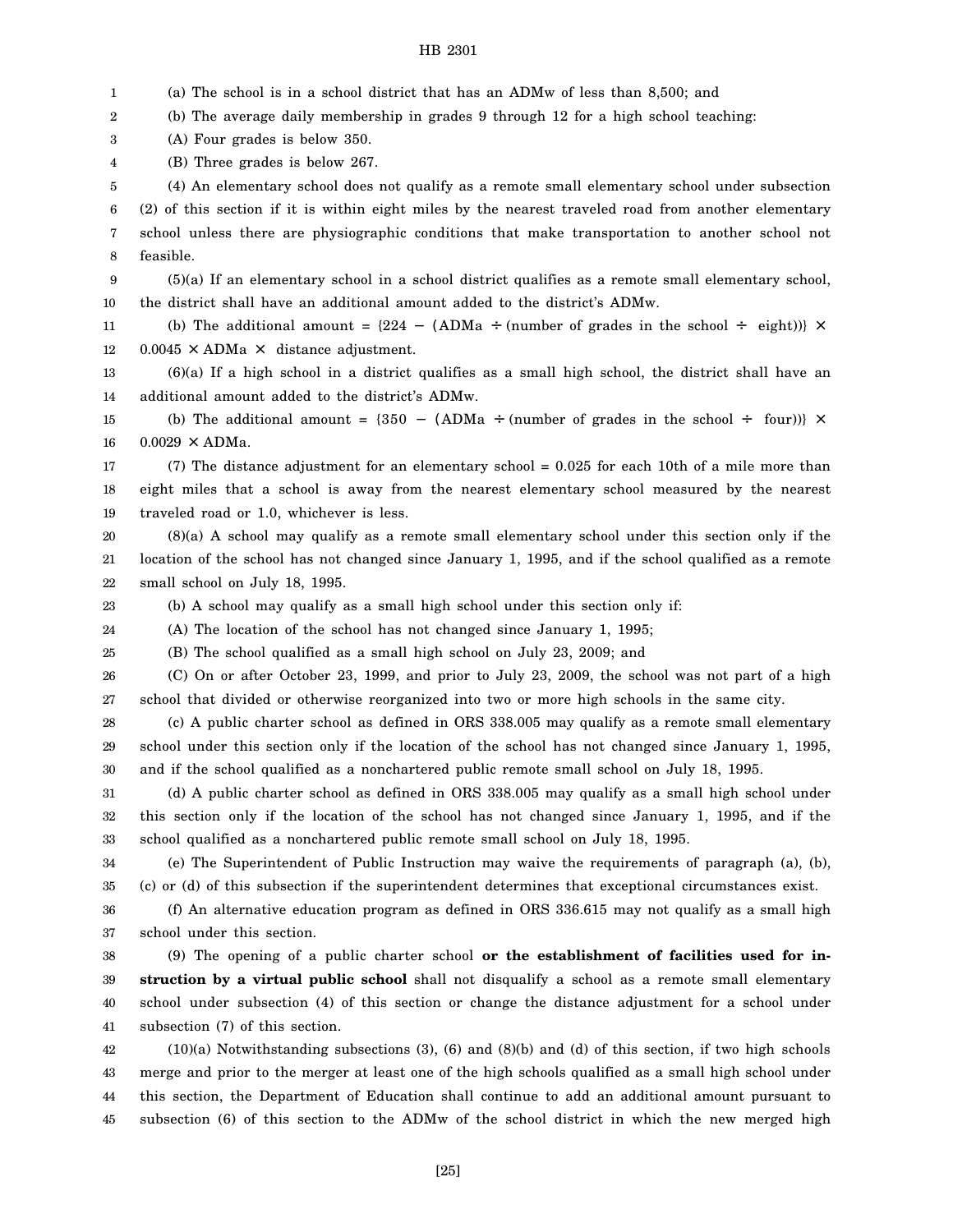1 2 3 4 5 6 7 8 9 10 11 12 13 14 15 16 17 18 19 20 21 22 23 24 25 26 27 28 29 30 31 32 33 34 35 36 37 38 39 40 41 42 43 44 (a) The school is in a school district that has an ADMw of less than 8,500; and (b) The average daily membership in grades 9 through 12 for a high school teaching: (A) Four grades is below 350. (B) Three grades is below 267. (4) An elementary school does not qualify as a remote small elementary school under subsection (2) of this section if it is within eight miles by the nearest traveled road from another elementary school unless there are physiographic conditions that make transportation to another school not feasible. (5)(a) If an elementary school in a school district qualifies as a remote small elementary school, the district shall have an additional amount added to the district's ADMw. (b) The additional amount =  $\{224 - (ADMa \div (number of grades in the school \div eight))\} \times$  $0.0045 \times$  ADMa  $\times$  distance adjustment. (6)(a) If a high school in a district qualifies as a small high school, the district shall have an additional amount added to the district's ADMw. (b) The additional amount = {350 - (ADMa ÷ (number of grades in the school ÷ four))}  $\times$  $0.0029 \times$  ADMa. (7) The distance adjustment for an elementary school = 0.025 for each 10th of a mile more than eight miles that a school is away from the nearest elementary school measured by the nearest traveled road or 1.0, whichever is less. (8)(a) A school may qualify as a remote small elementary school under this section only if the location of the school has not changed since January 1, 1995, and if the school qualified as a remote small school on July 18, 1995. (b) A school may qualify as a small high school under this section only if: (A) The location of the school has not changed since January 1, 1995; (B) The school qualified as a small high school on July 23, 2009; and (C) On or after October 23, 1999, and prior to July 23, 2009, the school was not part of a high school that divided or otherwise reorganized into two or more high schools in the same city. (c) A public charter school as defined in ORS 338.005 may qualify as a remote small elementary school under this section only if the location of the school has not changed since January 1, 1995, and if the school qualified as a nonchartered public remote small school on July 18, 1995. (d) A public charter school as defined in ORS 338.005 may qualify as a small high school under this section only if the location of the school has not changed since January 1, 1995, and if the school qualified as a nonchartered public remote small school on July 18, 1995. (e) The Superintendent of Public Instruction may waive the requirements of paragraph (a), (b), (c) or (d) of this subsection if the superintendent determines that exceptional circumstances exist. (f) An alternative education program as defined in ORS 336.615 may not qualify as a small high school under this section. (9) The opening of a public charter school **or the establishment of facilities used for instruction by a virtual public school** shall not disqualify a school as a remote small elementary school under subsection (4) of this section or change the distance adjustment for a school under subsection (7) of this section. (10)(a) Notwithstanding subsections (3), (6) and (8)(b) and (d) of this section, if two high schools merge and prior to the merger at least one of the high schools qualified as a small high school under this section, the Department of Education shall continue to add an additional amount pursuant to

subsection (6) of this section to the ADMw of the school district in which the new merged high

45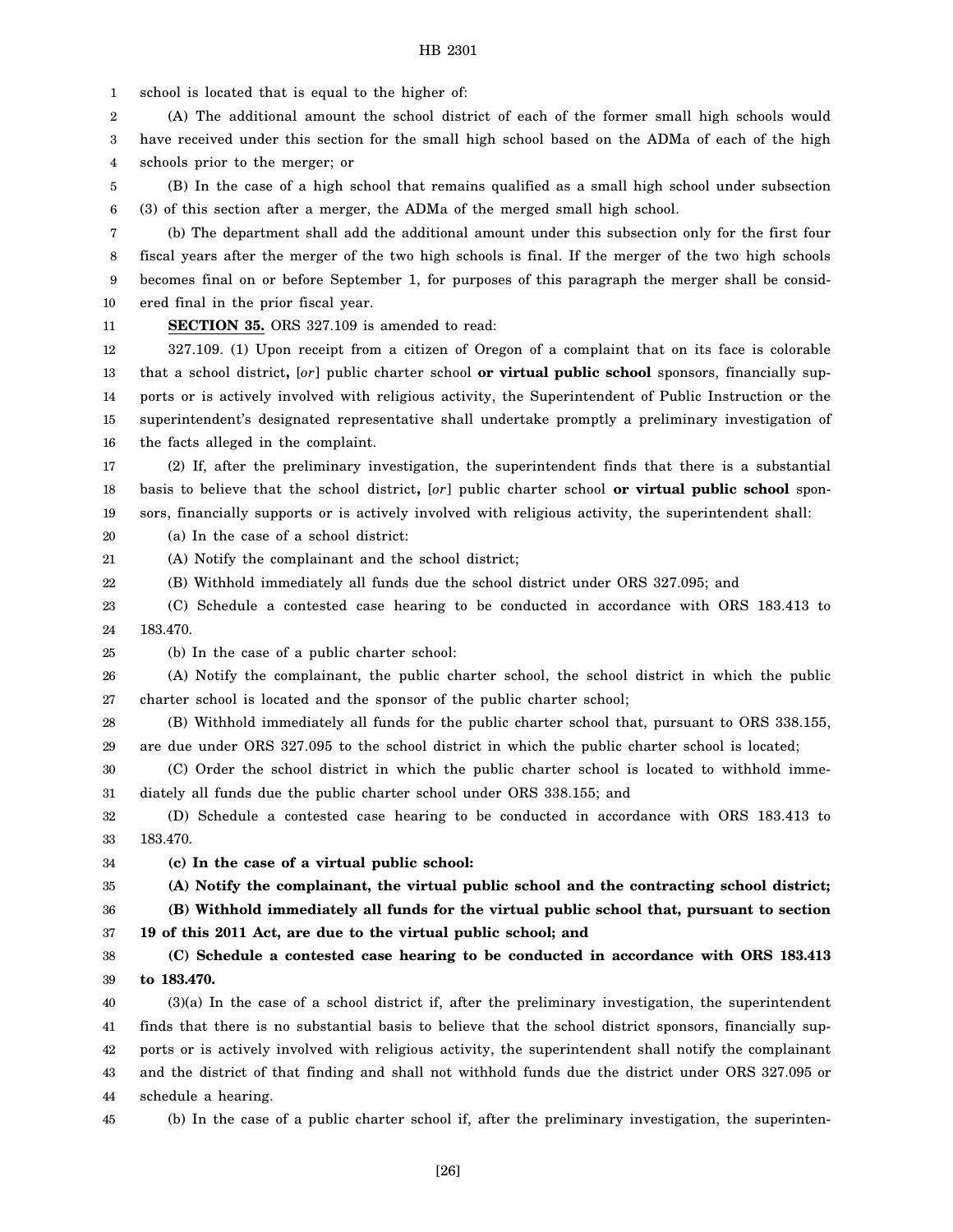1 school is located that is equal to the higher of:

2 3 4 (A) The additional amount the school district of each of the former small high schools would have received under this section for the small high school based on the ADMa of each of the high schools prior to the merger; or

5 6 (B) In the case of a high school that remains qualified as a small high school under subsection (3) of this section after a merger, the ADMa of the merged small high school.

7 8 9 10 (b) The department shall add the additional amount under this subsection only for the first four fiscal years after the merger of the two high schools is final. If the merger of the two high schools becomes final on or before September 1, for purposes of this paragraph the merger shall be considered final in the prior fiscal year.

11

**SECTION 35.** ORS 327.109 is amended to read:

12 13 14 15 16 327.109. (1) Upon receipt from a citizen of Oregon of a complaint that on its face is colorable that a school district**,** [*or*] public charter school **or virtual public school** sponsors, financially supports or is actively involved with religious activity, the Superintendent of Public Instruction or the superintendent's designated representative shall undertake promptly a preliminary investigation of the facts alleged in the complaint.

17 18 19 (2) If, after the preliminary investigation, the superintendent finds that there is a substantial basis to believe that the school district**,** [*or*] public charter school **or virtual public school** sponsors, financially supports or is actively involved with religious activity, the superintendent shall:

20 (a) In the case of a school district:

21 (A) Notify the complainant and the school district;

22 (B) Withhold immediately all funds due the school district under ORS 327.095; and

23 24 (C) Schedule a contested case hearing to be conducted in accordance with ORS 183.413 to 183.470.

25

(b) In the case of a public charter school:

26 27 (A) Notify the complainant, the public charter school, the school district in which the public charter school is located and the sponsor of the public charter school;

28 29 (B) Withhold immediately all funds for the public charter school that, pursuant to ORS 338.155, are due under ORS 327.095 to the school district in which the public charter school is located;

30 31 (C) Order the school district in which the public charter school is located to withhold immediately all funds due the public charter school under ORS 338.155; and

32 33 (D) Schedule a contested case hearing to be conducted in accordance with ORS 183.413 to 183.470.

34 **(c) In the case of a virtual public school:**

35 **(A) Notify the complainant, the virtual public school and the contracting school district;**

36

**(B) Withhold immediately all funds for the virtual public school that, pursuant to section 19 of this 2011 Act, are due to the virtual public school; and**

37 38 **(C) Schedule a contested case hearing to be conducted in accordance with ORS 183.413**

39 **to 183.470.**

40 41 42 43 (3)(a) In the case of a school district if, after the preliminary investigation, the superintendent finds that there is no substantial basis to believe that the school district sponsors, financially supports or is actively involved with religious activity, the superintendent shall notify the complainant and the district of that finding and shall not withhold funds due the district under ORS 327.095 or

44 schedule a hearing.

45 (b) In the case of a public charter school if, after the preliminary investigation, the superinten-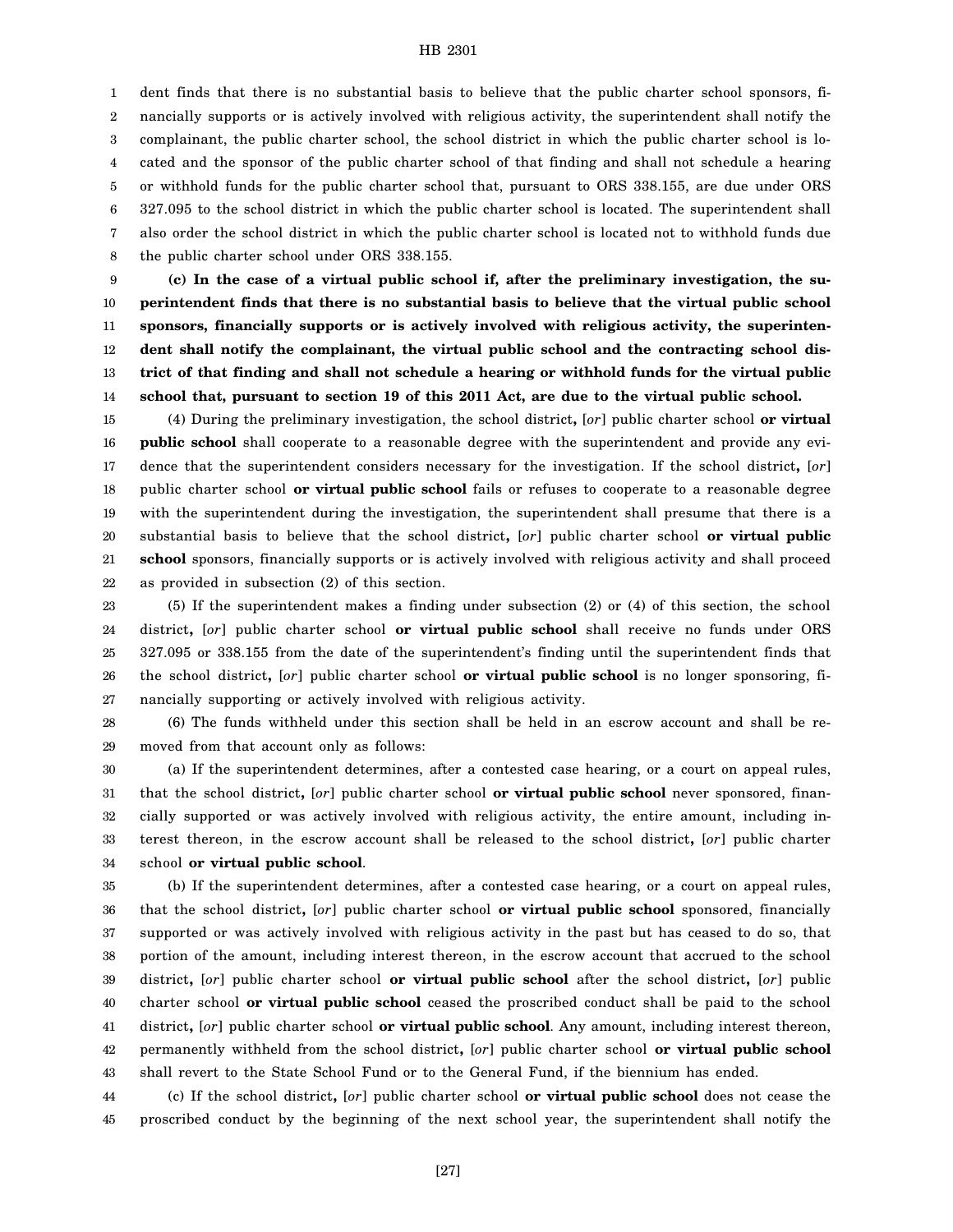1 2 3 4 5 6 7 8 dent finds that there is no substantial basis to believe that the public charter school sponsors, financially supports or is actively involved with religious activity, the superintendent shall notify the complainant, the public charter school, the school district in which the public charter school is located and the sponsor of the public charter school of that finding and shall not schedule a hearing or withhold funds for the public charter school that, pursuant to ORS 338.155, are due under ORS 327.095 to the school district in which the public charter school is located. The superintendent shall also order the school district in which the public charter school is located not to withhold funds due the public charter school under ORS 338.155.

9 10 11 12 13 14 **(c) In the case of a virtual public school if, after the preliminary investigation, the superintendent finds that there is no substantial basis to believe that the virtual public school sponsors, financially supports or is actively involved with religious activity, the superintendent shall notify the complainant, the virtual public school and the contracting school district of that finding and shall not schedule a hearing or withhold funds for the virtual public school that, pursuant to section 19 of this 2011 Act, are due to the virtual public school.**

15 16 17 18 19 20 21 22 (4) During the preliminary investigation, the school district**,** [*or*] public charter school **or virtual public school** shall cooperate to a reasonable degree with the superintendent and provide any evidence that the superintendent considers necessary for the investigation. If the school district**,** [*or*] public charter school **or virtual public school** fails or refuses to cooperate to a reasonable degree with the superintendent during the investigation, the superintendent shall presume that there is a substantial basis to believe that the school district**,** [*or*] public charter school **or virtual public school** sponsors, financially supports or is actively involved with religious activity and shall proceed as provided in subsection (2) of this section.

23 24 25 26 27 (5) If the superintendent makes a finding under subsection (2) or (4) of this section, the school district**,** [*or*] public charter school **or virtual public school** shall receive no funds under ORS 327.095 or 338.155 from the date of the superintendent's finding until the superintendent finds that the school district**,** [*or*] public charter school **or virtual public school** is no longer sponsoring, financially supporting or actively involved with religious activity.

28 29 (6) The funds withheld under this section shall be held in an escrow account and shall be removed from that account only as follows:

30 31 32 33 34 (a) If the superintendent determines, after a contested case hearing, or a court on appeal rules, that the school district**,** [*or*] public charter school **or virtual public school** never sponsored, financially supported or was actively involved with religious activity, the entire amount, including interest thereon, in the escrow account shall be released to the school district**,** [*or*] public charter school **or virtual public school**.

35 36 37 38 39 40 41 42 43 (b) If the superintendent determines, after a contested case hearing, or a court on appeal rules, that the school district**,** [*or*] public charter school **or virtual public school** sponsored, financially supported or was actively involved with religious activity in the past but has ceased to do so, that portion of the amount, including interest thereon, in the escrow account that accrued to the school district**,** [*or*] public charter school **or virtual public school** after the school district**,** [*or*] public charter school **or virtual public school** ceased the proscribed conduct shall be paid to the school district**,** [*or*] public charter school **or virtual public school**. Any amount, including interest thereon, permanently withheld from the school district**,** [*or*] public charter school **or virtual public school** shall revert to the State School Fund or to the General Fund, if the biennium has ended.

44 45 (c) If the school district**,** [*or*] public charter school **or virtual public school** does not cease the proscribed conduct by the beginning of the next school year, the superintendent shall notify the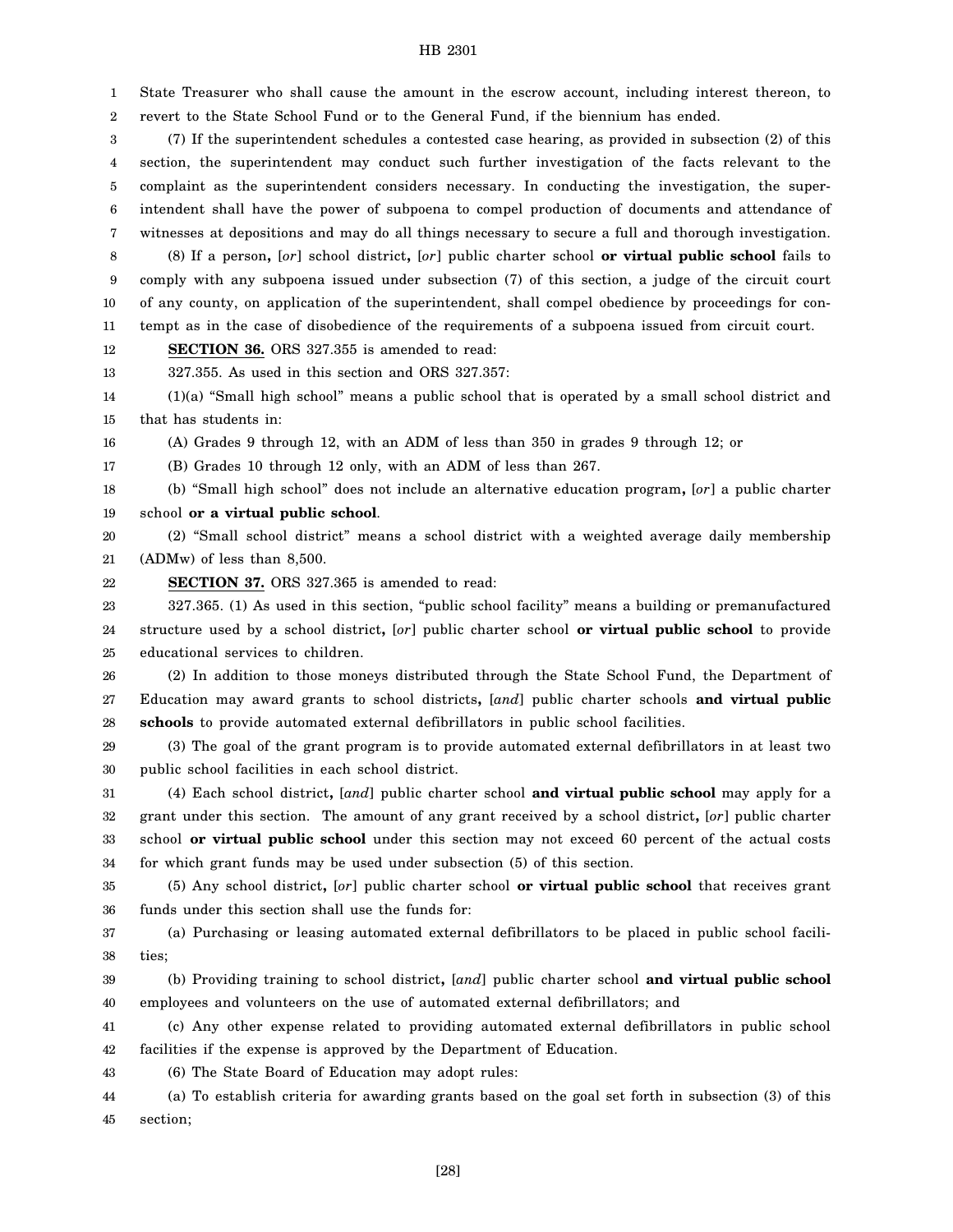1 2 State Treasurer who shall cause the amount in the escrow account, including interest thereon, to revert to the State School Fund or to the General Fund, if the biennium has ended.

3 4 5 6 7 8 (7) If the superintendent schedules a contested case hearing, as provided in subsection (2) of this section, the superintendent may conduct such further investigation of the facts relevant to the complaint as the superintendent considers necessary. In conducting the investigation, the superintendent shall have the power of subpoena to compel production of documents and attendance of witnesses at depositions and may do all things necessary to secure a full and thorough investigation. (8) If a person**,** [*or*] school district**,** [*or*] public charter school **or virtual public school** fails to

9 10 11 comply with any subpoena issued under subsection (7) of this section, a judge of the circuit court of any county, on application of the superintendent, shall compel obedience by proceedings for contempt as in the case of disobedience of the requirements of a subpoena issued from circuit court.

12 **SECTION 36.** ORS 327.355 is amended to read:

13 327.355. As used in this section and ORS 327.357:

14 15 (1)(a) "Small high school" means a public school that is operated by a small school district and that has students in:

16 (A) Grades 9 through 12, with an ADM of less than 350 in grades 9 through 12; or

17 (B) Grades 10 through 12 only, with an ADM of less than 267.

18 19 (b) "Small high school" does not include an alternative education program**,** [*or*] a public charter school **or a virtual public school**.

20 21 (2) "Small school district" means a school district with a weighted average daily membership (ADMw) of less than 8,500.

22 **SECTION 37.** ORS 327.365 is amended to read:

23 24 25 327.365. (1) As used in this section, "public school facility" means a building or premanufactured structure used by a school district**,** [*or*] public charter school **or virtual public school** to provide educational services to children.

26 27 28 (2) In addition to those moneys distributed through the State School Fund, the Department of Education may award grants to school districts**,** [*and*] public charter schools **and virtual public schools** to provide automated external defibrillators in public school facilities.

29 30 (3) The goal of the grant program is to provide automated external defibrillators in at least two public school facilities in each school district.

31 32 33 34 (4) Each school district**,** [*and*] public charter school **and virtual public school** may apply for a grant under this section. The amount of any grant received by a school district**,** [*or*] public charter school **or virtual public school** under this section may not exceed 60 percent of the actual costs for which grant funds may be used under subsection (5) of this section.

35 36 (5) Any school district**,** [*or*] public charter school **or virtual public school** that receives grant funds under this section shall use the funds for:

37 38 (a) Purchasing or leasing automated external defibrillators to be placed in public school facilities;

39 40 (b) Providing training to school district**,** [*and*] public charter school **and virtual public school** employees and volunteers on the use of automated external defibrillators; and

41 42 (c) Any other expense related to providing automated external defibrillators in public school facilities if the expense is approved by the Department of Education.

43 (6) The State Board of Education may adopt rules:

44 45 (a) To establish criteria for awarding grants based on the goal set forth in subsection (3) of this section;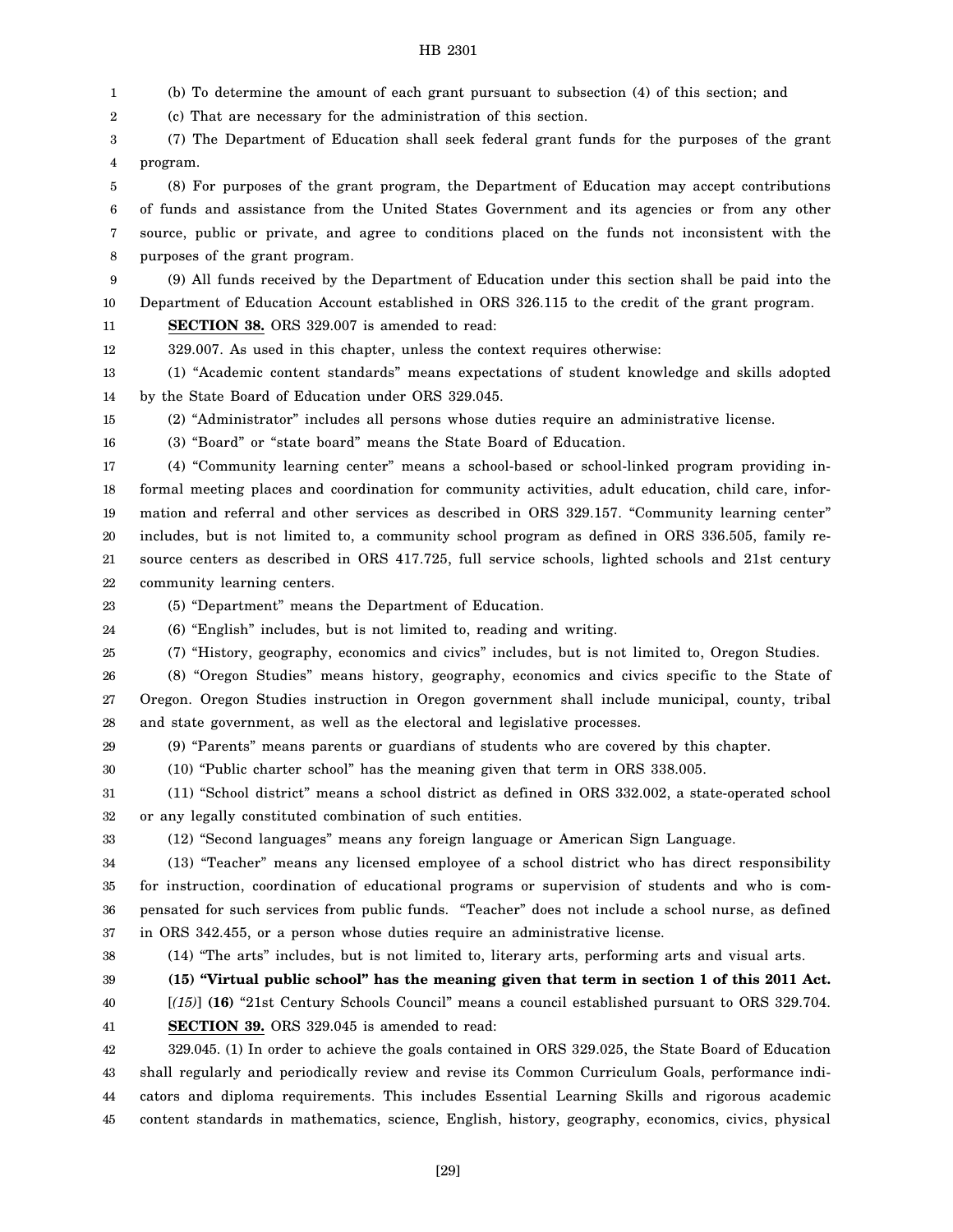1 2 3 4 5 6 7 8 9 10 11 12 13 14 15 16 17 18 19 20 21 22 23 24 25 26 27 28 29 30 31 32 33 34 35 36 37 38 39 40 41 42 43 44 45 (b) To determine the amount of each grant pursuant to subsection (4) of this section; and (c) That are necessary for the administration of this section. (7) The Department of Education shall seek federal grant funds for the purposes of the grant program. (8) For purposes of the grant program, the Department of Education may accept contributions of funds and assistance from the United States Government and its agencies or from any other source, public or private, and agree to conditions placed on the funds not inconsistent with the purposes of the grant program. (9) All funds received by the Department of Education under this section shall be paid into the Department of Education Account established in ORS 326.115 to the credit of the grant program. **SECTION 38.** ORS 329.007 is amended to read: 329.007. As used in this chapter, unless the context requires otherwise: (1) "Academic content standards" means expectations of student knowledge and skills adopted by the State Board of Education under ORS 329.045. (2) "Administrator" includes all persons whose duties require an administrative license. (3) "Board" or "state board" means the State Board of Education. (4) "Community learning center" means a school-based or school-linked program providing informal meeting places and coordination for community activities, adult education, child care, information and referral and other services as described in ORS 329.157. "Community learning center" includes, but is not limited to, a community school program as defined in ORS 336.505, family resource centers as described in ORS 417.725, full service schools, lighted schools and 21st century community learning centers. (5) "Department" means the Department of Education. (6) "English" includes, but is not limited to, reading and writing. (7) "History, geography, economics and civics" includes, but is not limited to, Oregon Studies. (8) "Oregon Studies" means history, geography, economics and civics specific to the State of Oregon. Oregon Studies instruction in Oregon government shall include municipal, county, tribal and state government, as well as the electoral and legislative processes. (9) "Parents" means parents or guardians of students who are covered by this chapter. (10) "Public charter school" has the meaning given that term in ORS 338.005. (11) "School district" means a school district as defined in ORS 332.002, a state-operated school or any legally constituted combination of such entities. (12) "Second languages" means any foreign language or American Sign Language. (13) "Teacher" means any licensed employee of a school district who has direct responsibility for instruction, coordination of educational programs or supervision of students and who is compensated for such services from public funds. "Teacher" does not include a school nurse, as defined in ORS 342.455, or a person whose duties require an administrative license. (14) "The arts" includes, but is not limited to, literary arts, performing arts and visual arts. **(15) "Virtual public school" has the meaning given that term in section 1 of this 2011 Act.** [*(15)*] **(16)** "21st Century Schools Council" means a council established pursuant to ORS 329.704. **SECTION 39.** ORS 329.045 is amended to read: 329.045. (1) In order to achieve the goals contained in ORS 329.025, the State Board of Education shall regularly and periodically review and revise its Common Curriculum Goals, performance indicators and diploma requirements. This includes Essential Learning Skills and rigorous academic content standards in mathematics, science, English, history, geography, economics, civics, physical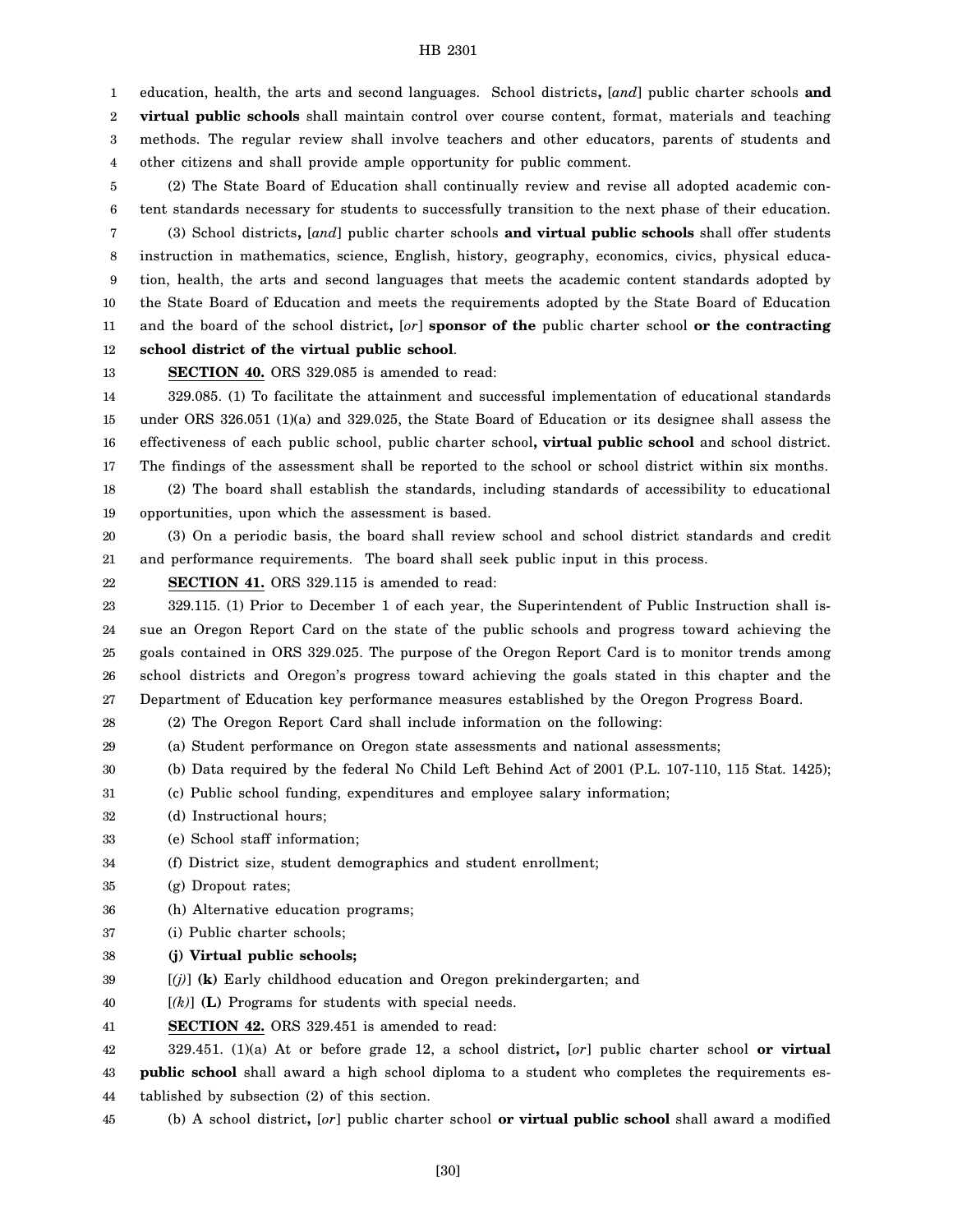1 2 education, health, the arts and second languages. School districts**,** [*and*] public charter schools **and virtual public schools** shall maintain control over course content, format, materials and teaching

3 4 methods. The regular review shall involve teachers and other educators, parents of students and other citizens and shall provide ample opportunity for public comment.

5 6 7 8 9 10 11 12 (2) The State Board of Education shall continually review and revise all adopted academic content standards necessary for students to successfully transition to the next phase of their education. (3) School districts**,** [*and*] public charter schools **and virtual public schools** shall offer students instruction in mathematics, science, English, history, geography, economics, civics, physical education, health, the arts and second languages that meets the academic content standards adopted by the State Board of Education and meets the requirements adopted by the State Board of Education and the board of the school district**,** [*or*] **sponsor of the** public charter school **or the contracting school district of the virtual public school**.

13

**SECTION 40.** ORS 329.085 is amended to read:

14 15 16 17 329.085. (1) To facilitate the attainment and successful implementation of educational standards under ORS 326.051 (1)(a) and 329.025, the State Board of Education or its designee shall assess the effectiveness of each public school, public charter school**, virtual public school** and school district. The findings of the assessment shall be reported to the school or school district within six months.

18 19 (2) The board shall establish the standards, including standards of accessibility to educational opportunities, upon which the assessment is based.

20 21 (3) On a periodic basis, the board shall review school and school district standards and credit and performance requirements. The board shall seek public input in this process.

22 **SECTION 41.** ORS 329.115 is amended to read:

23 24 25 26 27 329.115. (1) Prior to December 1 of each year, the Superintendent of Public Instruction shall issue an Oregon Report Card on the state of the public schools and progress toward achieving the goals contained in ORS 329.025. The purpose of the Oregon Report Card is to monitor trends among school districts and Oregon's progress toward achieving the goals stated in this chapter and the Department of Education key performance measures established by the Oregon Progress Board.

28 (2) The Oregon Report Card shall include information on the following:

- 29 (a) Student performance on Oregon state assessments and national assessments;
- 30 (b) Data required by the federal No Child Left Behind Act of 2001 (P.L. 107-110, 115 Stat. 1425);
- 31 (c) Public school funding, expenditures and employee salary information;
- 32 (d) Instructional hours;
- 33 (e) School staff information;
- 34 (f) District size, student demographics and student enrollment;
- 35 (g) Dropout rates;
- 36 (h) Alternative education programs;
- 37 (i) Public charter schools;
- 38 **(j) Virtual public schools;**
- 39 [*(j)*] **(k)** Early childhood education and Oregon prekindergarten; and
- 40 [*(k)*] **(L)** Programs for students with special needs.
- 41 **SECTION 42.** ORS 329.451 is amended to read:

42 329.451. (1)(a) At or before grade 12, a school district**,** [*or*] public charter school **or virtual**

43 44 **public school** shall award a high school diploma to a student who completes the requirements established by subsection (2) of this section.

45 (b) A school district**,** [*or*] public charter school **or virtual public school** shall award a modified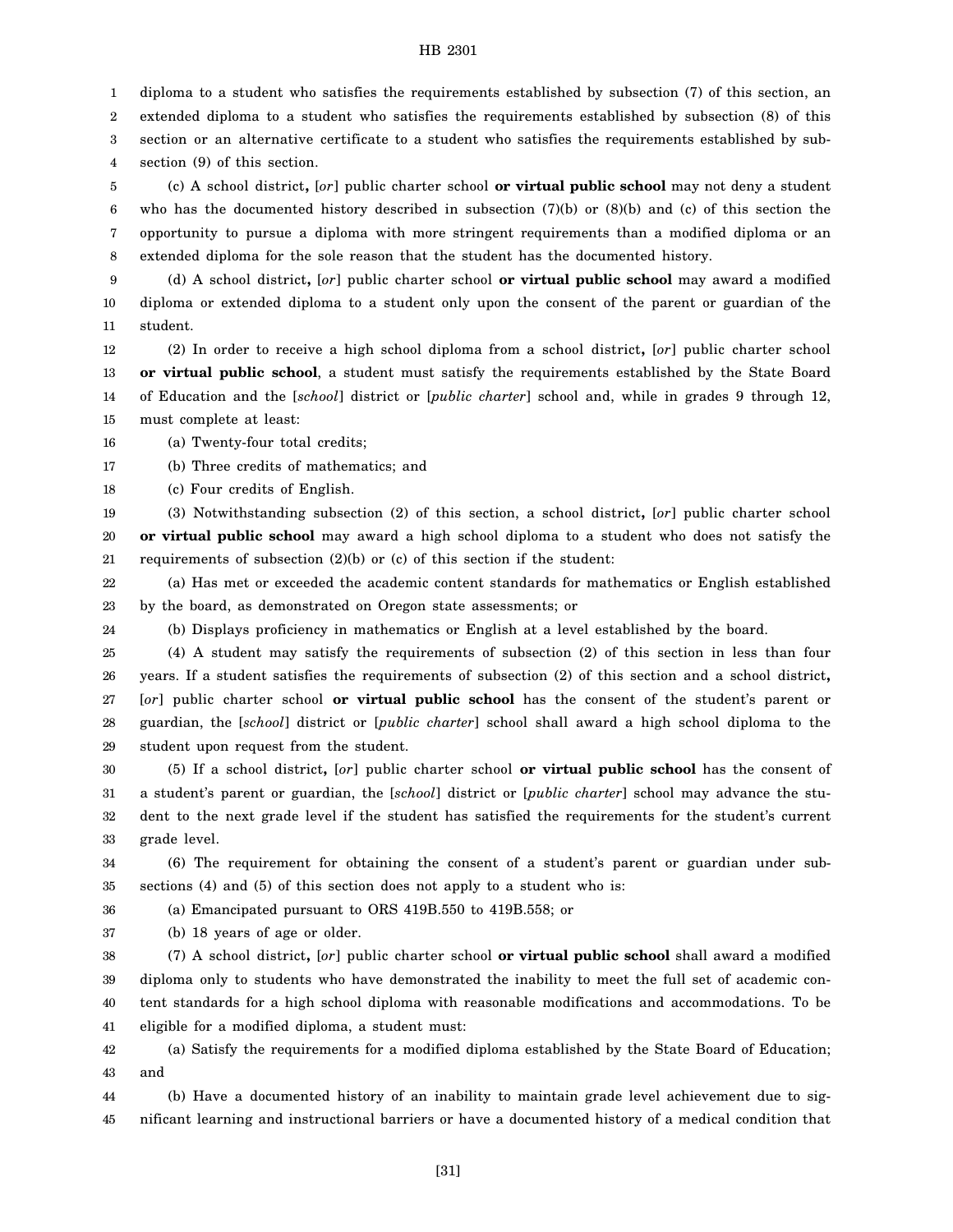1 diploma to a student who satisfies the requirements established by subsection (7) of this section, an

2 extended diploma to a student who satisfies the requirements established by subsection (8) of this

3 section or an alternative certificate to a student who satisfies the requirements established by sub-

4 section (9) of this section.

5 6 7 8 (c) A school district**,** [*or*] public charter school **or virtual public school** may not deny a student who has the documented history described in subsection (7)(b) or (8)(b) and (c) of this section the opportunity to pursue a diploma with more stringent requirements than a modified diploma or an extended diploma for the sole reason that the student has the documented history.

9 10 11 (d) A school district**,** [*or*] public charter school **or virtual public school** may award a modified diploma or extended diploma to a student only upon the consent of the parent or guardian of the student.

12 13 14 15 (2) In order to receive a high school diploma from a school district**,** [*or*] public charter school **or virtual public school**, a student must satisfy the requirements established by the State Board of Education and the [*school*] district or [*public charter*] school and, while in grades 9 through 12, must complete at least:

16 (a) Twenty-four total credits;

17 (b) Three credits of mathematics; and

18 (c) Four credits of English.

19 20 21 (3) Notwithstanding subsection (2) of this section, a school district**,** [*or*] public charter school **or virtual public school** may award a high school diploma to a student who does not satisfy the requirements of subsection (2)(b) or (c) of this section if the student:

22 23 (a) Has met or exceeded the academic content standards for mathematics or English established by the board, as demonstrated on Oregon state assessments; or

24

(b) Displays proficiency in mathematics or English at a level established by the board.

25 26 27 28 29 (4) A student may satisfy the requirements of subsection (2) of this section in less than four years. If a student satisfies the requirements of subsection (2) of this section and a school district**,** [*or*] public charter school **or virtual public school** has the consent of the student's parent or guardian, the [*school*] district or [*public charter*] school shall award a high school diploma to the student upon request from the student.

30 31 32 33 (5) If a school district**,** [*or*] public charter school **or virtual public school** has the consent of a student's parent or guardian, the [*school*] district or [*public charter*] school may advance the student to the next grade level if the student has satisfied the requirements for the student's current grade level.

34 35 (6) The requirement for obtaining the consent of a student's parent or guardian under subsections (4) and (5) of this section does not apply to a student who is:

36 (a) Emancipated pursuant to ORS 419B.550 to 419B.558; or

37 (b) 18 years of age or older.

38 39 40 41 (7) A school district**,** [*or*] public charter school **or virtual public school** shall award a modified diploma only to students who have demonstrated the inability to meet the full set of academic content standards for a high school diploma with reasonable modifications and accommodations. To be eligible for a modified diploma, a student must:

42 43 (a) Satisfy the requirements for a modified diploma established by the State Board of Education; and

44 45 (b) Have a documented history of an inability to maintain grade level achievement due to significant learning and instructional barriers or have a documented history of a medical condition that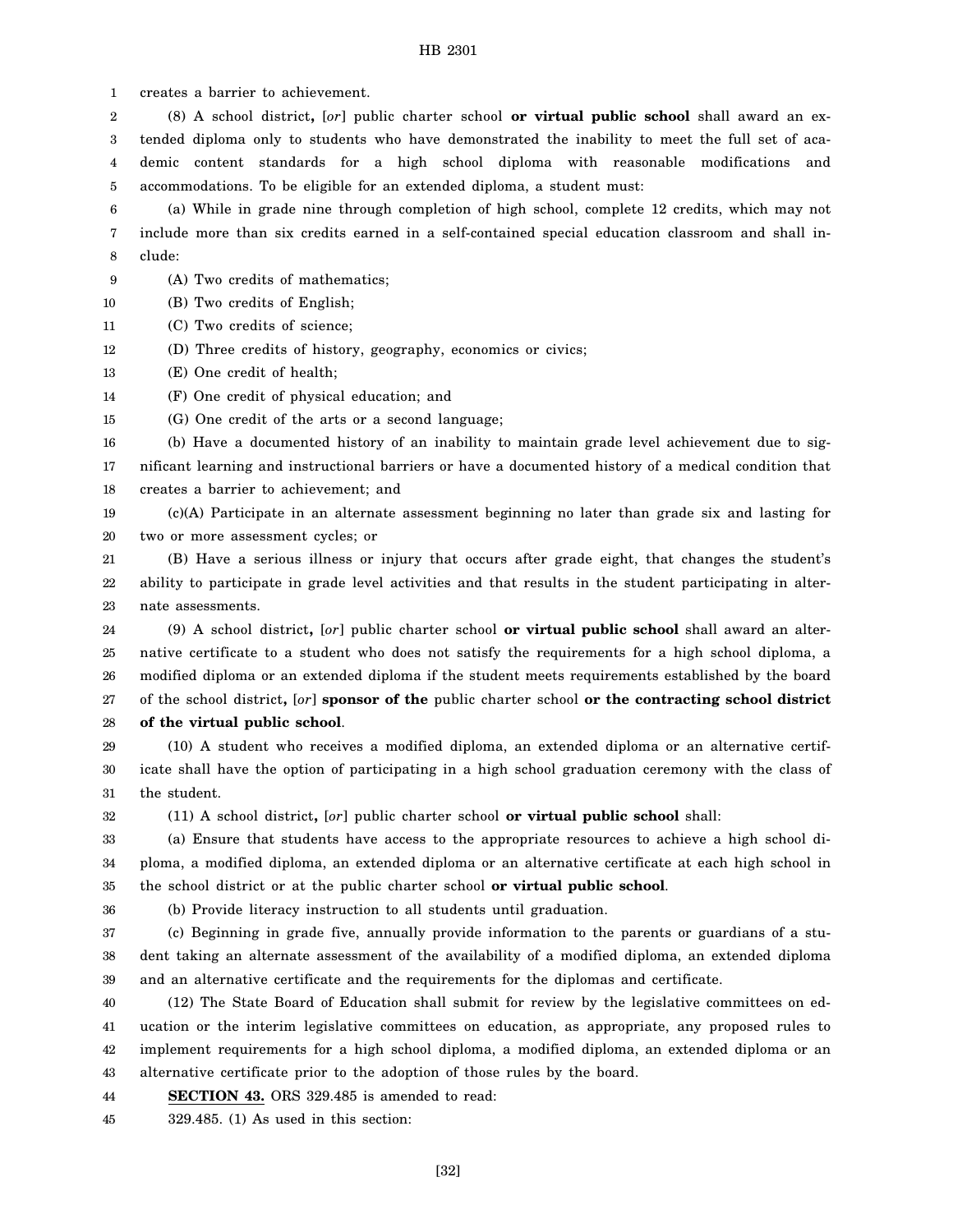1 creates a barrier to achievement.

2 3 4 5 (8) A school district**,** [*or*] public charter school **or virtual public school** shall award an extended diploma only to students who have demonstrated the inability to meet the full set of academic content standards for a high school diploma with reasonable modifications and accommodations. To be eligible for an extended diploma, a student must:

6 7 8 (a) While in grade nine through completion of high school, complete 12 credits, which may not include more than six credits earned in a self-contained special education classroom and shall include:

- 9 (A) Two credits of mathematics;
- 10 (B) Two credits of English;
- 11 (C) Two credits of science;
- 12 (D) Three credits of history, geography, economics or civics;
- 13 (E) One credit of health;

32

36

- 14 (F) One credit of physical education; and
- 15 (G) One credit of the arts or a second language;

16 17 18 (b) Have a documented history of an inability to maintain grade level achievement due to significant learning and instructional barriers or have a documented history of a medical condition that creates a barrier to achievement; and

19 20 (c)(A) Participate in an alternate assessment beginning no later than grade six and lasting for two or more assessment cycles; or

21 22 23 (B) Have a serious illness or injury that occurs after grade eight, that changes the student's ability to participate in grade level activities and that results in the student participating in alternate assessments.

24 25 26 27 28 (9) A school district**,** [*or*] public charter school **or virtual public school** shall award an alternative certificate to a student who does not satisfy the requirements for a high school diploma, a modified diploma or an extended diploma if the student meets requirements established by the board of the school district**,** [*or*] **sponsor of the** public charter school **or the contracting school district of the virtual public school**.

29 30 31 (10) A student who receives a modified diploma, an extended diploma or an alternative certificate shall have the option of participating in a high school graduation ceremony with the class of the student.

(11) A school district**,** [*or*] public charter school **or virtual public school** shall:

33 34 35 (a) Ensure that students have access to the appropriate resources to achieve a high school diploma, a modified diploma, an extended diploma or an alternative certificate at each high school in the school district or at the public charter school **or virtual public school**.

(b) Provide literacy instruction to all students until graduation.

37 38 39 (c) Beginning in grade five, annually provide information to the parents or guardians of a student taking an alternate assessment of the availability of a modified diploma, an extended diploma and an alternative certificate and the requirements for the diplomas and certificate.

40 41 42 43 (12) The State Board of Education shall submit for review by the legislative committees on education or the interim legislative committees on education, as appropriate, any proposed rules to implement requirements for a high school diploma, a modified diploma, an extended diploma or an alternative certificate prior to the adoption of those rules by the board.

44 **SECTION 43.** ORS 329.485 is amended to read:

45 329.485. (1) As used in this section: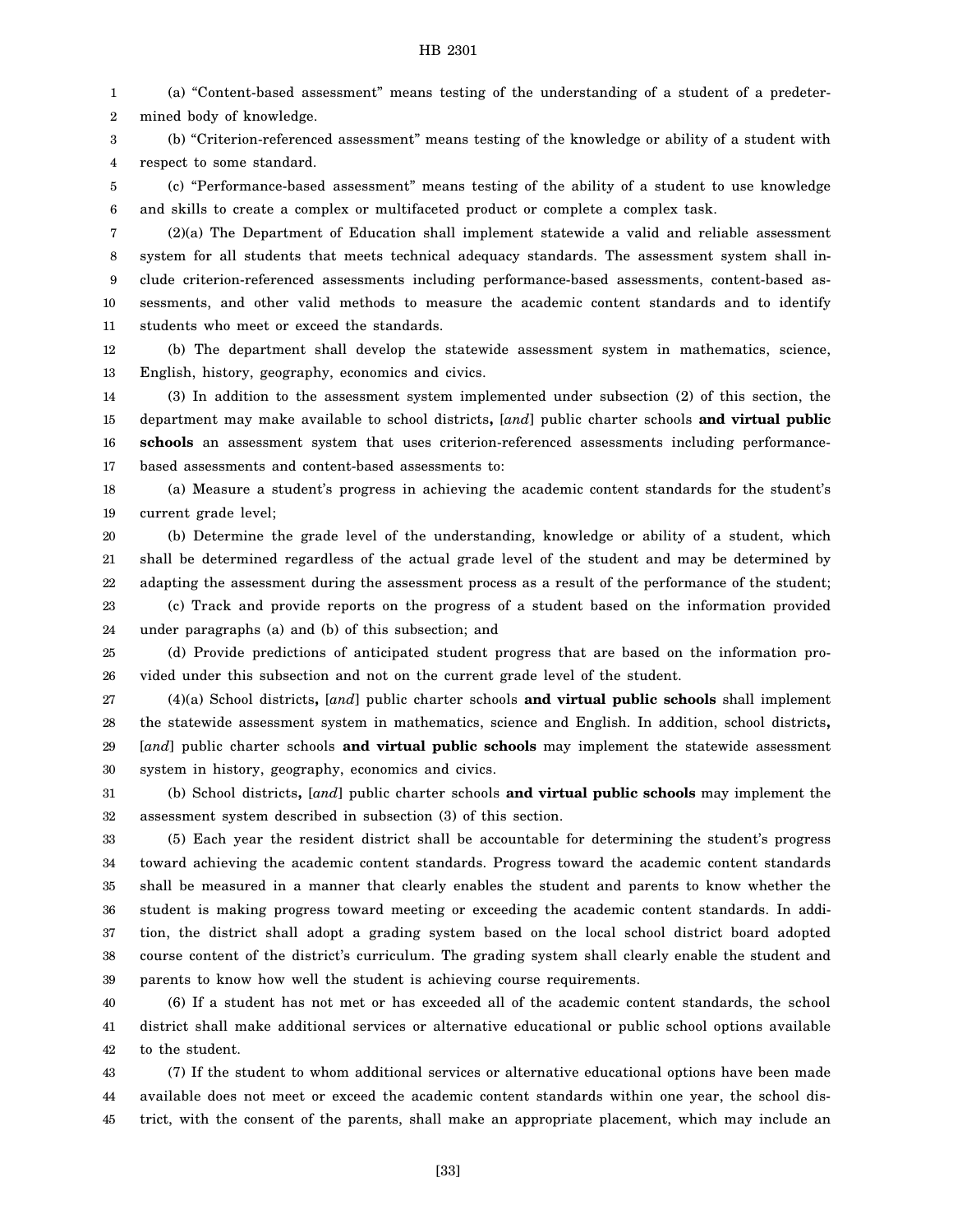1 2 (a) "Content-based assessment" means testing of the understanding of a student of a predetermined body of knowledge.

3 4 (b) "Criterion-referenced assessment" means testing of the knowledge or ability of a student with respect to some standard.

5 6 (c) "Performance-based assessment" means testing of the ability of a student to use knowledge and skills to create a complex or multifaceted product or complete a complex task.

7 8 9 10 11 (2)(a) The Department of Education shall implement statewide a valid and reliable assessment system for all students that meets technical adequacy standards. The assessment system shall include criterion-referenced assessments including performance-based assessments, content-based assessments, and other valid methods to measure the academic content standards and to identify students who meet or exceed the standards.

12 13 (b) The department shall develop the statewide assessment system in mathematics, science, English, history, geography, economics and civics.

14 15 16 17 (3) In addition to the assessment system implemented under subsection (2) of this section, the department may make available to school districts**,** [*and*] public charter schools **and virtual public schools** an assessment system that uses criterion-referenced assessments including performancebased assessments and content-based assessments to:

18 19 (a) Measure a student's progress in achieving the academic content standards for the student's current grade level;

20 21 22 23 (b) Determine the grade level of the understanding, knowledge or ability of a student, which shall be determined regardless of the actual grade level of the student and may be determined by adapting the assessment during the assessment process as a result of the performance of the student; (c) Track and provide reports on the progress of a student based on the information provided

24 under paragraphs (a) and (b) of this subsection; and

25 26 (d) Provide predictions of anticipated student progress that are based on the information provided under this subsection and not on the current grade level of the student.

27 28 29 30 (4)(a) School districts**,** [*and*] public charter schools **and virtual public schools** shall implement the statewide assessment system in mathematics, science and English. In addition, school districts**,** [*and*] public charter schools **and virtual public schools** may implement the statewide assessment system in history, geography, economics and civics.

31 32 (b) School districts**,** [*and*] public charter schools **and virtual public schools** may implement the assessment system described in subsection (3) of this section.

33 34 35 36 37 38 39 (5) Each year the resident district shall be accountable for determining the student's progress toward achieving the academic content standards. Progress toward the academic content standards shall be measured in a manner that clearly enables the student and parents to know whether the student is making progress toward meeting or exceeding the academic content standards. In addition, the district shall adopt a grading system based on the local school district board adopted course content of the district's curriculum. The grading system shall clearly enable the student and parents to know how well the student is achieving course requirements.

40 41 42 (6) If a student has not met or has exceeded all of the academic content standards, the school district shall make additional services or alternative educational or public school options available to the student.

43 44 45 (7) If the student to whom additional services or alternative educational options have been made available does not meet or exceed the academic content standards within one year, the school district, with the consent of the parents, shall make an appropriate placement, which may include an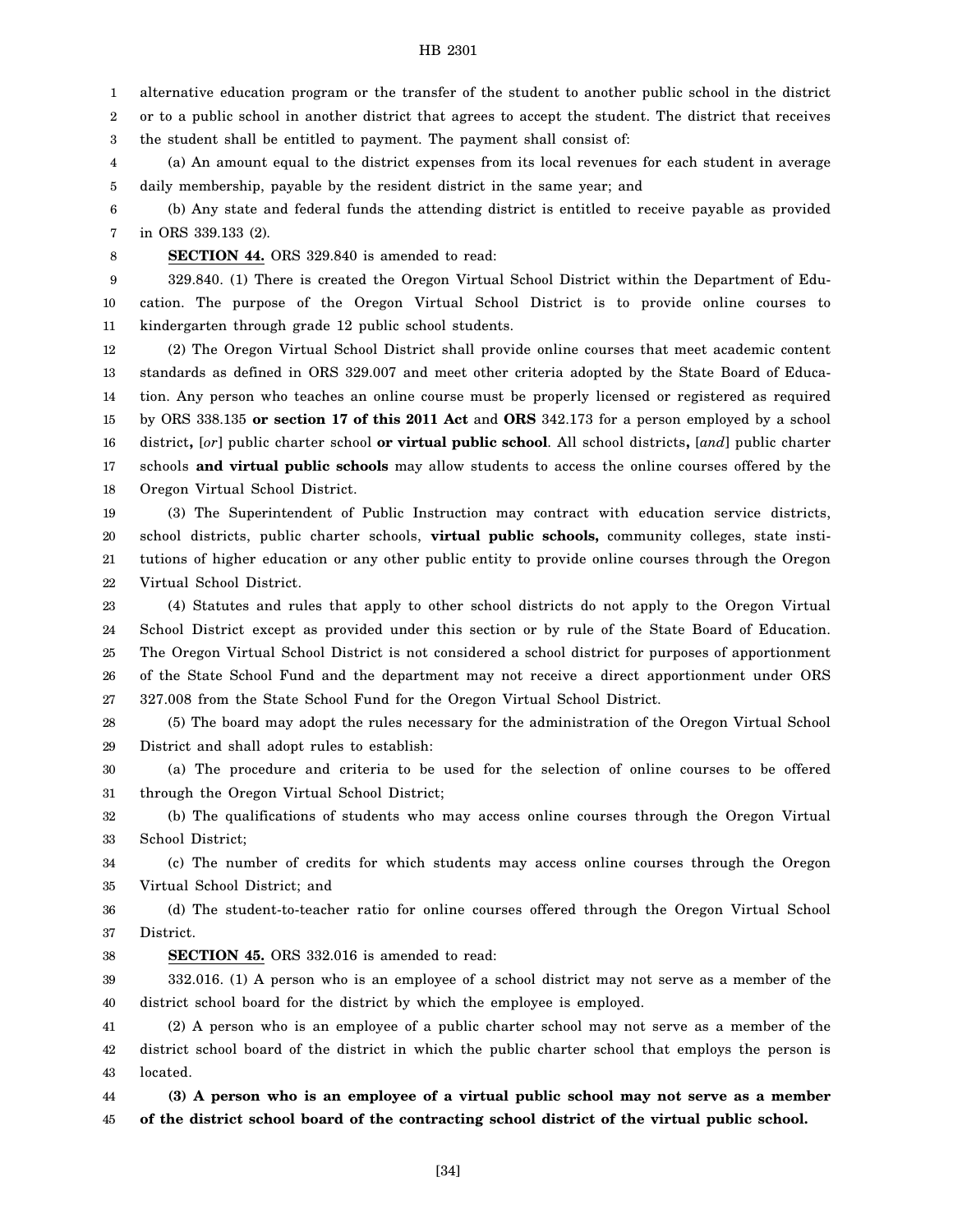1 alternative education program or the transfer of the student to another public school in the district

2 or to a public school in another district that agrees to accept the student. The district that receives

3 the student shall be entitled to payment. The payment shall consist of:

4 5 (a) An amount equal to the district expenses from its local revenues for each student in average daily membership, payable by the resident district in the same year; and

6 7 (b) Any state and federal funds the attending district is entitled to receive payable as provided in ORS 339.133 (2).

8

**SECTION 44.** ORS 329.840 is amended to read:

9 10 11 329.840. (1) There is created the Oregon Virtual School District within the Department of Education. The purpose of the Oregon Virtual School District is to provide online courses to kindergarten through grade 12 public school students.

12 13 14 15 16 17 18 (2) The Oregon Virtual School District shall provide online courses that meet academic content standards as defined in ORS 329.007 and meet other criteria adopted by the State Board of Education. Any person who teaches an online course must be properly licensed or registered as required by ORS 338.135 **or section 17 of this 2011 Act** and **ORS** 342.173 for a person employed by a school district**,** [*or*] public charter school **or virtual public school**. All school districts**,** [*and*] public charter schools **and virtual public schools** may allow students to access the online courses offered by the Oregon Virtual School District.

19 20 21 22 (3) The Superintendent of Public Instruction may contract with education service districts, school districts, public charter schools, **virtual public schools,** community colleges, state institutions of higher education or any other public entity to provide online courses through the Oregon Virtual School District.

23 24 25 26 27 (4) Statutes and rules that apply to other school districts do not apply to the Oregon Virtual School District except as provided under this section or by rule of the State Board of Education. The Oregon Virtual School District is not considered a school district for purposes of apportionment of the State School Fund and the department may not receive a direct apportionment under ORS 327.008 from the State School Fund for the Oregon Virtual School District.

28 29 (5) The board may adopt the rules necessary for the administration of the Oregon Virtual School District and shall adopt rules to establish:

30 31 (a) The procedure and criteria to be used for the selection of online courses to be offered through the Oregon Virtual School District;

32 33 (b) The qualifications of students who may access online courses through the Oregon Virtual School District;

34 35 (c) The number of credits for which students may access online courses through the Oregon Virtual School District; and

36 37 (d) The student-to-teacher ratio for online courses offered through the Oregon Virtual School District.

38 **SECTION 45.** ORS 332.016 is amended to read:

39 40 332.016. (1) A person who is an employee of a school district may not serve as a member of the district school board for the district by which the employee is employed.

41 42 43 (2) A person who is an employee of a public charter school may not serve as a member of the district school board of the district in which the public charter school that employs the person is located.

44 45 **(3) A person who is an employee of a virtual public school may not serve as a member of the district school board of the contracting school district of the virtual public school.**

[34]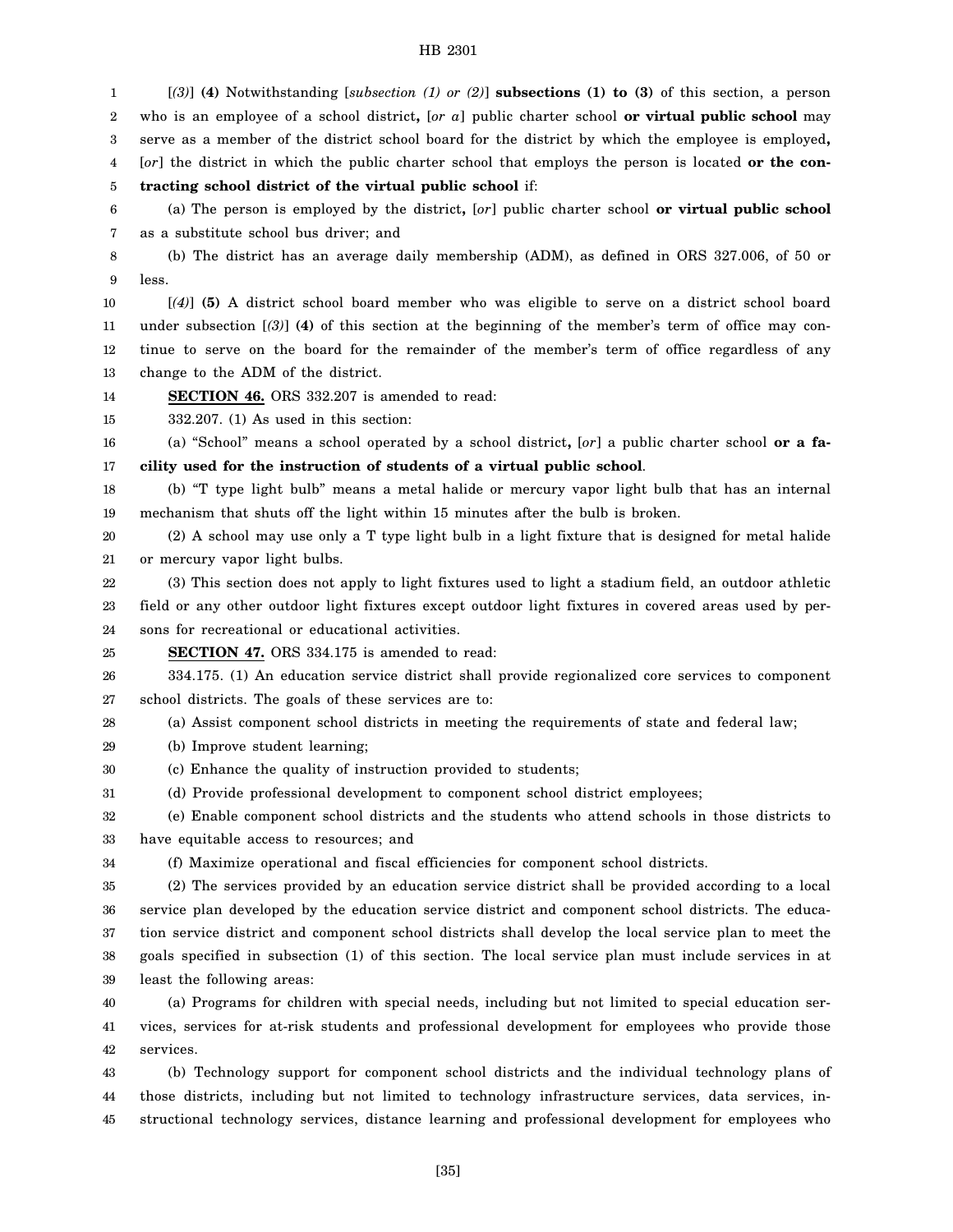1 2 3 4 5 6 7 8 9 10 11 12 13 14 15 16 17 18 19 20 21 22 23 24 25 26 27 28 29 30 31 32 33 34 35 36 37 38 39 40 41 42 43 44 [*(3)*] **(4)** Notwithstanding [*subsection (1) or (2)*] **subsections (1) to (3)** of this section, a person who is an employee of a school district**,** [*or a*] public charter school **or virtual public school** may serve as a member of the district school board for the district by which the employee is employed**,** [*or*] the district in which the public charter school that employs the person is located **or the contracting school district of the virtual public school** if: (a) The person is employed by the district**,** [*or*] public charter school **or virtual public school** as a substitute school bus driver; and (b) The district has an average daily membership (ADM), as defined in ORS 327.006, of 50 or less. [*(4)*] **(5)** A district school board member who was eligible to serve on a district school board under subsection [*(3)*] **(4)** of this section at the beginning of the member's term of office may continue to serve on the board for the remainder of the member's term of office regardless of any change to the ADM of the district. **SECTION 46.** ORS 332.207 is amended to read: 332.207. (1) As used in this section: (a) "School" means a school operated by a school district**,** [*or*] a public charter school **or a facility used for the instruction of students of a virtual public school**. (b) "T type light bulb" means a metal halide or mercury vapor light bulb that has an internal mechanism that shuts off the light within 15 minutes after the bulb is broken. (2) A school may use only a T type light bulb in a light fixture that is designed for metal halide or mercury vapor light bulbs. (3) This section does not apply to light fixtures used to light a stadium field, an outdoor athletic field or any other outdoor light fixtures except outdoor light fixtures in covered areas used by persons for recreational or educational activities. **SECTION 47.** ORS 334.175 is amended to read: 334.175. (1) An education service district shall provide regionalized core services to component school districts. The goals of these services are to: (a) Assist component school districts in meeting the requirements of state and federal law; (b) Improve student learning; (c) Enhance the quality of instruction provided to students; (d) Provide professional development to component school district employees; (e) Enable component school districts and the students who attend schools in those districts to have equitable access to resources; and (f) Maximize operational and fiscal efficiencies for component school districts. (2) The services provided by an education service district shall be provided according to a local service plan developed by the education service district and component school districts. The education service district and component school districts shall develop the local service plan to meet the goals specified in subsection (1) of this section. The local service plan must include services in at least the following areas: (a) Programs for children with special needs, including but not limited to special education services, services for at-risk students and professional development for employees who provide those services. (b) Technology support for component school districts and the individual technology plans of those districts, including but not limited to technology infrastructure services, data services, in-

45 structional technology services, distance learning and professional development for employees who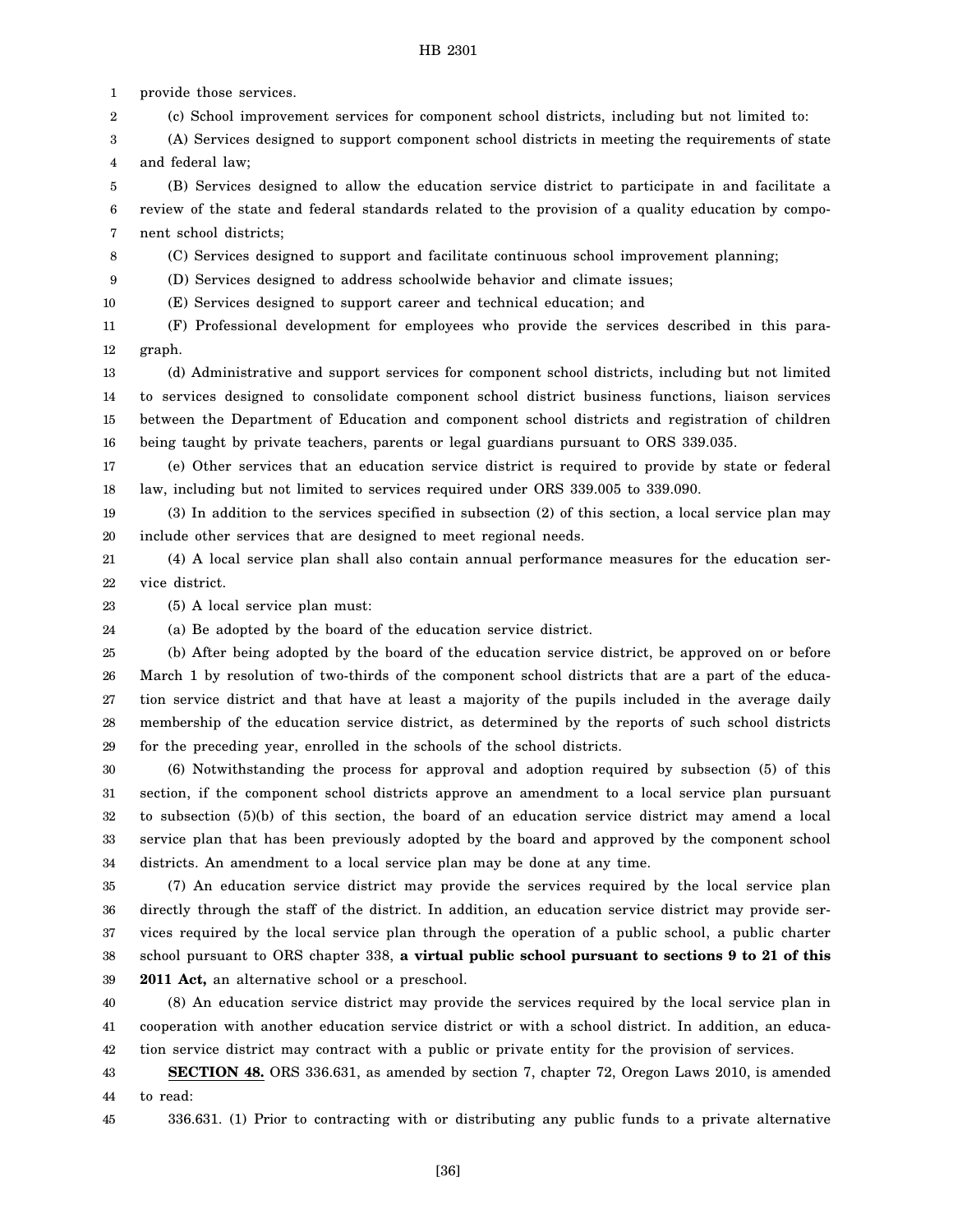1 provide those services.

2 (c) School improvement services for component school districts, including but not limited to:

3 4 (A) Services designed to support component school districts in meeting the requirements of state and federal law;

5 6 7 (B) Services designed to allow the education service district to participate in and facilitate a review of the state and federal standards related to the provision of a quality education by component school districts;

8 (C) Services designed to support and facilitate continuous school improvement planning;

9 (D) Services designed to address schoolwide behavior and climate issues;

10 (E) Services designed to support career and technical education; and

11 12 (F) Professional development for employees who provide the services described in this paragraph.

13 14 15 16 (d) Administrative and support services for component school districts, including but not limited to services designed to consolidate component school district business functions, liaison services between the Department of Education and component school districts and registration of children being taught by private teachers, parents or legal guardians pursuant to ORS 339.035.

17 18 (e) Other services that an education service district is required to provide by state or federal law, including but not limited to services required under ORS 339.005 to 339.090.

19 20 (3) In addition to the services specified in subsection (2) of this section, a local service plan may include other services that are designed to meet regional needs.

21 22 (4) A local service plan shall also contain annual performance measures for the education service district.

23 (5) A local service plan must:

24 (a) Be adopted by the board of the education service district.

25 26 27 28 29 (b) After being adopted by the board of the education service district, be approved on or before March 1 by resolution of two-thirds of the component school districts that are a part of the education service district and that have at least a majority of the pupils included in the average daily membership of the education service district, as determined by the reports of such school districts for the preceding year, enrolled in the schools of the school districts.

30 31 32 33 34 (6) Notwithstanding the process for approval and adoption required by subsection (5) of this section, if the component school districts approve an amendment to a local service plan pursuant to subsection (5)(b) of this section, the board of an education service district may amend a local service plan that has been previously adopted by the board and approved by the component school districts. An amendment to a local service plan may be done at any time.

35 36 37 38 39 (7) An education service district may provide the services required by the local service plan directly through the staff of the district. In addition, an education service district may provide services required by the local service plan through the operation of a public school, a public charter school pursuant to ORS chapter 338, **a virtual public school pursuant to sections 9 to 21 of this 2011 Act,** an alternative school or a preschool.

40 41 42 (8) An education service district may provide the services required by the local service plan in cooperation with another education service district or with a school district. In addition, an education service district may contract with a public or private entity for the provision of services.

43 44 **SECTION 48.** ORS 336.631, as amended by section 7, chapter 72, Oregon Laws 2010, is amended to read:

45 336.631. (1) Prior to contracting with or distributing any public funds to a private alternative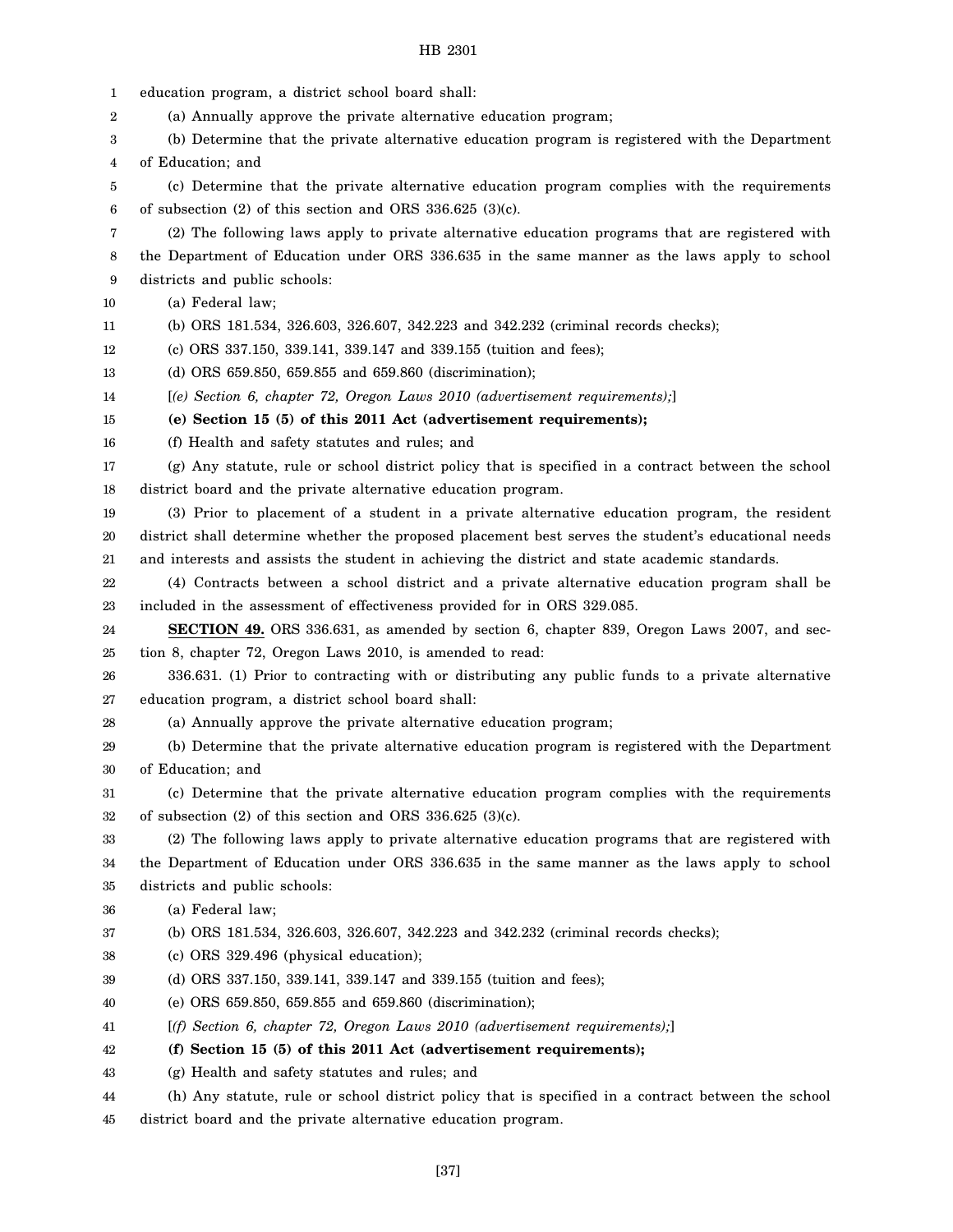| 1  | education program, a district school board shall:                                                   |
|----|-----------------------------------------------------------------------------------------------------|
| 2  | (a) Annually approve the private alternative education program;                                     |
| 3  | (b) Determine that the private alternative education program is registered with the Department      |
| 4  | of Education; and                                                                                   |
| 5  | (c) Determine that the private alternative education program complies with the requirements         |
| 6  | of subsection $(2)$ of this section and ORS 336.625 $(3)(c)$ .                                      |
| 7  | (2) The following laws apply to private alternative education programs that are registered with     |
| 8  | the Department of Education under ORS 336.635 in the same manner as the laws apply to school        |
| 9  | districts and public schools:                                                                       |
| 10 | (a) Federal law;                                                                                    |
| 11 | (b) ORS 181.534, 326.603, 326.607, 342.223 and 342.232 (criminal records checks);                   |
| 12 | (c) ORS 337.150, 339.141, 339.147 and 339.155 (tuition and fees);                                   |
| 13 | (d) ORS 659.850, 659.855 and 659.860 (discrimination);                                              |
| 14 | $[$ (e) Section 6, chapter 72, Oregon Laws 2010 (advertisement requirements); $]$                   |
| 15 | (e) Section 15 (5) of this 2011 Act (advertisement requirements);                                   |
| 16 | (f) Health and safety statutes and rules; and                                                       |
| 17 | (g) Any statute, rule or school district policy that is specified in a contract between the school  |
| 18 | district board and the private alternative education program.                                       |
| 19 | (3) Prior to placement of a student in a private alternative education program, the resident        |
| 20 | district shall determine whether the proposed placement best serves the student's educational needs |
| 21 | and interests and assists the student in achieving the district and state academic standards.       |
| 22 | (4) Contracts between a school district and a private alternative education program shall be        |
| 23 | included in the assessment of effectiveness provided for in ORS 329.085.                            |
| 24 | <b>SECTION 49.</b> ORS 336.631, as amended by section 6, chapter 839, Oregon Laws 2007, and sec-    |
| 25 | tion 8, chapter 72, Oregon Laws 2010, is amended to read:                                           |
| 26 | 336.631. (1) Prior to contracting with or distributing any public funds to a private alternative    |
| 27 | education program, a district school board shall:                                                   |
| 28 | (a) Annually approve the private alternative education program;                                     |
| 29 | (b) Determine that the private alternative education program is registered with the Department      |
| 30 | of Education; and                                                                                   |
| 31 | (c) Determine that the private alternative education program complies with the requirements         |
| 32 | of subsection $(2)$ of this section and ORS 336.625 $(3)(c)$ .                                      |
| 33 | (2) The following laws apply to private alternative education programs that are registered with     |
| 34 | the Department of Education under ORS 336.635 in the same manner as the laws apply to school        |
| 35 | districts and public schools:                                                                       |
| 36 | (a) Federal law;                                                                                    |
| 37 | (b) ORS 181.534, 326.603, 326.607, 342.223 and 342.232 (criminal records checks);                   |
| 38 | (c) ORS 329.496 (physical education);                                                               |
| 39 | (d) ORS 337.150, 339.141, 339.147 and 339.155 (tuition and fees);                                   |
| 40 | (e) ORS 659.850, 659.855 and 659.860 (discrimination);                                              |
| 41 | $[(f)$ Section 6, chapter 72, Oregon Laws 2010 (advertisement requirements);                        |
| 42 | (f) Section 15 (5) of this 2011 Act (advertisement requirements);                                   |
| 43 | (g) Health and safety statutes and rules; and                                                       |
| 44 | (h) Any statute, rule or school district policy that is specified in a contract between the school  |
| 45 | district board and the private alternative education program.                                       |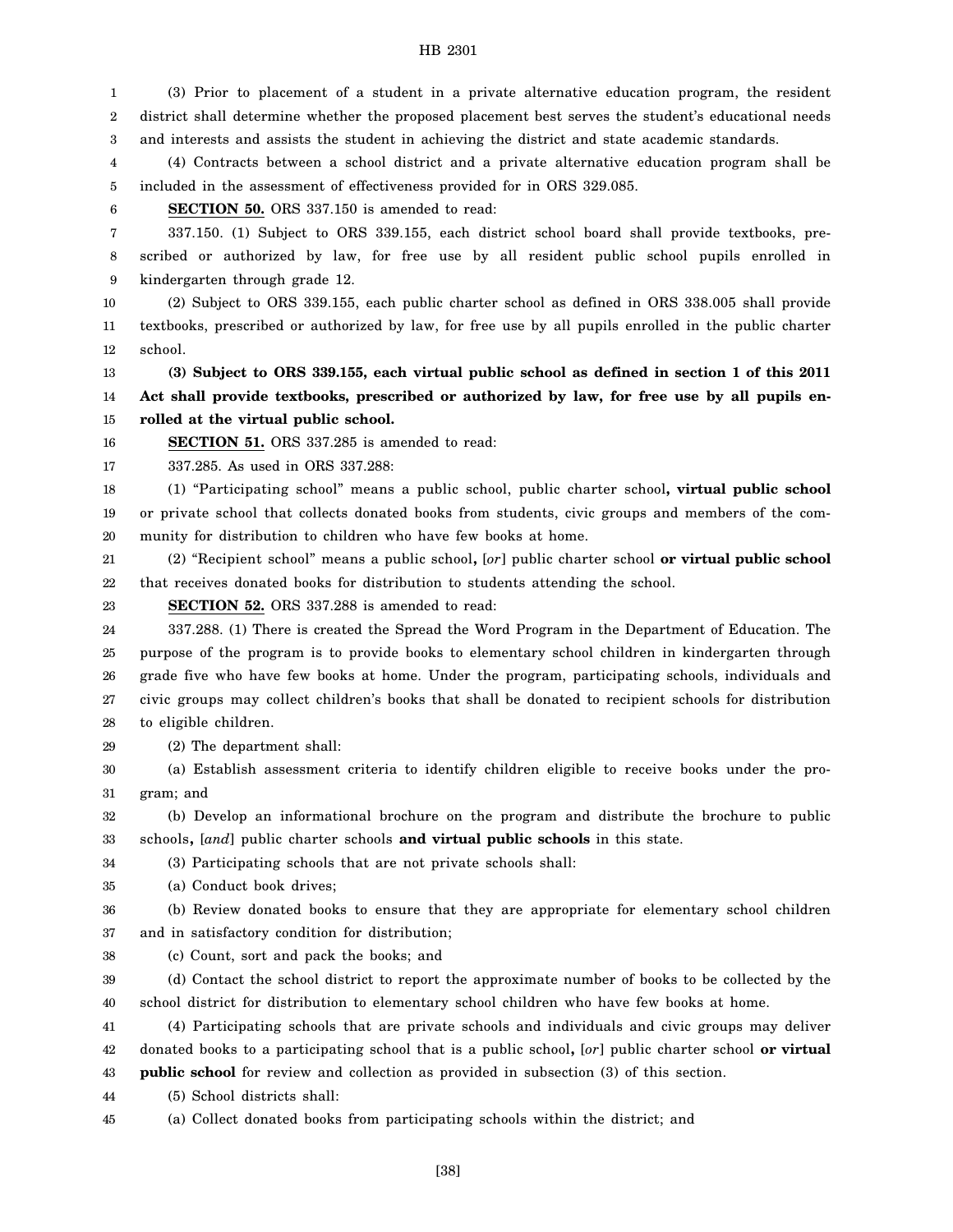1 2 3 (3) Prior to placement of a student in a private alternative education program, the resident district shall determine whether the proposed placement best serves the student's educational needs and interests and assists the student in achieving the district and state academic standards.

4 5 (4) Contracts between a school district and a private alternative education program shall be included in the assessment of effectiveness provided for in ORS 329.085.

6

**SECTION 50.** ORS 337.150 is amended to read:

7 8 9 337.150. (1) Subject to ORS 339.155, each district school board shall provide textbooks, prescribed or authorized by law, for free use by all resident public school pupils enrolled in kindergarten through grade 12.

10 11 12 (2) Subject to ORS 339.155, each public charter school as defined in ORS 338.005 shall provide textbooks, prescribed or authorized by law, for free use by all pupils enrolled in the public charter school.

13 14 15 **(3) Subject to ORS 339.155, each virtual public school as defined in section 1 of this 2011 Act shall provide textbooks, prescribed or authorized by law, for free use by all pupils enrolled at the virtual public school.**

16 **SECTION 51.** ORS 337.285 is amended to read:

17 337.285. As used in ORS 337.288:

18 19 20 (1) "Participating school" means a public school, public charter school**, virtual public school** or private school that collects donated books from students, civic groups and members of the community for distribution to children who have few books at home.

21 22 (2) "Recipient school" means a public school**,** [*or*] public charter school **or virtual public school** that receives donated books for distribution to students attending the school.

23 **SECTION 52.** ORS 337.288 is amended to read:

24 25 26 27 28 337.288. (1) There is created the Spread the Word Program in the Department of Education. The purpose of the program is to provide books to elementary school children in kindergarten through grade five who have few books at home. Under the program, participating schools, individuals and civic groups may collect children's books that shall be donated to recipient schools for distribution to eligible children.

29 (2) The department shall:

30 31 (a) Establish assessment criteria to identify children eligible to receive books under the program; and

32 33 (b) Develop an informational brochure on the program and distribute the brochure to public schools**,** [*and*] public charter schools **and virtual public schools** in this state.

34 (3) Participating schools that are not private schools shall:

35 (a) Conduct book drives;

36 37 (b) Review donated books to ensure that they are appropriate for elementary school children and in satisfactory condition for distribution;

38 (c) Count, sort and pack the books; and

39 40 (d) Contact the school district to report the approximate number of books to be collected by the school district for distribution to elementary school children who have few books at home.

41 42 43 (4) Participating schools that are private schools and individuals and civic groups may deliver donated books to a participating school that is a public school**,** [*or*] public charter school **or virtual public school** for review and collection as provided in subsection (3) of this section.

44 (5) School districts shall:

45 (a) Collect donated books from participating schools within the district; and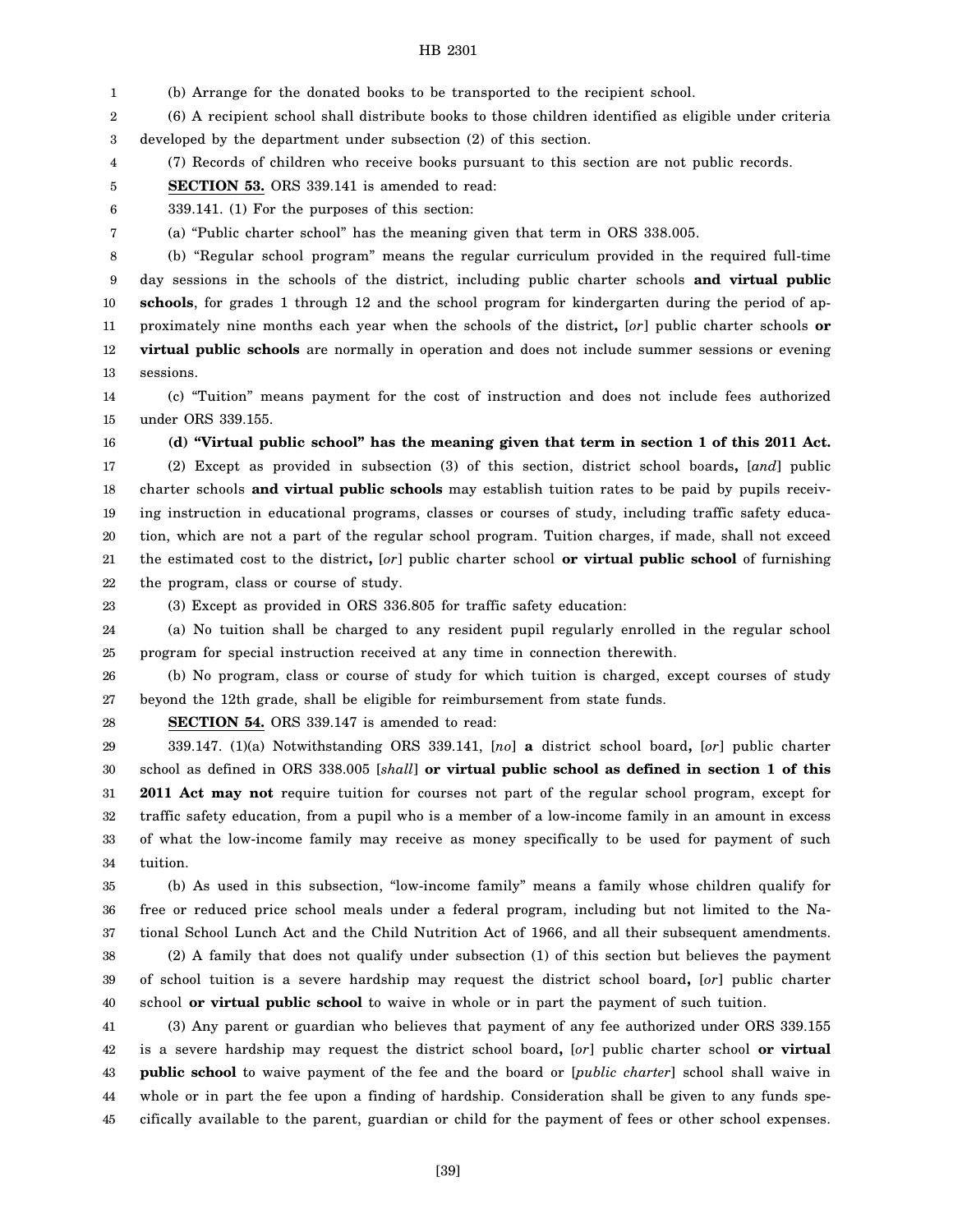1 (b) Arrange for the donated books to be transported to the recipient school.

2 3 (6) A recipient school shall distribute books to those children identified as eligible under criteria developed by the department under subsection (2) of this section.

4 (7) Records of children who receive books pursuant to this section are not public records.

5 **SECTION 53.** ORS 339.141 is amended to read:

6 339.141. (1) For the purposes of this section:

(a) "Public charter school" has the meaning given that term in ORS 338.005.

8 9 10 11 12 13 (b) "Regular school program" means the regular curriculum provided in the required full-time day sessions in the schools of the district, including public charter schools **and virtual public schools**, for grades 1 through 12 and the school program for kindergarten during the period of approximately nine months each year when the schools of the district**,** [*or*] public charter schools **or virtual public schools** are normally in operation and does not include summer sessions or evening sessions.

14 15 (c) "Tuition" means payment for the cost of instruction and does not include fees authorized under ORS 339.155.

16 17 18 19 20 21 22 **(d) "Virtual public school" has the meaning given that term in section 1 of this 2011 Act.** (2) Except as provided in subsection (3) of this section, district school boards**,** [*and*] public charter schools **and virtual public schools** may establish tuition rates to be paid by pupils receiving instruction in educational programs, classes or courses of study, including traffic safety education, which are not a part of the regular school program. Tuition charges, if made, shall not exceed the estimated cost to the district**,** [*or*] public charter school **or virtual public school** of furnishing the program, class or course of study.

23

7

(3) Except as provided in ORS 336.805 for traffic safety education:

24 25 (a) No tuition shall be charged to any resident pupil regularly enrolled in the regular school program for special instruction received at any time in connection therewith.

26 27 (b) No program, class or course of study for which tuition is charged, except courses of study beyond the 12th grade, shall be eligible for reimbursement from state funds.

28

**SECTION 54.** ORS 339.147 is amended to read:

29 30 31 32 33 34 339.147. (1)(a) Notwithstanding ORS 339.141, [*no*] **a** district school board**,** [*or*] public charter school as defined in ORS 338.005 [*shall*] **or virtual public school as defined in section 1 of this 2011 Act may not** require tuition for courses not part of the regular school program, except for traffic safety education, from a pupil who is a member of a low-income family in an amount in excess of what the low-income family may receive as money specifically to be used for payment of such tuition.

35 36 37 38 39 (b) As used in this subsection, "low-income family" means a family whose children qualify for free or reduced price school meals under a federal program, including but not limited to the National School Lunch Act and the Child Nutrition Act of 1966, and all their subsequent amendments. (2) A family that does not qualify under subsection (1) of this section but believes the payment of school tuition is a severe hardship may request the district school board**,** [*or*] public charter

40 school **or virtual public school** to waive in whole or in part the payment of such tuition.

41 42 43 44 45 (3) Any parent or guardian who believes that payment of any fee authorized under ORS 339.155 is a severe hardship may request the district school board**,** [*or*] public charter school **or virtual public school** to waive payment of the fee and the board or [*public charter*] school shall waive in whole or in part the fee upon a finding of hardship. Consideration shall be given to any funds specifically available to the parent, guardian or child for the payment of fees or other school expenses.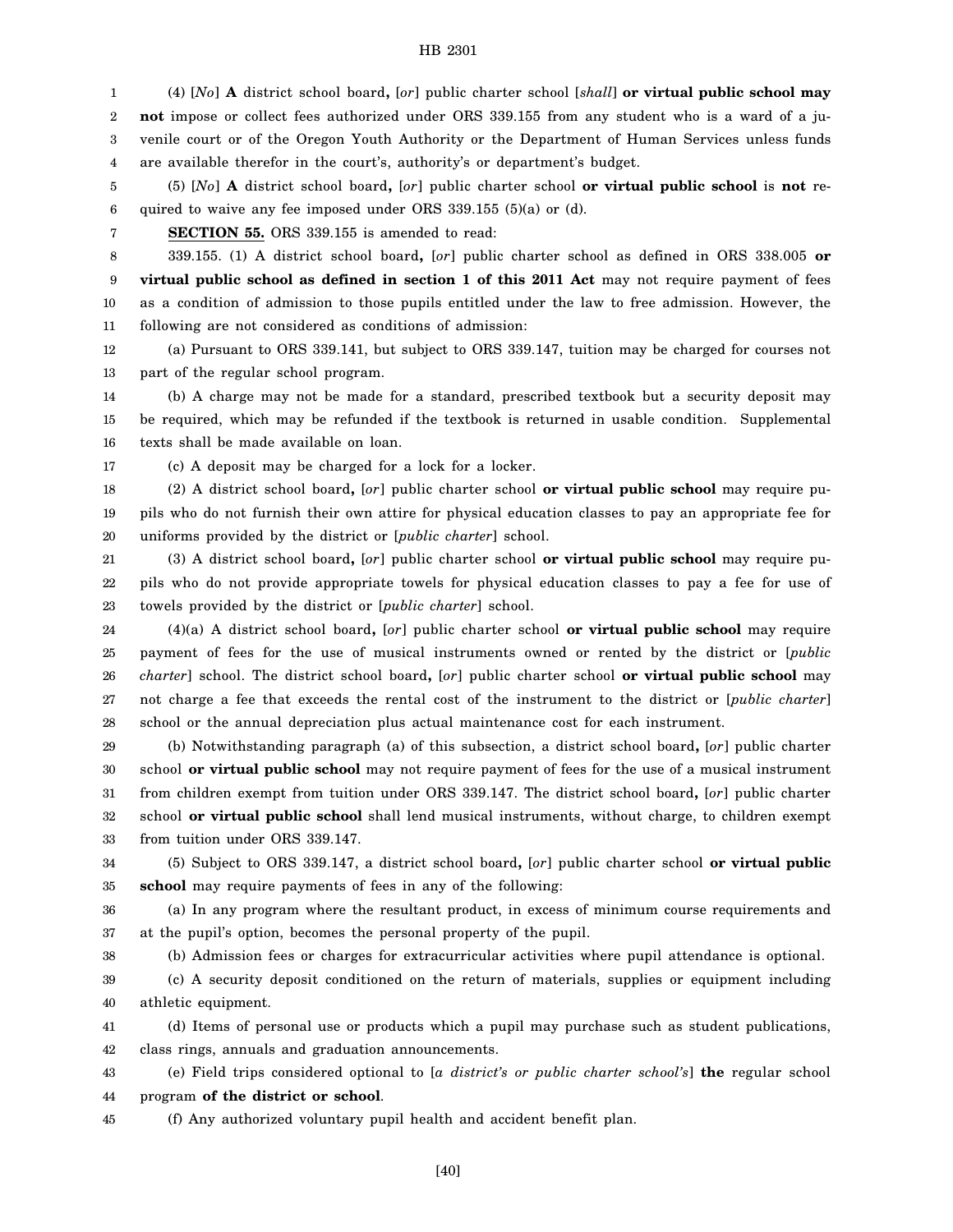1 2 3 4 (4) [*No*] **A** district school board**,** [*or*] public charter school [*shall*] **or virtual public school may not** impose or collect fees authorized under ORS 339.155 from any student who is a ward of a juvenile court or of the Oregon Youth Authority or the Department of Human Services unless funds are available therefor in the court's, authority's or department's budget.

5 6 (5) [*No*] **A** district school board**,** [*or*] public charter school **or virtual public school** is **not** required to waive any fee imposed under ORS 339.155 (5)(a) or (d).

7

**SECTION 55.** ORS 339.155 is amended to read:

8 9 10 11 339.155. (1) A district school board**,** [*or*] public charter school as defined in ORS 338.005 **or virtual public school as defined in section 1 of this 2011 Act** may not require payment of fees as a condition of admission to those pupils entitled under the law to free admission. However, the following are not considered as conditions of admission:

12 13 (a) Pursuant to ORS 339.141, but subject to ORS 339.147, tuition may be charged for courses not part of the regular school program.

14 15 16 (b) A charge may not be made for a standard, prescribed textbook but a security deposit may be required, which may be refunded if the textbook is returned in usable condition. Supplemental texts shall be made available on loan.

17

38

(c) A deposit may be charged for a lock for a locker.

18 19 20 (2) A district school board**,** [*or*] public charter school **or virtual public school** may require pupils who do not furnish their own attire for physical education classes to pay an appropriate fee for uniforms provided by the district or [*public charter*] school.

21 22 23 (3) A district school board**,** [*or*] public charter school **or virtual public school** may require pupils who do not provide appropriate towels for physical education classes to pay a fee for use of towels provided by the district or [*public charter*] school.

24 25 26 27 28 (4)(a) A district school board**,** [*or*] public charter school **or virtual public school** may require payment of fees for the use of musical instruments owned or rented by the district or [*public charter*] school. The district school board**,** [*or*] public charter school **or virtual public school** may not charge a fee that exceeds the rental cost of the instrument to the district or [*public charter*] school or the annual depreciation plus actual maintenance cost for each instrument.

29 30 31 32 33 (b) Notwithstanding paragraph (a) of this subsection, a district school board**,** [*or*] public charter school **or virtual public school** may not require payment of fees for the use of a musical instrument from children exempt from tuition under ORS 339.147. The district school board**,** [*or*] public charter school **or virtual public school** shall lend musical instruments, without charge, to children exempt from tuition under ORS 339.147.

34 35 (5) Subject to ORS 339.147, a district school board**,** [*or*] public charter school **or virtual public school** may require payments of fees in any of the following:

36 37 (a) In any program where the resultant product, in excess of minimum course requirements and at the pupil's option, becomes the personal property of the pupil.

(b) Admission fees or charges for extracurricular activities where pupil attendance is optional.

39 40 (c) A security deposit conditioned on the return of materials, supplies or equipment including athletic equipment.

41 42 (d) Items of personal use or products which a pupil may purchase such as student publications, class rings, annuals and graduation announcements.

43 44 (e) Field trips considered optional to [*a district's or public charter school's*] **the** regular school program **of the district or school**.

45 (f) Any authorized voluntary pupil health and accident benefit plan.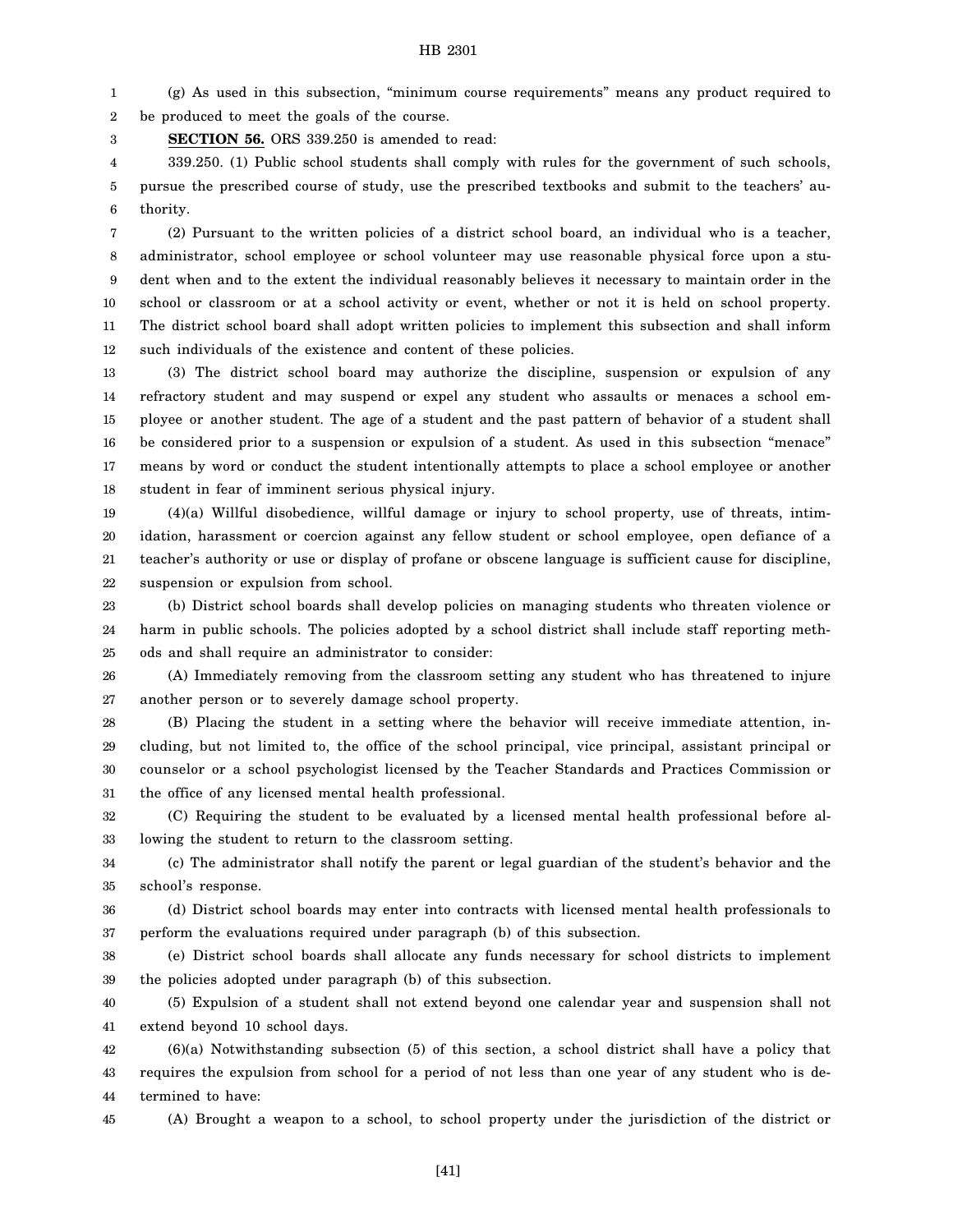1 2 (g) As used in this subsection, "minimum course requirements" means any product required to be produced to meet the goals of the course.

3 **SECTION 56.** ORS 339.250 is amended to read:

4 5 6 339.250. (1) Public school students shall comply with rules for the government of such schools, pursue the prescribed course of study, use the prescribed textbooks and submit to the teachers' authority.

7 8 9 10 11 12 (2) Pursuant to the written policies of a district school board, an individual who is a teacher, administrator, school employee or school volunteer may use reasonable physical force upon a student when and to the extent the individual reasonably believes it necessary to maintain order in the school or classroom or at a school activity or event, whether or not it is held on school property. The district school board shall adopt written policies to implement this subsection and shall inform such individuals of the existence and content of these policies.

13 14 15 16 17 18 (3) The district school board may authorize the discipline, suspension or expulsion of any refractory student and may suspend or expel any student who assaults or menaces a school employee or another student. The age of a student and the past pattern of behavior of a student shall be considered prior to a suspension or expulsion of a student. As used in this subsection "menace" means by word or conduct the student intentionally attempts to place a school employee or another student in fear of imminent serious physical injury.

19 20 21 22 (4)(a) Willful disobedience, willful damage or injury to school property, use of threats, intimidation, harassment or coercion against any fellow student or school employee, open defiance of a teacher's authority or use or display of profane or obscene language is sufficient cause for discipline, suspension or expulsion from school.

23 24 25 (b) District school boards shall develop policies on managing students who threaten violence or harm in public schools. The policies adopted by a school district shall include staff reporting methods and shall require an administrator to consider:

26 27 (A) Immediately removing from the classroom setting any student who has threatened to injure another person or to severely damage school property.

28 29 30 31 (B) Placing the student in a setting where the behavior will receive immediate attention, including, but not limited to, the office of the school principal, vice principal, assistant principal or counselor or a school psychologist licensed by the Teacher Standards and Practices Commission or the office of any licensed mental health professional.

32 33 (C) Requiring the student to be evaluated by a licensed mental health professional before allowing the student to return to the classroom setting.

34 35 (c) The administrator shall notify the parent or legal guardian of the student's behavior and the school's response.

36 37 (d) District school boards may enter into contracts with licensed mental health professionals to perform the evaluations required under paragraph (b) of this subsection.

38 39 (e) District school boards shall allocate any funds necessary for school districts to implement the policies adopted under paragraph (b) of this subsection.

40 41 (5) Expulsion of a student shall not extend beyond one calendar year and suspension shall not extend beyond 10 school days.

42 43 44 (6)(a) Notwithstanding subsection (5) of this section, a school district shall have a policy that requires the expulsion from school for a period of not less than one year of any student who is determined to have:

45

(A) Brought a weapon to a school, to school property under the jurisdiction of the district or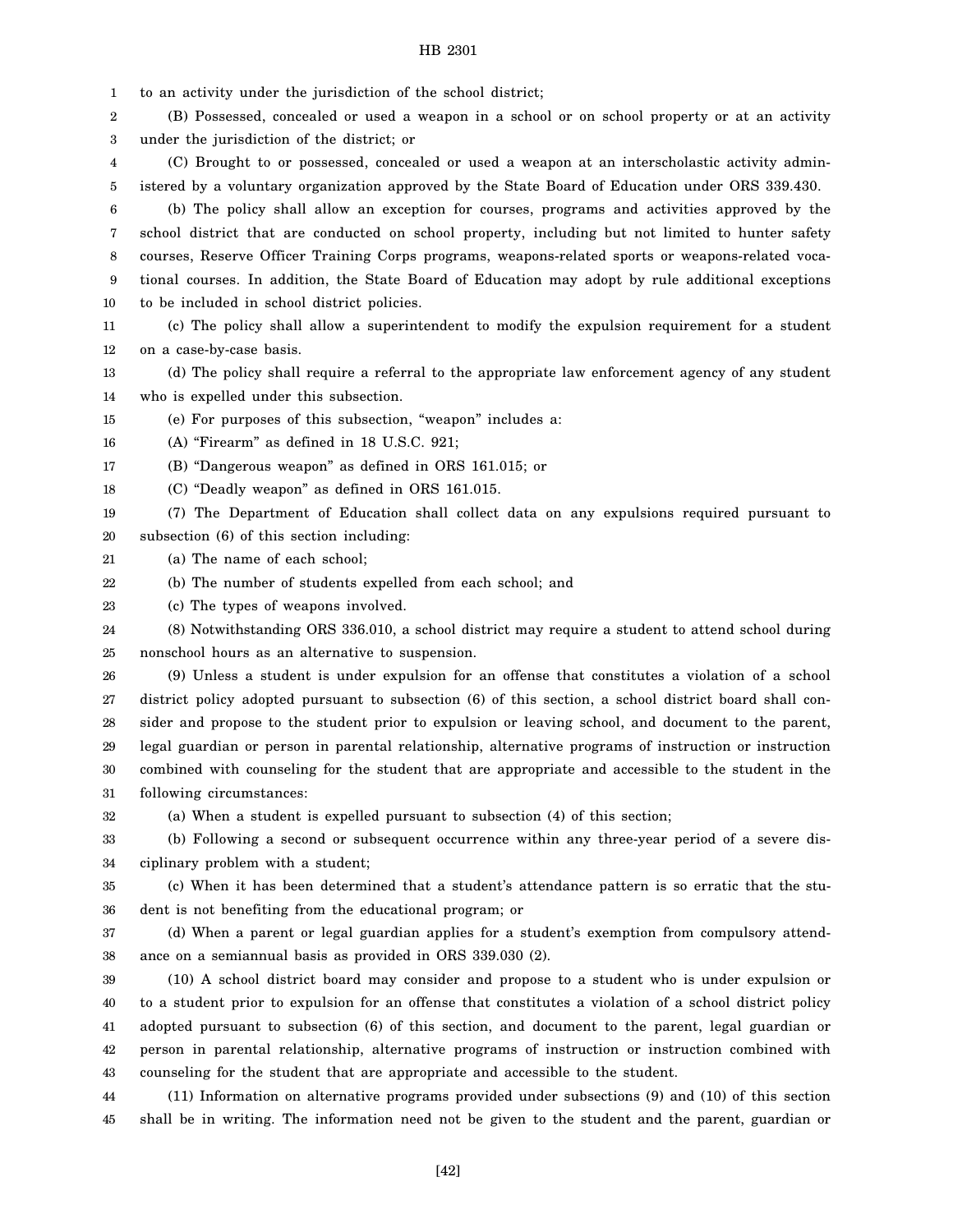1 to an activity under the jurisdiction of the school district;

2 3 (B) Possessed, concealed or used a weapon in a school or on school property or at an activity under the jurisdiction of the district; or

4 5 (C) Brought to or possessed, concealed or used a weapon at an interscholastic activity administered by a voluntary organization approved by the State Board of Education under ORS 339.430.

6 7 8 9 10 (b) The policy shall allow an exception for courses, programs and activities approved by the school district that are conducted on school property, including but not limited to hunter safety courses, Reserve Officer Training Corps programs, weapons-related sports or weapons-related vocational courses. In addition, the State Board of Education may adopt by rule additional exceptions to be included in school district policies.

11 12 (c) The policy shall allow a superintendent to modify the expulsion requirement for a student on a case-by-case basis.

13 14 (d) The policy shall require a referral to the appropriate law enforcement agency of any student who is expelled under this subsection.

15 (e) For purposes of this subsection, "weapon" includes a:

16 (A) "Firearm" as defined in 18 U.S.C. 921;

17 (B) "Dangerous weapon" as defined in ORS 161.015; or

18 (C) "Deadly weapon" as defined in ORS 161.015.

19 20 (7) The Department of Education shall collect data on any expulsions required pursuant to subsection (6) of this section including:

21 (a) The name of each school;

22 (b) The number of students expelled from each school; and

23 (c) The types of weapons involved.

24 25 (8) Notwithstanding ORS 336.010, a school district may require a student to attend school during nonschool hours as an alternative to suspension.

26 27 28 29 30 31 (9) Unless a student is under expulsion for an offense that constitutes a violation of a school district policy adopted pursuant to subsection (6) of this section, a school district board shall consider and propose to the student prior to expulsion or leaving school, and document to the parent, legal guardian or person in parental relationship, alternative programs of instruction or instruction combined with counseling for the student that are appropriate and accessible to the student in the following circumstances:

32 (a) When a student is expelled pursuant to subsection (4) of this section;

33 34 (b) Following a second or subsequent occurrence within any three-year period of a severe disciplinary problem with a student;

35 36 (c) When it has been determined that a student's attendance pattern is so erratic that the student is not benefiting from the educational program; or

37 38 (d) When a parent or legal guardian applies for a student's exemption from compulsory attendance on a semiannual basis as provided in ORS 339.030 (2).

39 40 41 42 43 (10) A school district board may consider and propose to a student who is under expulsion or to a student prior to expulsion for an offense that constitutes a violation of a school district policy adopted pursuant to subsection (6) of this section, and document to the parent, legal guardian or person in parental relationship, alternative programs of instruction or instruction combined with counseling for the student that are appropriate and accessible to the student.

44 45 (11) Information on alternative programs provided under subsections (9) and (10) of this section shall be in writing. The information need not be given to the student and the parent, guardian or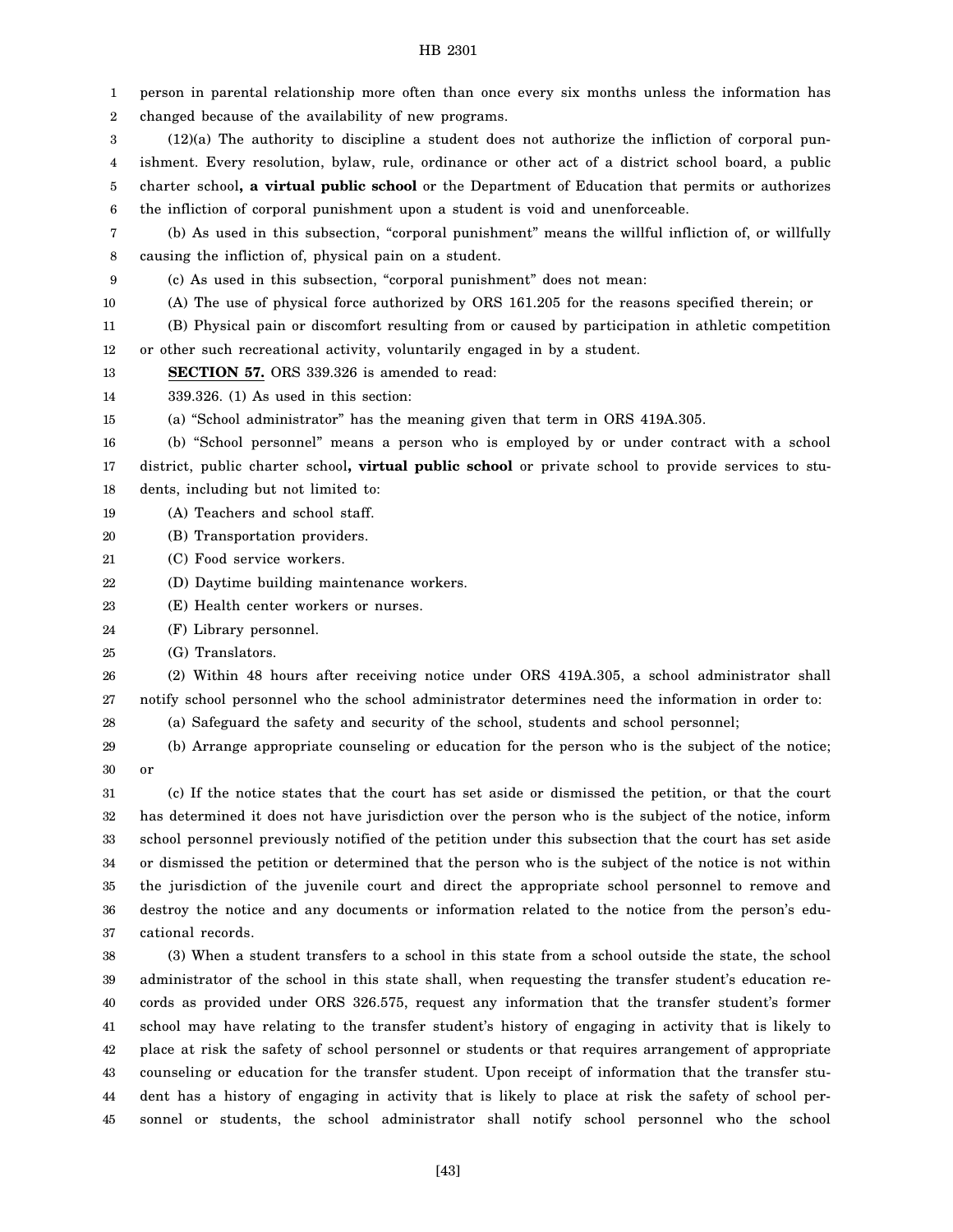| 1  | person in parental relationship more often than once every six months unless the information has                                                                                                             |
|----|--------------------------------------------------------------------------------------------------------------------------------------------------------------------------------------------------------------|
| 2  | changed because of the availability of new programs.                                                                                                                                                         |
| 3  | $(12)(a)$ The authority to discipline a student does not authorize the infliction of corporal pun-                                                                                                           |
| 4  | ishment. Every resolution, bylaw, rule, ordinance or other act of a district school board, a public                                                                                                          |
| 5  | charter school, a virtual public school or the Department of Education that permits or authorizes                                                                                                            |
| 6  | the infliction of corporal punishment upon a student is void and unenforceable.                                                                                                                              |
| 7  | (b) As used in this subsection, "corporal punishment" means the willful infliction of, or willfully                                                                                                          |
| 8  | causing the infliction of, physical pain on a student.                                                                                                                                                       |
| 9  | (c) As used in this subsection, "corporal punishment" does not mean:                                                                                                                                         |
| 10 | (A) The use of physical force authorized by ORS 161.205 for the reasons specified therein; or                                                                                                                |
| 11 | (B) Physical pain or discomfort resulting from or caused by participation in athletic competition                                                                                                            |
| 12 | or other such recreational activity, voluntarily engaged in by a student.                                                                                                                                    |
| 13 | SECTION 57. ORS 339.326 is amended to read:                                                                                                                                                                  |
| 14 | $339.326$ . (1) As used in this section:                                                                                                                                                                     |
| 15 | (a) "School administrator" has the meaning given that term in ORS 419A.305.                                                                                                                                  |
| 16 | (b) "School personnel" means a person who is employed by or under contract with a school                                                                                                                     |
| 17 | district, public charter school, virtual public school or private school to provide services to stu-                                                                                                         |
| 18 | dents, including but not limited to:                                                                                                                                                                         |
| 19 | (A) Teachers and school staff.                                                                                                                                                                               |
| 20 | (B) Transportation providers.                                                                                                                                                                                |
| 21 | (C) Food service workers.                                                                                                                                                                                    |
| 22 | (D) Daytime building maintenance workers.                                                                                                                                                                    |
| 23 | (E) Health center workers or nurses.                                                                                                                                                                         |
| 24 | (F) Library personnel.                                                                                                                                                                                       |
| 25 | (G) Translators.                                                                                                                                                                                             |
| 26 | (2) Within 48 hours after receiving notice under ORS 419A.305, a school administrator shall                                                                                                                  |
| 27 | notify school personnel who the school administrator determines need the information in order to:                                                                                                            |
| 28 | (a) Safeguard the safety and security of the school, students and school personnel;                                                                                                                          |
| 29 | (b) Arrange appropriate counseling or education for the person who is the subject of the notice;                                                                                                             |
| 30 | or                                                                                                                                                                                                           |
| 31 | (c) If the notice states that the court has set aside or dismissed the petition, or that the court                                                                                                           |
| 32 | has determined it does not have jurisdiction over the person who is the subject of the notice, inform                                                                                                        |
| 33 | school personnel previously notified of the petition under this subsection that the court has set aside                                                                                                      |
| 34 | or dismissed the petition or determined that the person who is the subject of the notice is not within                                                                                                       |
| 35 | the jurisdiction of the juvenile court and direct the appropriate school personnel to remove and                                                                                                             |
| 36 | destroy the notice and any documents or information related to the notice from the person's edu-                                                                                                             |
| 37 | cational records.                                                                                                                                                                                            |
| 38 | (3) When a student transfers to a school in this state from a school outside the state, the school                                                                                                           |
| 39 | administrator of the school in this state shall, when requesting the transfer student's education re-                                                                                                        |
| 40 | cords as provided under ORS 326.575, request any information that the transfer student's former                                                                                                              |
| 41 | school may have relating to the transfer student's history of engaging in activity that is likely to                                                                                                         |
| 42 |                                                                                                                                                                                                              |
| 43 | place at risk the safety of school personnel or students or that requires arrangement of appropriate<br>counseling or education for the transfer student. Upon receipt of information that the transfer stu- |

44 45 dent has a history of engaging in activity that is likely to place at risk the safety of school personnel or students, the school administrator shall notify school personnel who the school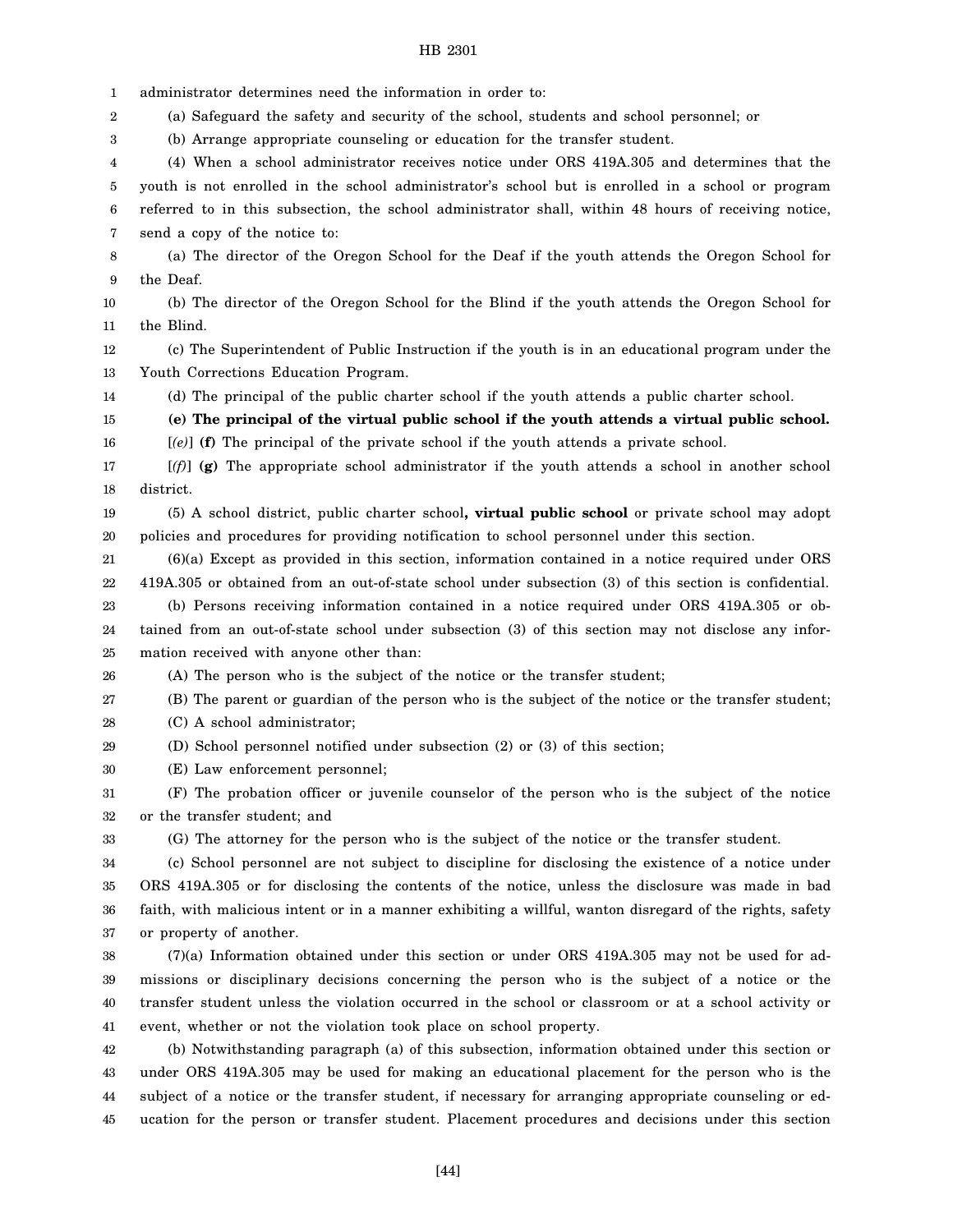1 2 3 4 5 6 7 8 9 10 11 12 13 14 15 16 17 18 19 20 21 22 23 24 25 26 27 28 29 30 31 32 33 34 35 36 37 38 39 40 41 42 43 44 administrator determines need the information in order to: (a) Safeguard the safety and security of the school, students and school personnel; or (b) Arrange appropriate counseling or education for the transfer student. (4) When a school administrator receives notice under ORS 419A.305 and determines that the youth is not enrolled in the school administrator's school but is enrolled in a school or program referred to in this subsection, the school administrator shall, within 48 hours of receiving notice, send a copy of the notice to: (a) The director of the Oregon School for the Deaf if the youth attends the Oregon School for the Deaf. (b) The director of the Oregon School for the Blind if the youth attends the Oregon School for the Blind. (c) The Superintendent of Public Instruction if the youth is in an educational program under the Youth Corrections Education Program. (d) The principal of the public charter school if the youth attends a public charter school. **(e) The principal of the virtual public school if the youth attends a virtual public school.** [*(e)*] **(f)** The principal of the private school if the youth attends a private school. [*(f)*] **(g)** The appropriate school administrator if the youth attends a school in another school district. (5) A school district, public charter school**, virtual public school** or private school may adopt policies and procedures for providing notification to school personnel under this section. (6)(a) Except as provided in this section, information contained in a notice required under ORS 419A.305 or obtained from an out-of-state school under subsection (3) of this section is confidential. (b) Persons receiving information contained in a notice required under ORS 419A.305 or obtained from an out-of-state school under subsection (3) of this section may not disclose any information received with anyone other than: (A) The person who is the subject of the notice or the transfer student; (B) The parent or guardian of the person who is the subject of the notice or the transfer student; (C) A school administrator; (D) School personnel notified under subsection (2) or (3) of this section; (E) Law enforcement personnel; (F) The probation officer or juvenile counselor of the person who is the subject of the notice or the transfer student; and (G) The attorney for the person who is the subject of the notice or the transfer student. (c) School personnel are not subject to discipline for disclosing the existence of a notice under ORS 419A.305 or for disclosing the contents of the notice, unless the disclosure was made in bad faith, with malicious intent or in a manner exhibiting a willful, wanton disregard of the rights, safety or property of another. (7)(a) Information obtained under this section or under ORS 419A.305 may not be used for admissions or disciplinary decisions concerning the person who is the subject of a notice or the transfer student unless the violation occurred in the school or classroom or at a school activity or event, whether or not the violation took place on school property. (b) Notwithstanding paragraph (a) of this subsection, information obtained under this section or under ORS 419A.305 may be used for making an educational placement for the person who is the subject of a notice or the transfer student, if necessary for arranging appropriate counseling or ed-

ucation for the person or transfer student. Placement procedures and decisions under this section

45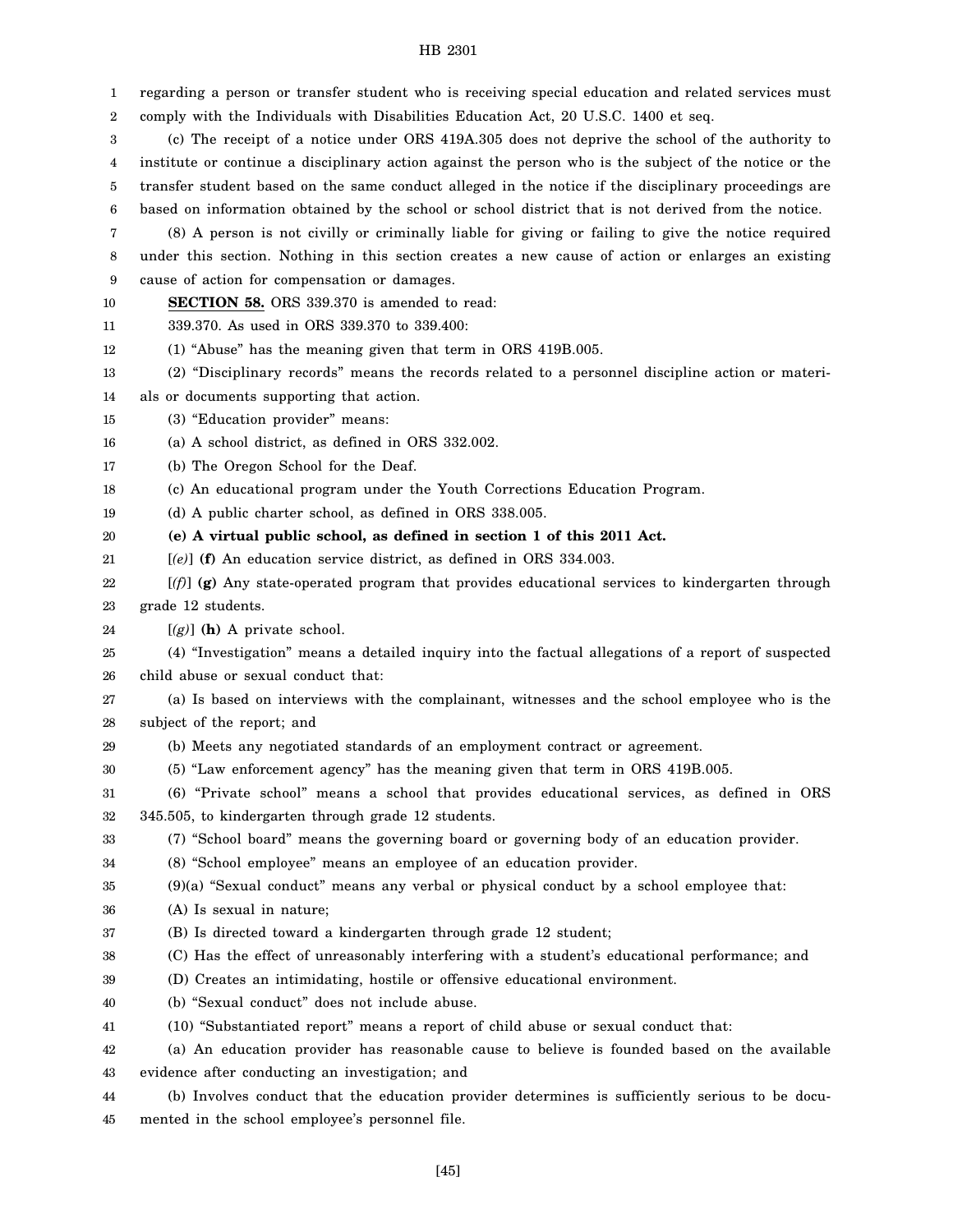| 1  | regarding a person or transfer student who is receiving special education and related services must    |
|----|--------------------------------------------------------------------------------------------------------|
| 2  | comply with the Individuals with Disabilities Education Act, 20 U.S.C. 1400 et seq.                    |
| 3  | (c) The receipt of a notice under ORS 419A.305 does not deprive the school of the authority to         |
| 4  | institute or continue a disciplinary action against the person who is the subject of the notice or the |
| 5  | transfer student based on the same conduct alleged in the notice if the disciplinary proceedings are   |
| 6  | based on information obtained by the school or school district that is not derived from the notice.    |
| 7  | (8) A person is not civilly or criminally liable for giving or failing to give the notice required     |
| 8  | under this section. Nothing in this section creates a new cause of action or enlarges an existing      |
| 9  | cause of action for compensation or damages.                                                           |
| 10 | <b>SECTION 58.</b> ORS 339.370 is amended to read:                                                     |
| 11 | 339.370. As used in ORS 339.370 to 339.400:                                                            |
| 12 | (1) "Abuse" has the meaning given that term in ORS 419B.005.                                           |
| 13 | (2) "Disciplinary records" means the records related to a personnel discipline action or materi-       |
| 14 | als or documents supporting that action.                                                               |
| 15 | (3) "Education provider" means:                                                                        |
| 16 | (a) A school district, as defined in ORS 332.002.                                                      |
| 17 | (b) The Oregon School for the Deaf.                                                                    |
| 18 | (c) An educational program under the Youth Corrections Education Program.                              |
| 19 | (d) A public charter school, as defined in ORS 338.005.                                                |
| 20 | (e) A virtual public school, as defined in section 1 of this 2011 Act.                                 |
| 21 | $[ (e) ]$ (f) An education service district, as defined in ORS 334.003.                                |
| 22 | $[(f)$ (g) Any state-operated program that provides educational services to kindergarten through       |
| 23 | grade 12 students.                                                                                     |
| 24 | $[(g)]$ (h) A private school.                                                                          |
| 25 | (4) "Investigation" means a detailed inquiry into the factual allegations of a report of suspected     |
| 26 | child abuse or sexual conduct that:                                                                    |
| 27 | (a) Is based on interviews with the complainant, witnesses and the school employee who is the          |
| 28 | subject of the report; and                                                                             |
| 29 | (b) Meets any negotiated standards of an employment contract or agreement.                             |
| 30 | (5) "Law enforcement agency" has the meaning given that term in ORS 419B.005.                          |
| 31 | (6) "Private school" means a school that provides educational services, as defined in ORS              |
| 32 | 345.505, to kindergarten through grade 12 students.                                                    |
| 33 | (7) "School board" means the governing board or governing body of an education provider.               |
| 34 | (8) "School employee" means an employee of an education provider.                                      |
| 35 | (9)(a) "Sexual conduct" means any verbal or physical conduct by a school employee that:                |
| 36 | (A) Is sexual in nature;                                                                               |
| 37 | (B) Is directed toward a kindergarten through grade 12 student;                                        |
| 38 | (C) Has the effect of unreasonably interfering with a student's educational performance; and           |
| 39 | (D) Creates an intimidating, hostile or offensive educational environment.                             |
| 40 | (b) "Sexual conduct" does not include abuse.                                                           |
| 41 | (10) "Substantiated report" means a report of child abuse or sexual conduct that:                      |
| 42 | (a) An education provider has reasonable cause to believe is founded based on the available            |
| 43 | evidence after conducting an investigation; and                                                        |
| 44 | (b) Involves conduct that the education provider determines is sufficiently serious to be docu-        |

45 mented in the school employee's personnel file.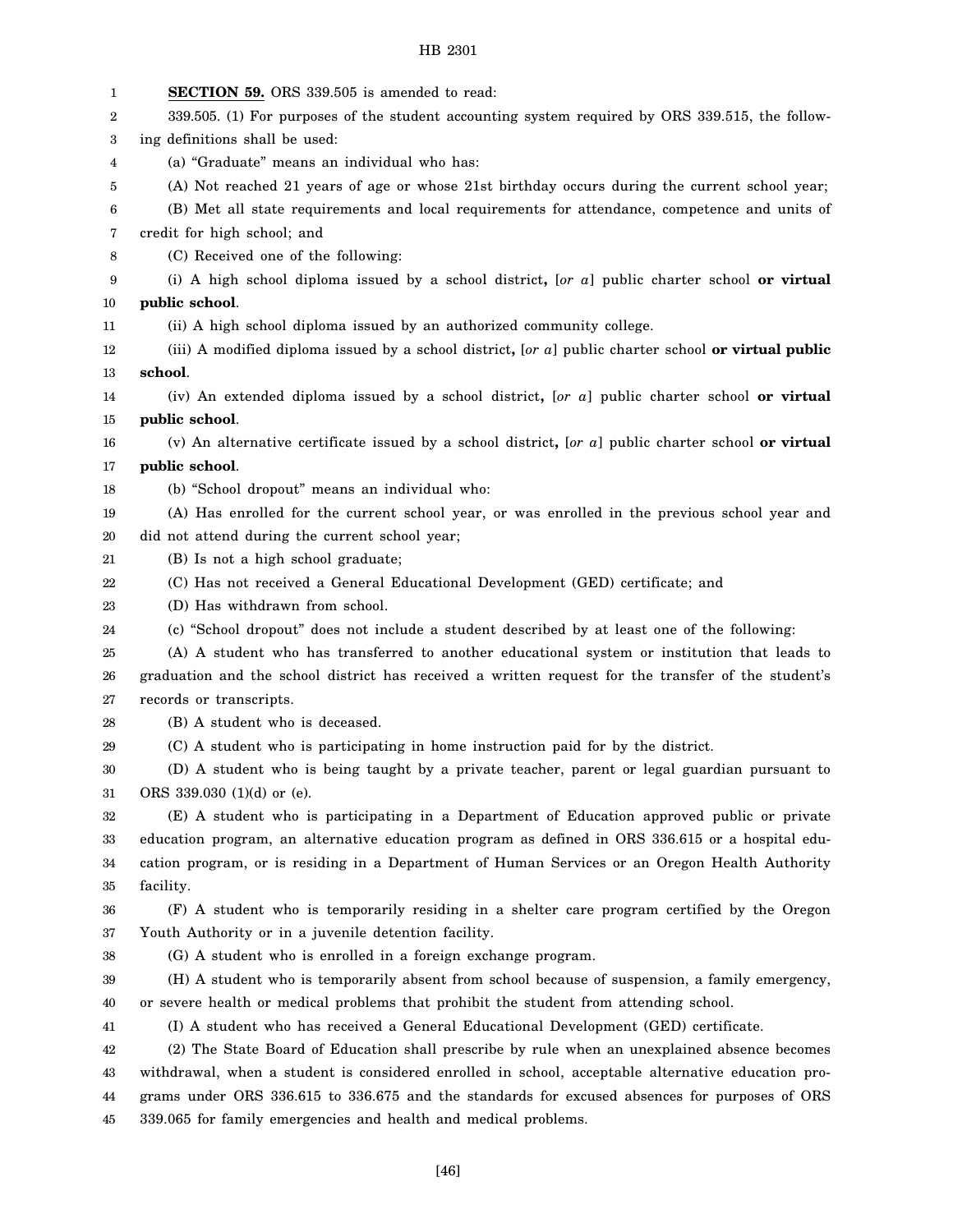| 1  | <b>SECTION 59.</b> ORS 339.505 is amended to read:                                                   |
|----|------------------------------------------------------------------------------------------------------|
| 2  | 339.505. (1) For purposes of the student accounting system required by ORS 339.515, the follow-      |
| 3  | ing definitions shall be used:                                                                       |
| 4  | (a) "Graduate" means an individual who has:                                                          |
| 5  | (A) Not reached 21 years of age or whose 21st birthday occurs during the current school year;        |
| 6  | (B) Met all state requirements and local requirements for attendance, competence and units of        |
| 7  | credit for high school; and                                                                          |
| 8  | (C) Received one of the following:                                                                   |
| 9  | (i) A high school diploma issued by a school district, $[or\ a]$ public charter school or virtual    |
| 10 | public school.                                                                                       |
| 11 | (ii) A high school diploma issued by an authorized community college.                                |
| 12 | (iii) A modified diploma issued by a school district, [or a] public charter school or virtual public |
| 13 | school.                                                                                              |
| 14 | (iv) An extended diploma issued by a school district, [or a] public charter school or virtual        |
| 15 | public school.                                                                                       |
| 16 | (v) An alternative certificate issued by a school district, [or a] public charter school or virtual  |
| 17 | public school.                                                                                       |
| 18 | (b) "School dropout" means an individual who:                                                        |
| 19 | (A) Has enrolled for the current school year, or was enrolled in the previous school year and        |
| 20 | did not attend during the current school year;                                                       |
| 21 | (B) Is not a high school graduate;                                                                   |
| 22 | (C) Has not received a General Educational Development (GED) certificate; and                        |
| 23 | (D) Has withdrawn from school.                                                                       |
| 24 | (c) "School dropout" does not include a student described by at least one of the following:          |
| 25 | (A) A student who has transferred to another educational system or institution that leads to         |
| 26 | graduation and the school district has received a written request for the transfer of the student's  |
| 27 | records or transcripts.                                                                              |
| 28 | (B) A student who is deceased.                                                                       |
| 29 | (C) A student who is participating in home instruction paid for by the district.                     |
| 30 | (D) A student who is being taught by a private teacher, parent or legal guardian pursuant to         |
| 31 | ORS 339.030 (1)(d) or (e).                                                                           |
| 32 | (E) A student who is participating in a Department of Education approved public or private           |
| 33 | education program, an alternative education program as defined in ORS 336.615 or a hospital edu-     |
| 34 | cation program, or is residing in a Department of Human Services or an Oregon Health Authority       |
| 35 | facility.                                                                                            |
| 36 | (F) A student who is temporarily residing in a shelter care program certified by the Oregon          |
| 37 | Youth Authority or in a juvenile detention facility.                                                 |
| 38 | (G) A student who is enrolled in a foreign exchange program.                                         |
| 39 | (H) A student who is temporarily absent from school because of suspension, a family emergency,       |
| 40 | or severe health or medical problems that prohibit the student from attending school.                |
| 41 | (I) A student who has received a General Educational Development (GED) certificate.                  |
| 42 | (2) The State Board of Education shall prescribe by rule when an unexplained absence becomes         |
| 43 | withdrawal, when a student is considered enrolled in school, acceptable alternative education pro-   |
| 44 | grams under ORS 336.615 to 336.675 and the standards for excused absences for purposes of ORS        |
| 45 | 339.065 for family emergencies and health and medical problems.                                      |
|    |                                                                                                      |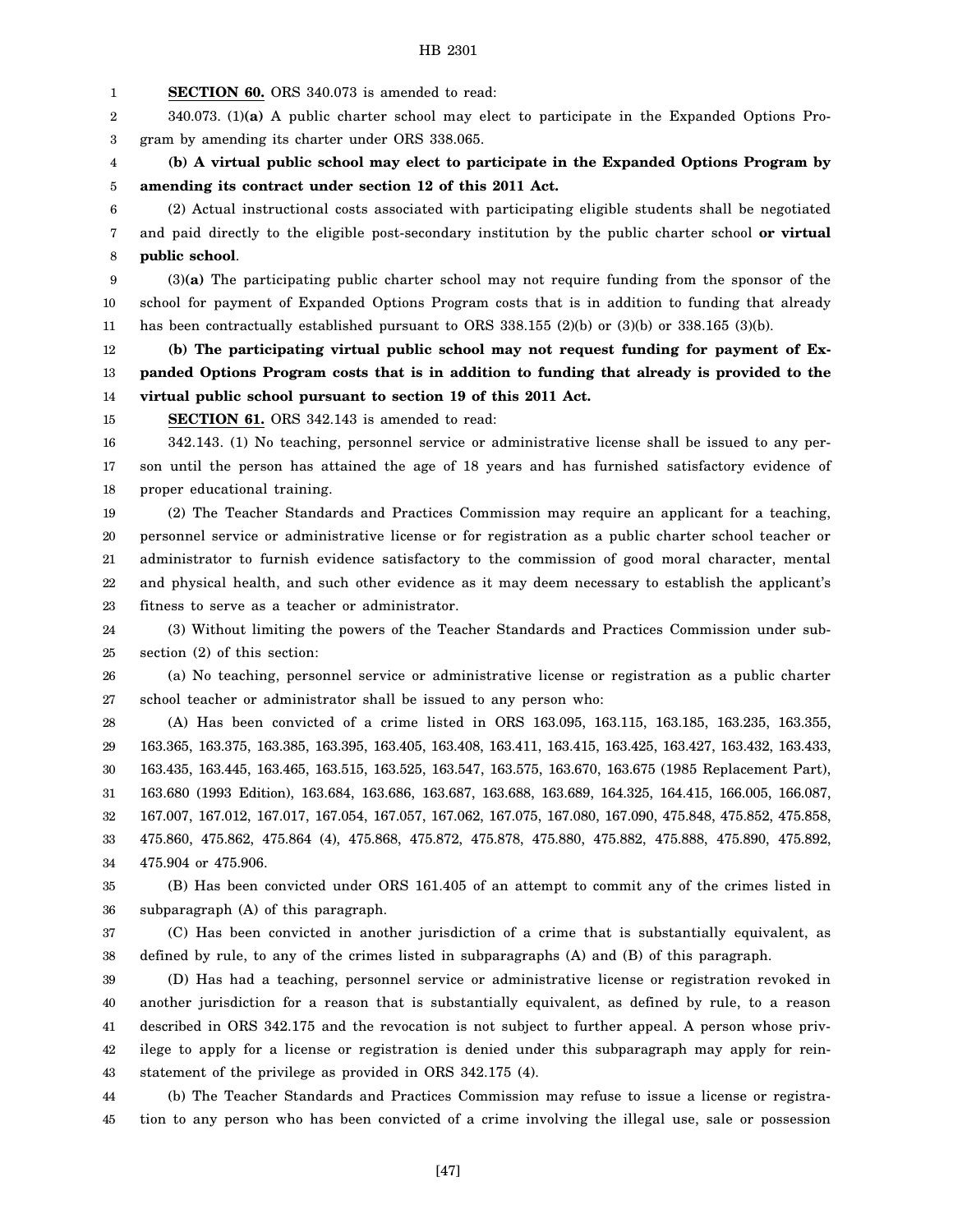1 **SECTION 60.** ORS 340.073 is amended to read:

2 3 340.073. (1)**(a)** A public charter school may elect to participate in the Expanded Options Program by amending its charter under ORS 338.065.

4 5 **(b) A virtual public school may elect to participate in the Expanded Options Program by amending its contract under section 12 of this 2011 Act.**

6 7 8 (2) Actual instructional costs associated with participating eligible students shall be negotiated and paid directly to the eligible post-secondary institution by the public charter school **or virtual public school**.

9 10 11 (3)**(a)** The participating public charter school may not require funding from the sponsor of the school for payment of Expanded Options Program costs that is in addition to funding that already has been contractually established pursuant to ORS 338.155 (2)(b) or (3)(b) or 338.165 (3)(b).

12 13 14 **(b) The participating virtual public school may not request funding for payment of Expanded Options Program costs that is in addition to funding that already is provided to the virtual public school pursuant to section 19 of this 2011 Act.**

15 **SECTION 61.** ORS 342.143 is amended to read:

16 17 18 342.143. (1) No teaching, personnel service or administrative license shall be issued to any person until the person has attained the age of 18 years and has furnished satisfactory evidence of proper educational training.

19 20 21 22 23 (2) The Teacher Standards and Practices Commission may require an applicant for a teaching, personnel service or administrative license or for registration as a public charter school teacher or administrator to furnish evidence satisfactory to the commission of good moral character, mental and physical health, and such other evidence as it may deem necessary to establish the applicant's fitness to serve as a teacher or administrator.

24 25 (3) Without limiting the powers of the Teacher Standards and Practices Commission under subsection (2) of this section:

26 27 (a) No teaching, personnel service or administrative license or registration as a public charter school teacher or administrator shall be issued to any person who:

28 29 30 31 32 33 34 (A) Has been convicted of a crime listed in ORS 163.095, 163.115, 163.185, 163.235, 163.355, 163.365, 163.375, 163.385, 163.395, 163.405, 163.408, 163.411, 163.415, 163.425, 163.427, 163.432, 163.433, 163.435, 163.445, 163.465, 163.515, 163.525, 163.547, 163.575, 163.670, 163.675 (1985 Replacement Part), 163.680 (1993 Edition), 163.684, 163.686, 163.687, 163.688, 163.689, 164.325, 164.415, 166.005, 166.087, 167.007, 167.012, 167.017, 167.054, 167.057, 167.062, 167.075, 167.080, 167.090, 475.848, 475.852, 475.858, 475.860, 475.862, 475.864 (4), 475.868, 475.872, 475.878, 475.880, 475.882, 475.888, 475.890, 475.892, 475.904 or 475.906.

35 36 (B) Has been convicted under ORS 161.405 of an attempt to commit any of the crimes listed in subparagraph (A) of this paragraph.

37 38 (C) Has been convicted in another jurisdiction of a crime that is substantially equivalent, as defined by rule, to any of the crimes listed in subparagraphs (A) and (B) of this paragraph.

39 40 41 42 43 (D) Has had a teaching, personnel service or administrative license or registration revoked in another jurisdiction for a reason that is substantially equivalent, as defined by rule, to a reason described in ORS 342.175 and the revocation is not subject to further appeal. A person whose privilege to apply for a license or registration is denied under this subparagraph may apply for reinstatement of the privilege as provided in ORS 342.175 (4).

44 45 (b) The Teacher Standards and Practices Commission may refuse to issue a license or registration to any person who has been convicted of a crime involving the illegal use, sale or possession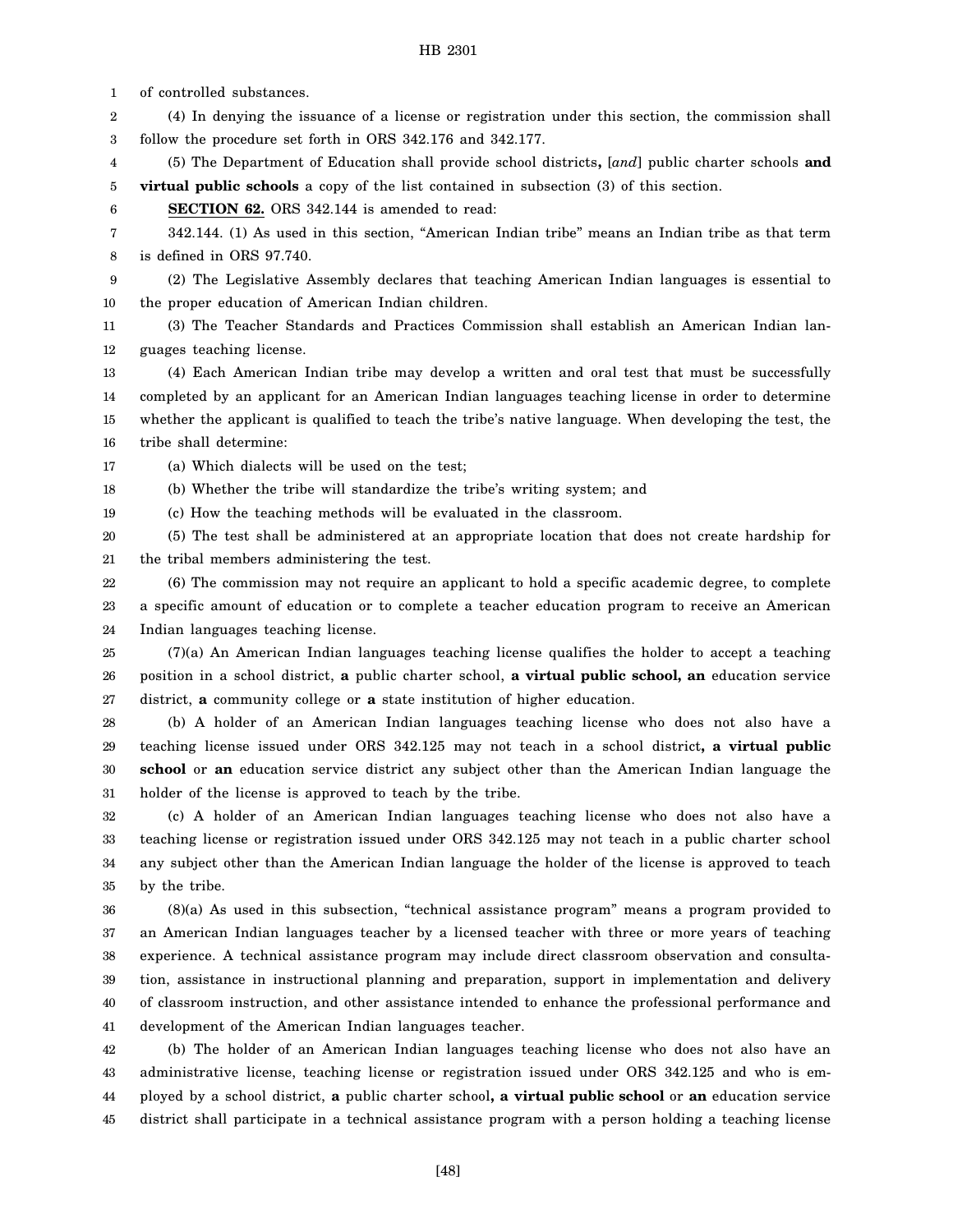1

of controlled substances.

2 3 4 5 6 7 8 9 10 11 12 13 14 15 16 17 18 19 20 21 22 23 24 25 26 27 28 29 30 31 32 33 34 35 36 37 38 39 40 41 42 43 44 45 (4) In denying the issuance of a license or registration under this section, the commission shall follow the procedure set forth in ORS 342.176 and 342.177. (5) The Department of Education shall provide school districts**,** [*and*] public charter schools **and virtual public schools** a copy of the list contained in subsection (3) of this section. **SECTION 62.** ORS 342.144 is amended to read: 342.144. (1) As used in this section, "American Indian tribe" means an Indian tribe as that term is defined in ORS 97.740. (2) The Legislative Assembly declares that teaching American Indian languages is essential to the proper education of American Indian children. (3) The Teacher Standards and Practices Commission shall establish an American Indian languages teaching license. (4) Each American Indian tribe may develop a written and oral test that must be successfully completed by an applicant for an American Indian languages teaching license in order to determine whether the applicant is qualified to teach the tribe's native language. When developing the test, the tribe shall determine: (a) Which dialects will be used on the test; (b) Whether the tribe will standardize the tribe's writing system; and (c) How the teaching methods will be evaluated in the classroom. (5) The test shall be administered at an appropriate location that does not create hardship for the tribal members administering the test. (6) The commission may not require an applicant to hold a specific academic degree, to complete a specific amount of education or to complete a teacher education program to receive an American Indian languages teaching license. (7)(a) An American Indian languages teaching license qualifies the holder to accept a teaching position in a school district, **a** public charter school, **a virtual public school, an** education service district, **a** community college or **a** state institution of higher education. (b) A holder of an American Indian languages teaching license who does not also have a teaching license issued under ORS 342.125 may not teach in a school district**, a virtual public school** or **an** education service district any subject other than the American Indian language the holder of the license is approved to teach by the tribe. (c) A holder of an American Indian languages teaching license who does not also have a teaching license or registration issued under ORS 342.125 may not teach in a public charter school any subject other than the American Indian language the holder of the license is approved to teach by the tribe. (8)(a) As used in this subsection, "technical assistance program" means a program provided to an American Indian languages teacher by a licensed teacher with three or more years of teaching experience. A technical assistance program may include direct classroom observation and consultation, assistance in instructional planning and preparation, support in implementation and delivery of classroom instruction, and other assistance intended to enhance the professional performance and development of the American Indian languages teacher. (b) The holder of an American Indian languages teaching license who does not also have an administrative license, teaching license or registration issued under ORS 342.125 and who is employed by a school district, **a** public charter school**, a virtual public school** or **an** education service district shall participate in a technical assistance program with a person holding a teaching license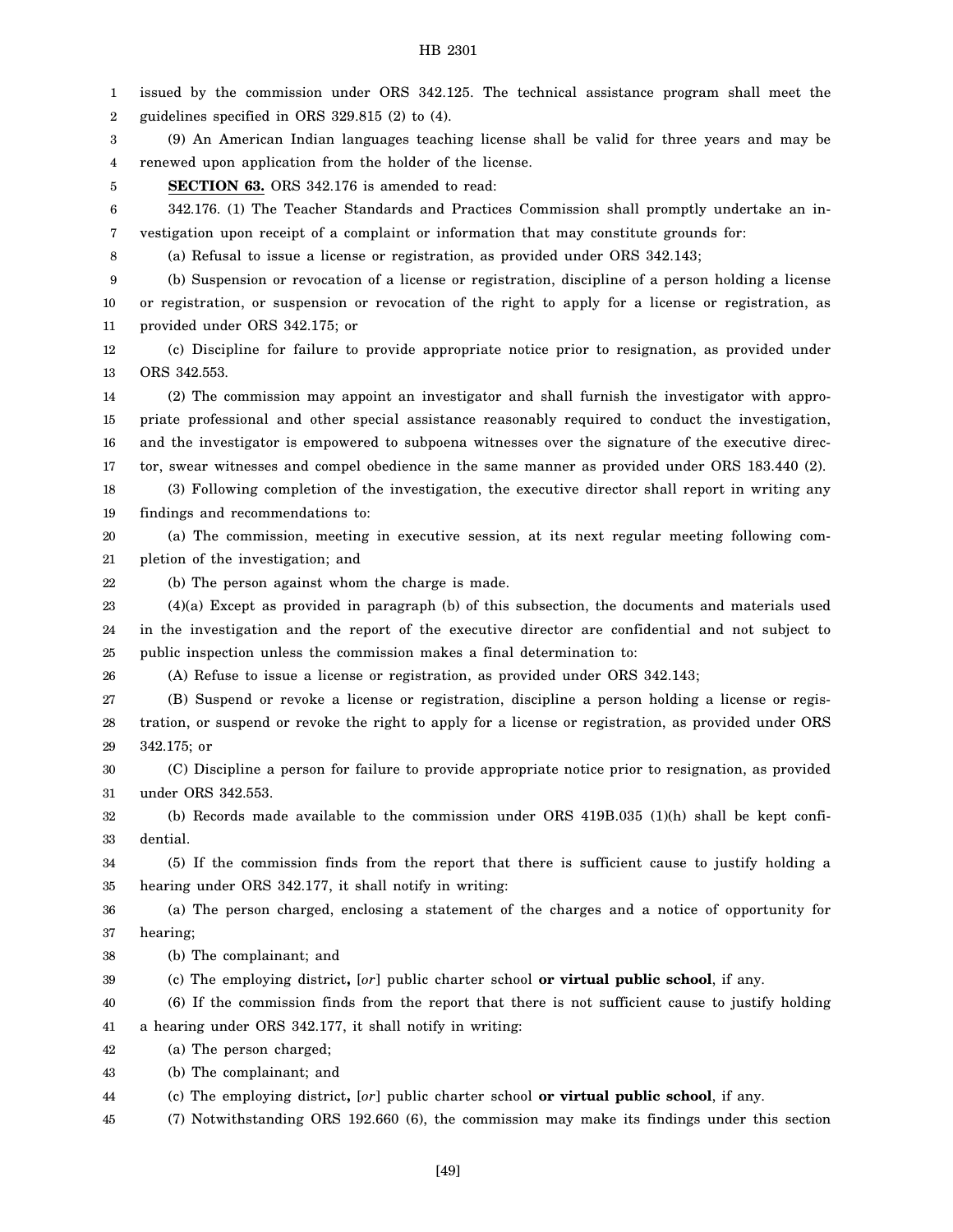1 2 3 4 5 6 7 8 9 10 11 12 13 14 15 16 17 18 19 20 21 22 23 24 25 26 27 28 29 30 31 32 33 34 35 36 37 38 39 40 41 42 43 44 issued by the commission under ORS 342.125. The technical assistance program shall meet the guidelines specified in ORS 329.815 (2) to (4). (9) An American Indian languages teaching license shall be valid for three years and may be renewed upon application from the holder of the license. **SECTION 63.** ORS 342.176 is amended to read: 342.176. (1) The Teacher Standards and Practices Commission shall promptly undertake an investigation upon receipt of a complaint or information that may constitute grounds for: (a) Refusal to issue a license or registration, as provided under ORS 342.143; (b) Suspension or revocation of a license or registration, discipline of a person holding a license or registration, or suspension or revocation of the right to apply for a license or registration, as provided under ORS 342.175; or (c) Discipline for failure to provide appropriate notice prior to resignation, as provided under ORS 342.553. (2) The commission may appoint an investigator and shall furnish the investigator with appropriate professional and other special assistance reasonably required to conduct the investigation, and the investigator is empowered to subpoena witnesses over the signature of the executive director, swear witnesses and compel obedience in the same manner as provided under ORS 183.440 (2). (3) Following completion of the investigation, the executive director shall report in writing any findings and recommendations to: (a) The commission, meeting in executive session, at its next regular meeting following completion of the investigation; and (b) The person against whom the charge is made. (4)(a) Except as provided in paragraph (b) of this subsection, the documents and materials used in the investigation and the report of the executive director are confidential and not subject to public inspection unless the commission makes a final determination to: (A) Refuse to issue a license or registration, as provided under ORS 342.143; (B) Suspend or revoke a license or registration, discipline a person holding a license or registration, or suspend or revoke the right to apply for a license or registration, as provided under ORS 342.175; or (C) Discipline a person for failure to provide appropriate notice prior to resignation, as provided under ORS 342.553. (b) Records made available to the commission under ORS 419B.035 (1)(h) shall be kept confidential. (5) If the commission finds from the report that there is sufficient cause to justify holding a hearing under ORS 342.177, it shall notify in writing: (a) The person charged, enclosing a statement of the charges and a notice of opportunity for hearing; (b) The complainant; and (c) The employing district**,** [*or*] public charter school **or virtual public school**, if any. (6) If the commission finds from the report that there is not sufficient cause to justify holding a hearing under ORS 342.177, it shall notify in writing: (a) The person charged; (b) The complainant; and (c) The employing district**,** [*or*] public charter school **or virtual public school**, if any.

45 (7) Notwithstanding ORS 192.660 (6), the commission may make its findings under this section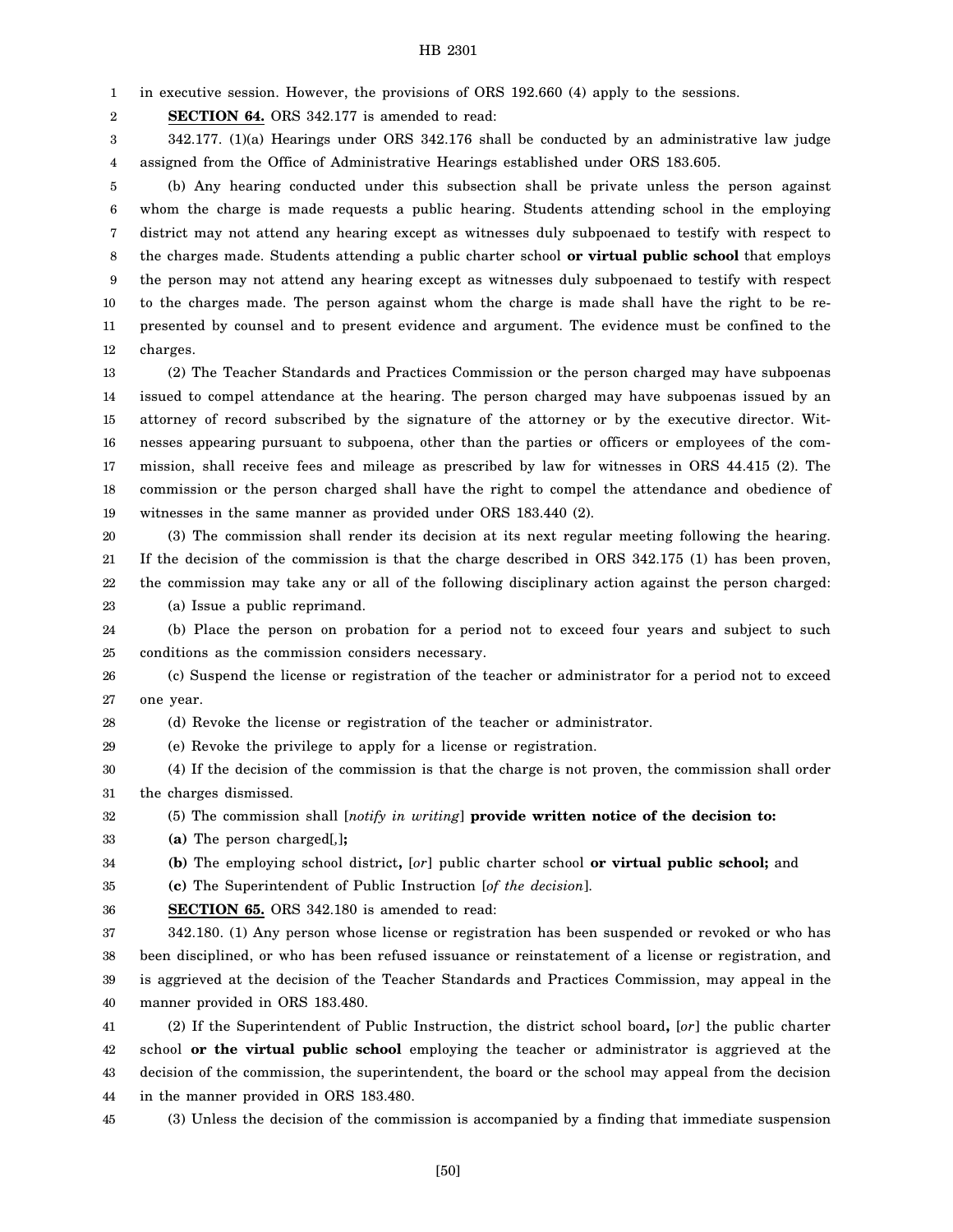1 in executive session. However, the provisions of ORS 192.660 (4) apply to the sessions.

2 **SECTION 64.** ORS 342.177 is amended to read:

3 4 342.177. (1)(a) Hearings under ORS 342.176 shall be conducted by an administrative law judge assigned from the Office of Administrative Hearings established under ORS 183.605.

5 6 7 8 9 10 11 12 (b) Any hearing conducted under this subsection shall be private unless the person against whom the charge is made requests a public hearing. Students attending school in the employing district may not attend any hearing except as witnesses duly subpoenaed to testify with respect to the charges made. Students attending a public charter school **or virtual public school** that employs the person may not attend any hearing except as witnesses duly subpoenaed to testify with respect to the charges made. The person against whom the charge is made shall have the right to be represented by counsel and to present evidence and argument. The evidence must be confined to the charges.

13 14 15 16 17 18 19 (2) The Teacher Standards and Practices Commission or the person charged may have subpoenas issued to compel attendance at the hearing. The person charged may have subpoenas issued by an attorney of record subscribed by the signature of the attorney or by the executive director. Witnesses appearing pursuant to subpoena, other than the parties or officers or employees of the commission, shall receive fees and mileage as prescribed by law for witnesses in ORS 44.415 (2). The commission or the person charged shall have the right to compel the attendance and obedience of witnesses in the same manner as provided under ORS 183.440 (2).

20 21 22 23 (3) The commission shall render its decision at its next regular meeting following the hearing. If the decision of the commission is that the charge described in ORS 342.175 (1) has been proven, the commission may take any or all of the following disciplinary action against the person charged: (a) Issue a public reprimand.

24 25 (b) Place the person on probation for a period not to exceed four years and subject to such conditions as the commission considers necessary.

26 27 (c) Suspend the license or registration of the teacher or administrator for a period not to exceed one year.

28 (d) Revoke the license or registration of the teacher or administrator.

29 (e) Revoke the privilege to apply for a license or registration.

30 31 (4) If the decision of the commission is that the charge is not proven, the commission shall order the charges dismissed.

#### 32 (5) The commission shall [*notify in writing*] **provide written notice of the decision to:**

33 **(a)** The person charged[*,*]**;**

34 **(b)** The employing school district**,** [*or*] public charter school **or virtual public school;** and

35 **(c)** The Superintendent of Public Instruction [*of the decision*].

36 **SECTION 65.** ORS 342.180 is amended to read:

37 38 39 40 342.180. (1) Any person whose license or registration has been suspended or revoked or who has been disciplined, or who has been refused issuance or reinstatement of a license or registration, and is aggrieved at the decision of the Teacher Standards and Practices Commission, may appeal in the manner provided in ORS 183.480.

41 42 43 44 (2) If the Superintendent of Public Instruction, the district school board**,** [*or*] the public charter school **or the virtual public school** employing the teacher or administrator is aggrieved at the decision of the commission, the superintendent, the board or the school may appeal from the decision in the manner provided in ORS 183.480.

45 (3) Unless the decision of the commission is accompanied by a finding that immediate suspension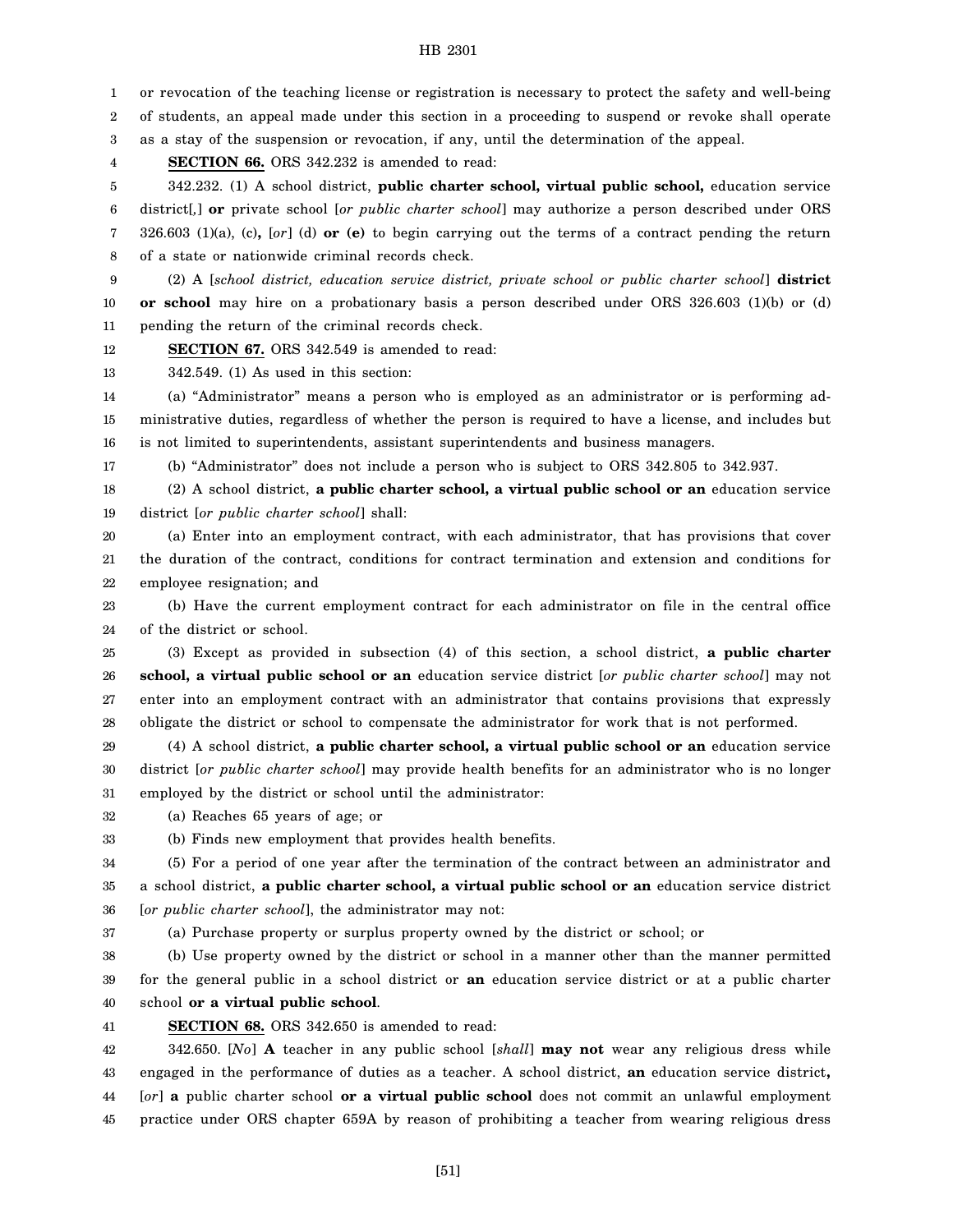1 2 3 4 5 6 7 8 9 10 11 12 13 14 15 16 17 18 19 20 21 22 23 24 25 26 27 28 29 30 or revocation of the teaching license or registration is necessary to protect the safety and well-being of students, an appeal made under this section in a proceeding to suspend or revoke shall operate as a stay of the suspension or revocation, if any, until the determination of the appeal. **SECTION 66.** ORS 342.232 is amended to read: 342.232. (1) A school district, **public charter school, virtual public school,** education service district[*,*] **or** private school [*or public charter school*] may authorize a person described under ORS 326.603 (1)(a), (c)**,** [*or*] (d) **or (e)** to begin carrying out the terms of a contract pending the return of a state or nationwide criminal records check. (2) A [*school district, education service district, private school or public charter school*] **district or school** may hire on a probationary basis a person described under ORS 326.603 (1)(b) or (d) pending the return of the criminal records check. **SECTION 67.** ORS 342.549 is amended to read: 342.549. (1) As used in this section: (a) "Administrator" means a person who is employed as an administrator or is performing administrative duties, regardless of whether the person is required to have a license, and includes but is not limited to superintendents, assistant superintendents and business managers. (b) "Administrator" does not include a person who is subject to ORS 342.805 to 342.937. (2) A school district, **a public charter school, a virtual public school or an** education service district [*or public charter school*] shall: (a) Enter into an employment contract, with each administrator, that has provisions that cover the duration of the contract, conditions for contract termination and extension and conditions for employee resignation; and (b) Have the current employment contract for each administrator on file in the central office of the district or school. (3) Except as provided in subsection (4) of this section, a school district, **a public charter school, a virtual public school or an** education service district [*or public charter school*] may not enter into an employment contract with an administrator that contains provisions that expressly obligate the district or school to compensate the administrator for work that is not performed. (4) A school district, **a public charter school, a virtual public school or an** education service district [*or public charter school*] may provide health benefits for an administrator who is no longer

31 employed by the district or school until the administrator:

32 (a) Reaches 65 years of age; or

33 (b) Finds new employment that provides health benefits.

34 35 36 (5) For a period of one year after the termination of the contract between an administrator and a school district, **a public charter school, a virtual public school or an** education service district [*or public charter school*], the administrator may not:

37 (a) Purchase property or surplus property owned by the district or school; or

38 39 40 (b) Use property owned by the district or school in a manner other than the manner permitted for the general public in a school district or **an** education service district or at a public charter school **or a virtual public school**.

41

**SECTION 68.** ORS 342.650 is amended to read:

42 43 44 45 342.650. [*No*] **A** teacher in any public school [*shall*] **may not** wear any religious dress while engaged in the performance of duties as a teacher. A school district, **an** education service district**,** [*or*] **a** public charter school **or a virtual public school** does not commit an unlawful employment practice under ORS chapter 659A by reason of prohibiting a teacher from wearing religious dress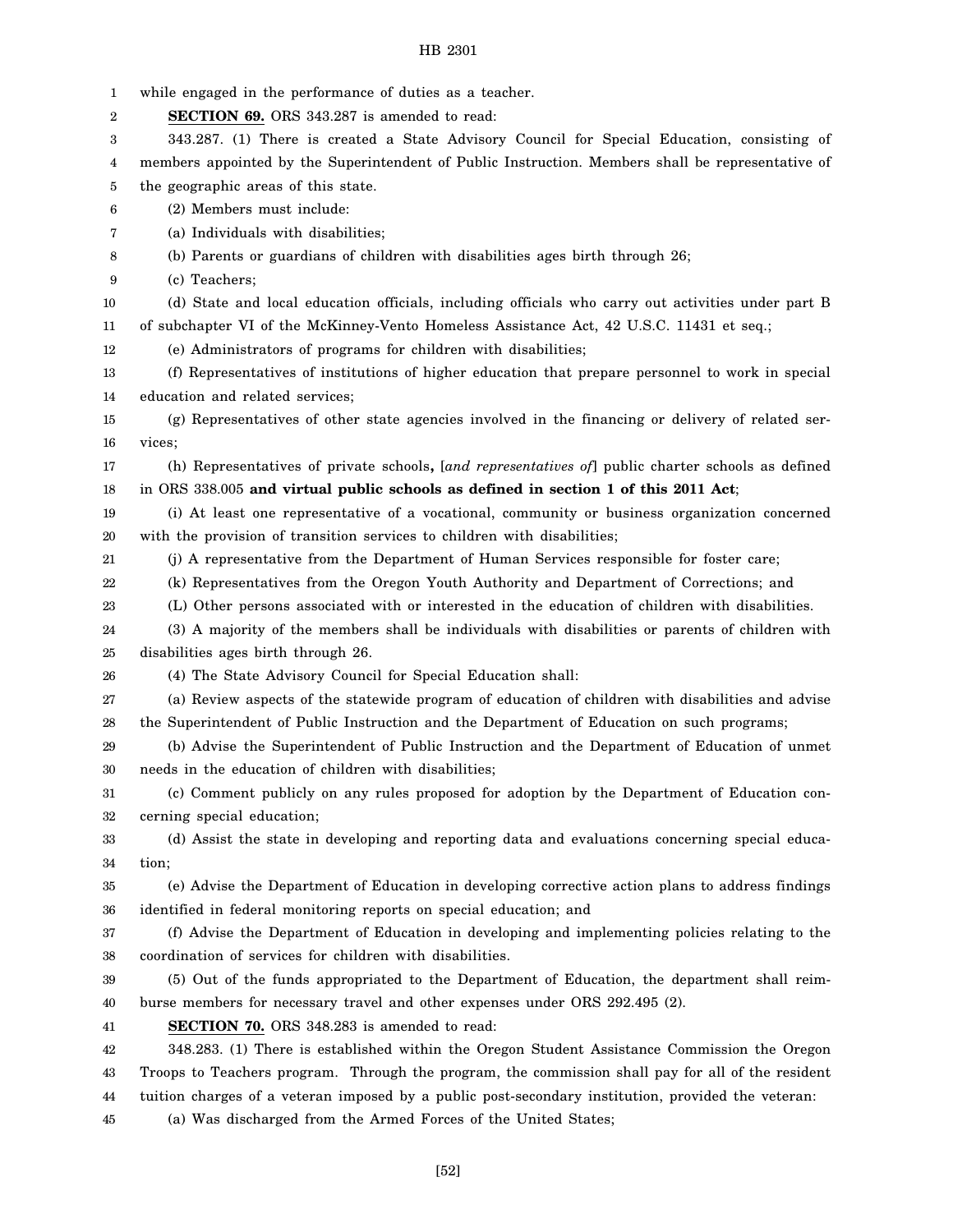| 1  | while engaged in the performance of duties as a teacher.                                           |
|----|----------------------------------------------------------------------------------------------------|
| 2  | <b>SECTION 69.</b> ORS 343.287 is amended to read:                                                 |
| 3  | 343.287. (1) There is created a State Advisory Council for Special Education, consisting of        |
| 4  | members appointed by the Superintendent of Public Instruction. Members shall be representative of  |
| 5  | the geographic areas of this state.                                                                |
| 6  | (2) Members must include:                                                                          |
| 7  | (a) Individuals with disabilities;                                                                 |
| 8  | (b) Parents or guardians of children with disabilities ages birth through 26;                      |
| 9  | (c) Teachers;                                                                                      |
| 10 | (d) State and local education officials, including officials who carry out activities under part B |
| 11 | of subchapter VI of the McKinney-Vento Homeless Assistance Act, 42 U.S.C. 11431 et seq.;           |
| 12 | (e) Administrators of programs for children with disabilities;                                     |
| 13 | (f) Representatives of institutions of higher education that prepare personnel to work in special  |
| 14 | education and related services;                                                                    |
| 15 | (g) Representatives of other state agencies involved in the financing or delivery of related ser-  |
| 16 | vices;                                                                                             |
| 17 | (h) Representatives of private schools, [and representatives of] public charter schools as defined |
| 18 | in ORS 338.005 and virtual public schools as defined in section 1 of this 2011 Act;                |
| 19 | (i) At least one representative of a vocational, community or business organization concerned      |
| 20 | with the provision of transition services to children with disabilities;                           |
| 21 | (j) A representative from the Department of Human Services responsible for foster care;            |
| 22 | (k) Representatives from the Oregon Youth Authority and Department of Corrections; and             |
| 23 | (L) Other persons associated with or interested in the education of children with disabilities.    |
| 24 | (3) A majority of the members shall be individuals with disabilities or parents of children with   |
| 25 | disabilities ages birth through 26.                                                                |
| 26 | (4) The State Advisory Council for Special Education shall:                                        |
| 27 | (a) Review aspects of the statewide program of education of children with disabilities and advise  |
| 28 | the Superintendent of Public Instruction and the Department of Education on such programs;         |
| 29 | (b) Advise the Superintendent of Public Instruction and the Department of Education of unmet       |
| 30 | needs in the education of children with disabilities;                                              |
| 31 | (c) Comment publicly on any rules proposed for adoption by the Department of Education con-        |
| 32 | cerning special education;                                                                         |
| 33 | (d) Assist the state in developing and reporting data and evaluations concerning special educa-    |
| 34 | tion;                                                                                              |
| 35 | (e) Advise the Department of Education in developing corrective action plans to address findings   |
| 36 | identified in federal monitoring reports on special education; and                                 |
| 37 | (f) Advise the Department of Education in developing and implementing policies relating to the     |
| 38 | coordination of services for children with disabilities.                                           |
| 39 | (5) Out of the funds appropriated to the Department of Education, the department shall reim-       |
| 40 | burse members for necessary travel and other expenses under ORS 292.495 (2).                       |
| 41 | <b>SECTION 70.</b> ORS 348.283 is amended to read:                                                 |
| 42 | 348.283. (1) There is established within the Oregon Student Assistance Commission the Oregon       |
| 43 | Troops to Teachers program. Through the program, the commission shall pay for all of the resident  |
| 44 | tuition charges of a veteran imposed by a public post-secondary institution, provided the veteran: |
| 45 | (a) Was discharged from the Armed Forces of the United States;                                     |
|    |                                                                                                    |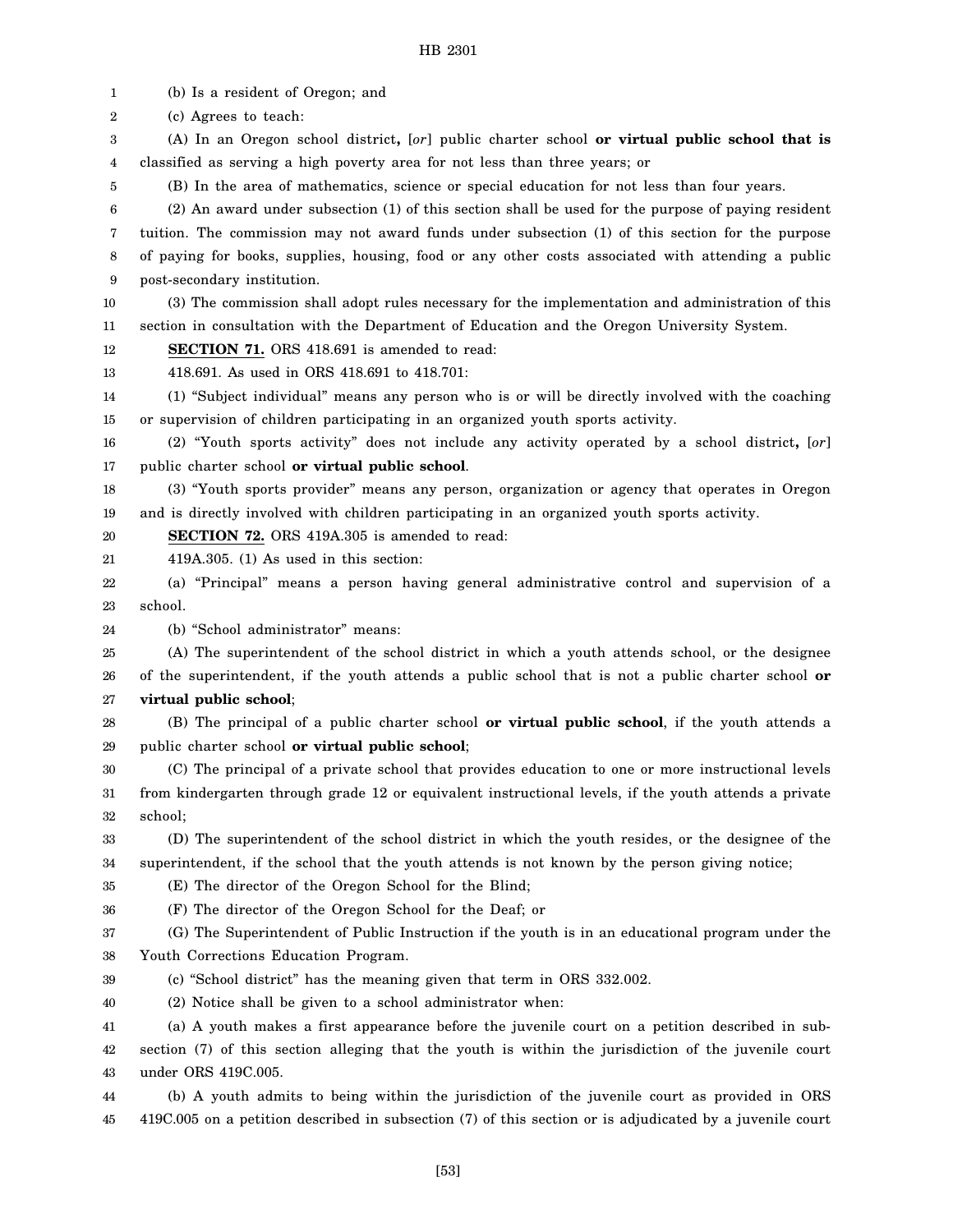1 2 3 4 5 6 7 8 9 10 11 12 13 14 15 16 17 18 19 20 21 22 23 24 25 26 27 28 29 30 31 32 33 34 35 36 37 38 39 40 41 42 43 44 45 (b) Is a resident of Oregon; and (c) Agrees to teach: (A) In an Oregon school district**,** [*or*] public charter school **or virtual public school that is** classified as serving a high poverty area for not less than three years; or (B) In the area of mathematics, science or special education for not less than four years. (2) An award under subsection (1) of this section shall be used for the purpose of paying resident tuition. The commission may not award funds under subsection (1) of this section for the purpose of paying for books, supplies, housing, food or any other costs associated with attending a public post-secondary institution. (3) The commission shall adopt rules necessary for the implementation and administration of this section in consultation with the Department of Education and the Oregon University System. **SECTION 71.** ORS 418.691 is amended to read: 418.691. As used in ORS 418.691 to 418.701: (1) "Subject individual" means any person who is or will be directly involved with the coaching or supervision of children participating in an organized youth sports activity. (2) "Youth sports activity" does not include any activity operated by a school district**,** [*or*] public charter school **or virtual public school**. (3) "Youth sports provider" means any person, organization or agency that operates in Oregon and is directly involved with children participating in an organized youth sports activity. **SECTION 72.** ORS 419A.305 is amended to read: 419A.305. (1) As used in this section: (a) "Principal" means a person having general administrative control and supervision of a school. (b) "School administrator" means: (A) The superintendent of the school district in which a youth attends school, or the designee of the superintendent, if the youth attends a public school that is not a public charter school **or virtual public school**; (B) The principal of a public charter school **or virtual public school**, if the youth attends a public charter school **or virtual public school**; (C) The principal of a private school that provides education to one or more instructional levels from kindergarten through grade 12 or equivalent instructional levels, if the youth attends a private school; (D) The superintendent of the school district in which the youth resides, or the designee of the superintendent, if the school that the youth attends is not known by the person giving notice; (E) The director of the Oregon School for the Blind; (F) The director of the Oregon School for the Deaf; or (G) The Superintendent of Public Instruction if the youth is in an educational program under the Youth Corrections Education Program. (c) "School district" has the meaning given that term in ORS 332.002. (2) Notice shall be given to a school administrator when: (a) A youth makes a first appearance before the juvenile court on a petition described in subsection (7) of this section alleging that the youth is within the jurisdiction of the juvenile court under ORS 419C.005. (b) A youth admits to being within the jurisdiction of the juvenile court as provided in ORS 419C.005 on a petition described in subsection (7) of this section or is adjudicated by a juvenile court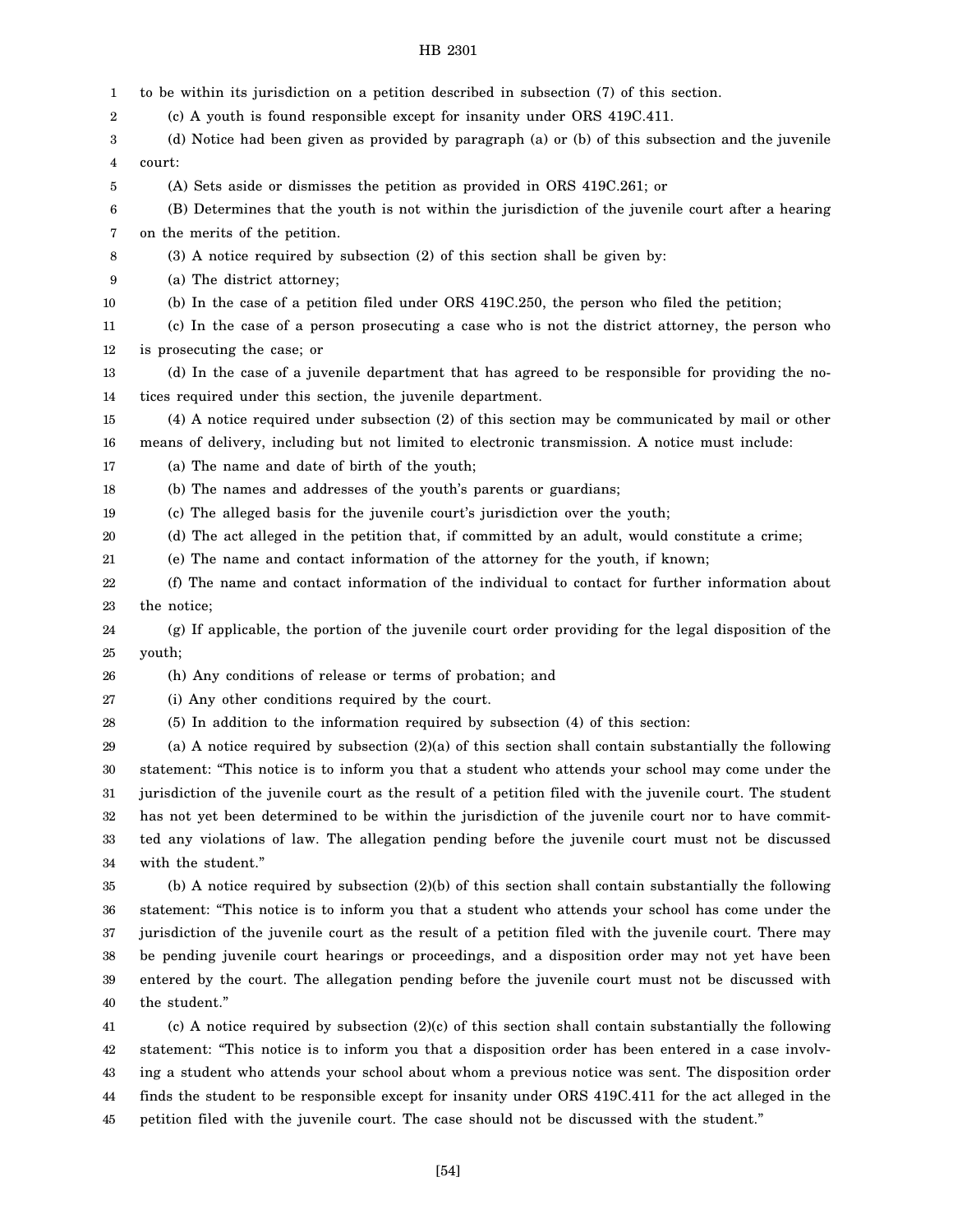| 1  | to be within its jurisdiction on a petition described in subsection (7) of this section.                  |
|----|-----------------------------------------------------------------------------------------------------------|
| 2  | (c) A youth is found responsible except for insanity under ORS 419C.411.                                  |
| 3  | (d) Notice had been given as provided by paragraph (a) or (b) of this subsection and the juvenile         |
| 4  | court:                                                                                                    |
| 5  | (A) Sets aside or dismisses the petition as provided in ORS 419C.261; or                                  |
| 6  | (B) Determines that the youth is not within the jurisdiction of the juvenile court after a hearing        |
| 7  | on the merits of the petition.                                                                            |
| 8  | (3) A notice required by subsection (2) of this section shall be given by:                                |
| 9  | (a) The district attorney;                                                                                |
| 10 | (b) In the case of a petition filed under ORS 419C.250, the person who filed the petition;                |
| 11 | (c) In the case of a person prosecuting a case who is not the district attorney, the person who           |
| 12 | is prosecuting the case; or                                                                               |
| 13 | (d) In the case of a juvenile department that has agreed to be responsible for providing the no-          |
| 14 | tices required under this section, the juvenile department.                                               |
| 15 | (4) A notice required under subsection (2) of this section may be communicated by mail or other           |
| 16 | means of delivery, including but not limited to electronic transmission. A notice must include:           |
| 17 | (a) The name and date of birth of the youth;                                                              |
| 18 | (b) The names and addresses of the youth's parents or guardians;                                          |
| 19 | (c) The alleged basis for the juvenile court's jurisdiction over the youth;                               |
| 20 | (d) The act alleged in the petition that, if committed by an adult, would constitute a crime;             |
| 21 | (e) The name and contact information of the attorney for the youth, if known;                             |
| 22 | (f) The name and contact information of the individual to contact for further information about           |
| 23 | the notice;                                                                                               |
| 24 | (g) If applicable, the portion of the juvenile court order providing for the legal disposition of the     |
| 25 | youth;                                                                                                    |
| 26 | (h) Any conditions of release or terms of probation; and                                                  |
| 27 | (i) Any other conditions required by the court.                                                           |
| 28 | (5) In addition to the information required by subsection (4) of this section:                            |
| 29 | (a) A notice required by subsection $(2)(a)$ of this section shall contain substantially the following    |
| 30 | statement: "This notice is to inform you that a student who attends your school may come under the        |
| 31 | jurisdiction of the juvenile court as the result of a petition filed with the juvenile court. The student |
| 32 | has not yet been determined to be within the jurisdiction of the juvenile court nor to have commit-       |
| 33 | ted any violations of law. The allegation pending before the juvenile court must not be discussed         |
| 34 | with the student."                                                                                        |
| 35 | (b) A notice required by subsection $(2)(b)$ of this section shall contain substantially the following    |
| 36 | statement: "This notice is to inform you that a student who attends your school has come under the        |
| 37 | jurisdiction of the juvenile court as the result of a petition filed with the juvenile court. There may   |
| 38 | be pending juvenile court hearings or proceedings, and a disposition order may not yet have been          |
| 39 | entered by the court. The allegation pending before the juvenile court must not be discussed with         |
| 40 | the student."                                                                                             |
| 41 | (c) A notice required by subsection $(2)(c)$ of this section shall contain substantially the following    |
| 42 | statement: "This notice is to inform you that a disposition order has been entered in a case involv-      |
| 43 | ing a student who attends your school about whom a previous notice was sent. The disposition order        |
| 44 | finds the student to be responsible except for insanity under ORS 419C.411 for the act alleged in the     |
| 45 | petition filed with the juvenile court. The case should not be discussed with the student."               |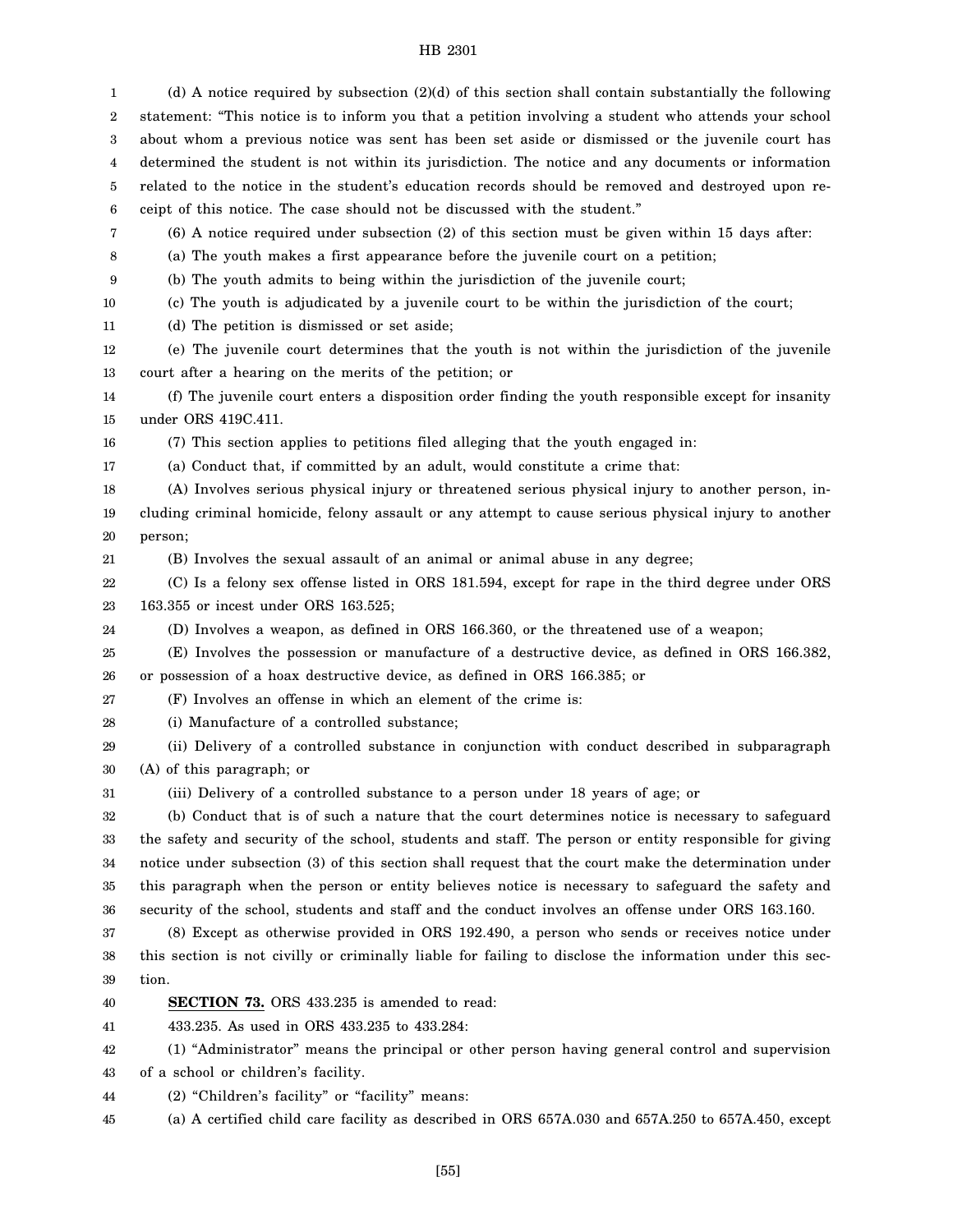1 2 3 4 5 6 7 8 9 10 11 12 13 14 15 16 17 18 19 20 21 22 23 24 25 26 27 28 29 30 31 32 33 34 35 36 37 38 39 40 41 42 43 44 45 (d) A notice required by subsection (2)(d) of this section shall contain substantially the following statement: "This notice is to inform you that a petition involving a student who attends your school about whom a previous notice was sent has been set aside or dismissed or the juvenile court has determined the student is not within its jurisdiction. The notice and any documents or information related to the notice in the student's education records should be removed and destroyed upon receipt of this notice. The case should not be discussed with the student." (6) A notice required under subsection (2) of this section must be given within 15 days after: (a) The youth makes a first appearance before the juvenile court on a petition; (b) The youth admits to being within the jurisdiction of the juvenile court; (c) The youth is adjudicated by a juvenile court to be within the jurisdiction of the court; (d) The petition is dismissed or set aside; (e) The juvenile court determines that the youth is not within the jurisdiction of the juvenile court after a hearing on the merits of the petition; or (f) The juvenile court enters a disposition order finding the youth responsible except for insanity under ORS 419C.411. (7) This section applies to petitions filed alleging that the youth engaged in: (a) Conduct that, if committed by an adult, would constitute a crime that: (A) Involves serious physical injury or threatened serious physical injury to another person, including criminal homicide, felony assault or any attempt to cause serious physical injury to another person; (B) Involves the sexual assault of an animal or animal abuse in any degree; (C) Is a felony sex offense listed in ORS 181.594, except for rape in the third degree under ORS 163.355 or incest under ORS 163.525; (D) Involves a weapon, as defined in ORS 166.360, or the threatened use of a weapon; (E) Involves the possession or manufacture of a destructive device, as defined in ORS 166.382, or possession of a hoax destructive device, as defined in ORS 166.385; or (F) Involves an offense in which an element of the crime is: (i) Manufacture of a controlled substance; (ii) Delivery of a controlled substance in conjunction with conduct described in subparagraph (A) of this paragraph; or (iii) Delivery of a controlled substance to a person under 18 years of age; or (b) Conduct that is of such a nature that the court determines notice is necessary to safeguard the safety and security of the school, students and staff. The person or entity responsible for giving notice under subsection (3) of this section shall request that the court make the determination under this paragraph when the person or entity believes notice is necessary to safeguard the safety and security of the school, students and staff and the conduct involves an offense under ORS 163.160. (8) Except as otherwise provided in ORS 192.490, a person who sends or receives notice under this section is not civilly or criminally liable for failing to disclose the information under this section. **SECTION 73.** ORS 433.235 is amended to read: 433.235. As used in ORS 433.235 to 433.284: (1) "Administrator" means the principal or other person having general control and supervision of a school or children's facility. (2) "Children's facility" or "facility" means: (a) A certified child care facility as described in ORS 657A.030 and 657A.250 to 657A.450, except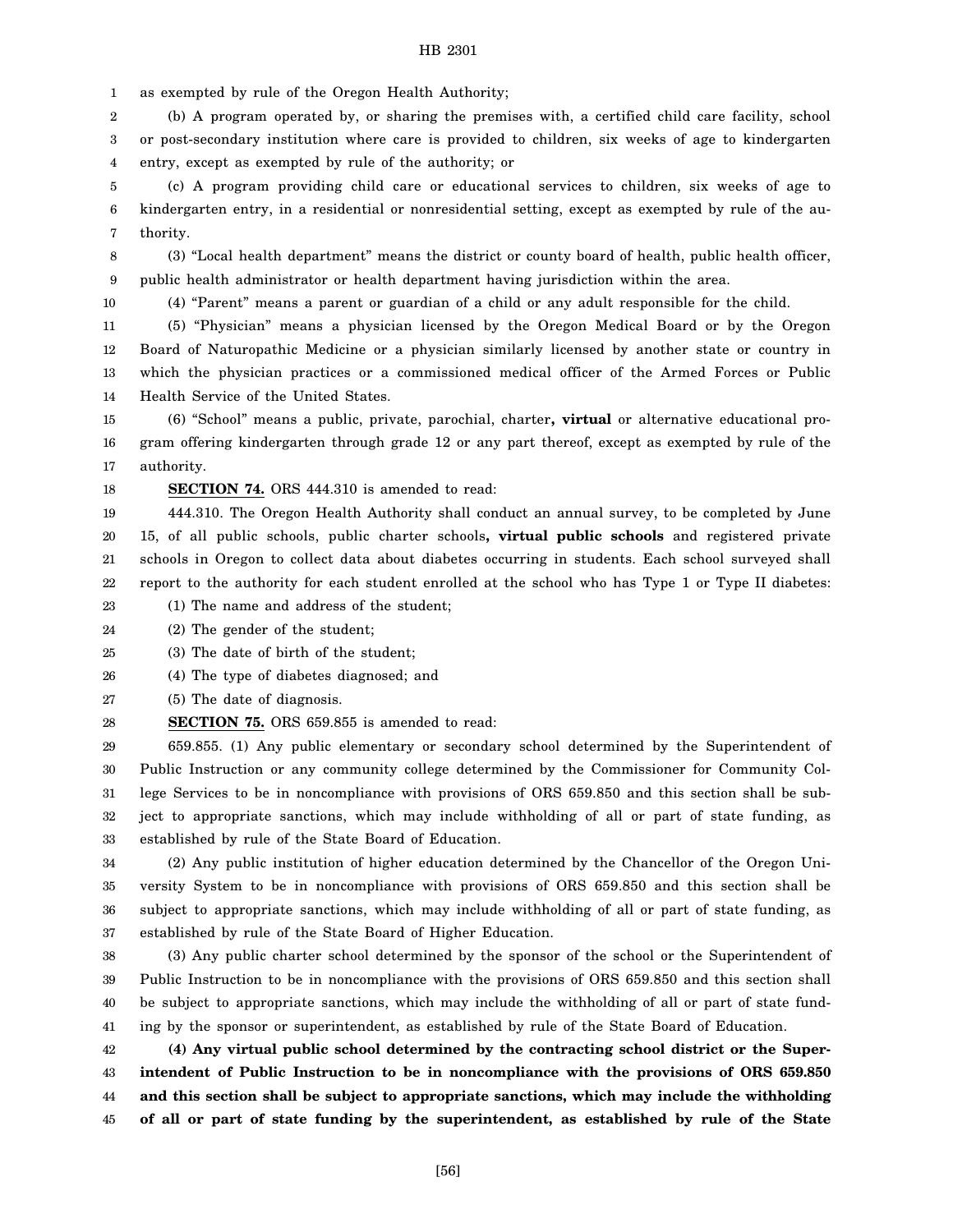1 as exempted by rule of the Oregon Health Authority;

2 3 4 (b) A program operated by, or sharing the premises with, a certified child care facility, school or post-secondary institution where care is provided to children, six weeks of age to kindergarten entry, except as exempted by rule of the authority; or

5 6 7 (c) A program providing child care or educational services to children, six weeks of age to kindergarten entry, in a residential or nonresidential setting, except as exempted by rule of the authority.

8 9 (3) "Local health department" means the district or county board of health, public health officer, public health administrator or health department having jurisdiction within the area.

10

(4) "Parent" means a parent or guardian of a child or any adult responsible for the child.

11 12 13 14 (5) "Physician" means a physician licensed by the Oregon Medical Board or by the Oregon Board of Naturopathic Medicine or a physician similarly licensed by another state or country in which the physician practices or a commissioned medical officer of the Armed Forces or Public Health Service of the United States.

15 16 17 (6) "School" means a public, private, parochial, charter**, virtual** or alternative educational program offering kindergarten through grade 12 or any part thereof, except as exempted by rule of the authority.

18 **SECTION 74.** ORS 444.310 is amended to read:

19 20 21 22 444.310. The Oregon Health Authority shall conduct an annual survey, to be completed by June 15, of all public schools, public charter schools**, virtual public schools** and registered private schools in Oregon to collect data about diabetes occurring in students. Each school surveyed shall report to the authority for each student enrolled at the school who has Type 1 or Type II diabetes:

23 (1) The name and address of the student;

24 (2) The gender of the student;

25 (3) The date of birth of the student;

26 (4) The type of diabetes diagnosed; and

27 (5) The date of diagnosis.

28 **SECTION 75.** ORS 659.855 is amended to read:

29 30 31 32 33 659.855. (1) Any public elementary or secondary school determined by the Superintendent of Public Instruction or any community college determined by the Commissioner for Community College Services to be in noncompliance with provisions of ORS 659.850 and this section shall be subject to appropriate sanctions, which may include withholding of all or part of state funding, as established by rule of the State Board of Education.

34 35 36 37 (2) Any public institution of higher education determined by the Chancellor of the Oregon University System to be in noncompliance with provisions of ORS 659.850 and this section shall be subject to appropriate sanctions, which may include withholding of all or part of state funding, as established by rule of the State Board of Higher Education.

38 39 40 41 (3) Any public charter school determined by the sponsor of the school or the Superintendent of Public Instruction to be in noncompliance with the provisions of ORS 659.850 and this section shall be subject to appropriate sanctions, which may include the withholding of all or part of state funding by the sponsor or superintendent, as established by rule of the State Board of Education.

42 43 44 45 **(4) Any virtual public school determined by the contracting school district or the Superintendent of Public Instruction to be in noncompliance with the provisions of ORS 659.850 and this section shall be subject to appropriate sanctions, which may include the withholding of all or part of state funding by the superintendent, as established by rule of the State**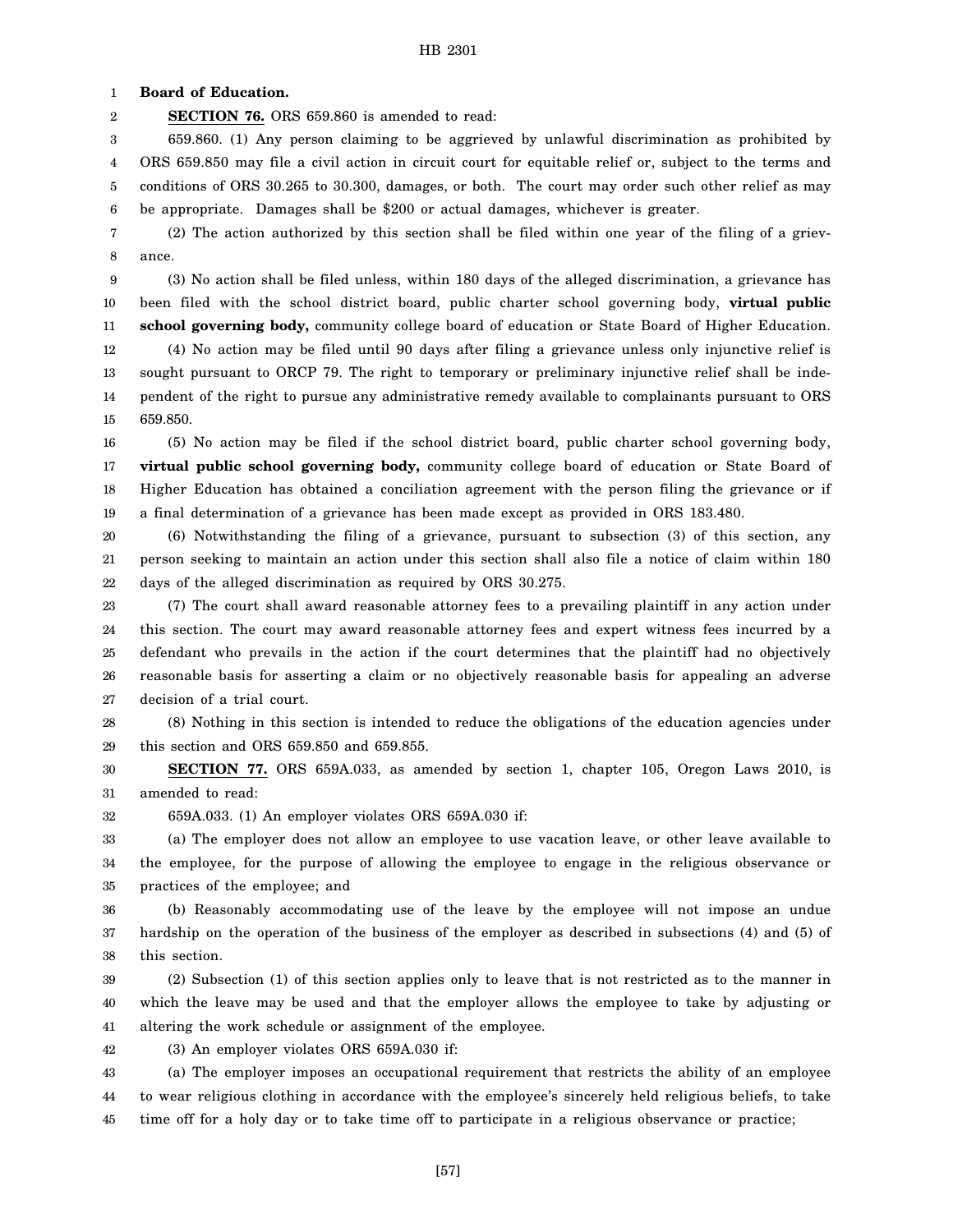1 **Board of Education.**

2 **SECTION 76.** ORS 659.860 is amended to read:

3 4 5 6 659.860. (1) Any person claiming to be aggrieved by unlawful discrimination as prohibited by ORS 659.850 may file a civil action in circuit court for equitable relief or, subject to the terms and conditions of ORS 30.265 to 30.300, damages, or both. The court may order such other relief as may be appropriate. Damages shall be \$200 or actual damages, whichever is greater.

7 8 (2) The action authorized by this section shall be filed within one year of the filing of a grievance.

9 10 11 (3) No action shall be filed unless, within 180 days of the alleged discrimination, a grievance has been filed with the school district board, public charter school governing body, **virtual public school governing body,** community college board of education or State Board of Higher Education.

12 13 14 15 (4) No action may be filed until 90 days after filing a grievance unless only injunctive relief is sought pursuant to ORCP 79. The right to temporary or preliminary injunctive relief shall be independent of the right to pursue any administrative remedy available to complainants pursuant to ORS 659.850.

16 17 18 19 (5) No action may be filed if the school district board, public charter school governing body, **virtual public school governing body,** community college board of education or State Board of Higher Education has obtained a conciliation agreement with the person filing the grievance or if a final determination of a grievance has been made except as provided in ORS 183.480.

20 21 22 (6) Notwithstanding the filing of a grievance, pursuant to subsection (3) of this section, any person seeking to maintain an action under this section shall also file a notice of claim within 180 days of the alleged discrimination as required by ORS 30.275.

23 24 25 26 27 (7) The court shall award reasonable attorney fees to a prevailing plaintiff in any action under this section. The court may award reasonable attorney fees and expert witness fees incurred by a defendant who prevails in the action if the court determines that the plaintiff had no objectively reasonable basis for asserting a claim or no objectively reasonable basis for appealing an adverse decision of a trial court.

28 29 (8) Nothing in this section is intended to reduce the obligations of the education agencies under this section and ORS 659.850 and 659.855.

30 31 **SECTION 77.** ORS 659A.033, as amended by section 1, chapter 105, Oregon Laws 2010, is amended to read:

32 659A.033. (1) An employer violates ORS 659A.030 if:

33 34 35 (a) The employer does not allow an employee to use vacation leave, or other leave available to the employee, for the purpose of allowing the employee to engage in the religious observance or practices of the employee; and

36 37 38 (b) Reasonably accommodating use of the leave by the employee will not impose an undue hardship on the operation of the business of the employer as described in subsections (4) and (5) of this section.

39 40 41 (2) Subsection (1) of this section applies only to leave that is not restricted as to the manner in which the leave may be used and that the employer allows the employee to take by adjusting or altering the work schedule or assignment of the employee.

42 (3) An employer violates ORS 659A.030 if:

43 44 45 (a) The employer imposes an occupational requirement that restricts the ability of an employee to wear religious clothing in accordance with the employee's sincerely held religious beliefs, to take time off for a holy day or to take time off to participate in a religious observance or practice;

[57]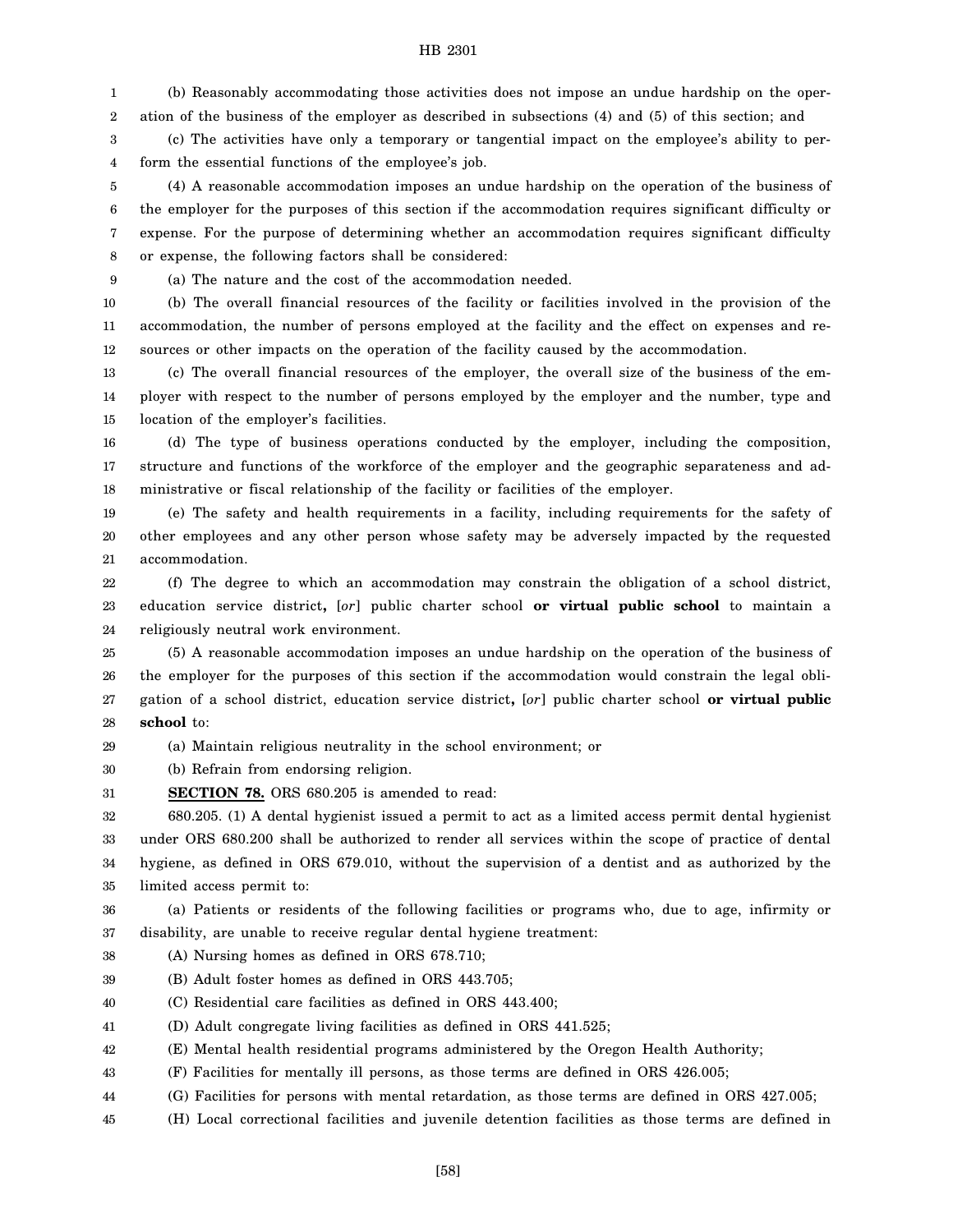1 2 (b) Reasonably accommodating those activities does not impose an undue hardship on the operation of the business of the employer as described in subsections (4) and (5) of this section; and

3 4 (c) The activities have only a temporary or tangential impact on the employee's ability to perform the essential functions of the employee's job.

5 6 7 8 (4) A reasonable accommodation imposes an undue hardship on the operation of the business of the employer for the purposes of this section if the accommodation requires significant difficulty or expense. For the purpose of determining whether an accommodation requires significant difficulty or expense, the following factors shall be considered:

9

(a) The nature and the cost of the accommodation needed.

10 11 12 (b) The overall financial resources of the facility or facilities involved in the provision of the accommodation, the number of persons employed at the facility and the effect on expenses and resources or other impacts on the operation of the facility caused by the accommodation.

13 14 15 (c) The overall financial resources of the employer, the overall size of the business of the employer with respect to the number of persons employed by the employer and the number, type and location of the employer's facilities.

16 17 18 (d) The type of business operations conducted by the employer, including the composition, structure and functions of the workforce of the employer and the geographic separateness and administrative or fiscal relationship of the facility or facilities of the employer.

19 20 21 (e) The safety and health requirements in a facility, including requirements for the safety of other employees and any other person whose safety may be adversely impacted by the requested accommodation.

22 23 24 (f) The degree to which an accommodation may constrain the obligation of a school district, education service district**,** [*or*] public charter school **or virtual public school** to maintain a religiously neutral work environment.

25 26 27 28 (5) A reasonable accommodation imposes an undue hardship on the operation of the business of the employer for the purposes of this section if the accommodation would constrain the legal obligation of a school district, education service district**,** [*or*] public charter school **or virtual public school** to:

29 (a) Maintain religious neutrality in the school environment; or

30 (b) Refrain from endorsing religion.

31 **SECTION 78.** ORS 680.205 is amended to read:

32 33 34 35 680.205. (1) A dental hygienist issued a permit to act as a limited access permit dental hygienist under ORS 680.200 shall be authorized to render all services within the scope of practice of dental hygiene, as defined in ORS 679.010, without the supervision of a dentist and as authorized by the limited access permit to:

36 37 (a) Patients or residents of the following facilities or programs who, due to age, infirmity or disability, are unable to receive regular dental hygiene treatment:

- 38 (A) Nursing homes as defined in ORS 678.710;
- 39 (B) Adult foster homes as defined in ORS 443.705;
- 40 (C) Residential care facilities as defined in ORS 443.400;
- 41 (D) Adult congregate living facilities as defined in ORS 441.525;
- 42 (E) Mental health residential programs administered by the Oregon Health Authority;
- 43 (F) Facilities for mentally ill persons, as those terms are defined in ORS 426.005;
- 44 (G) Facilities for persons with mental retardation, as those terms are defined in ORS 427.005;
- 45 (H) Local correctional facilities and juvenile detention facilities as those terms are defined in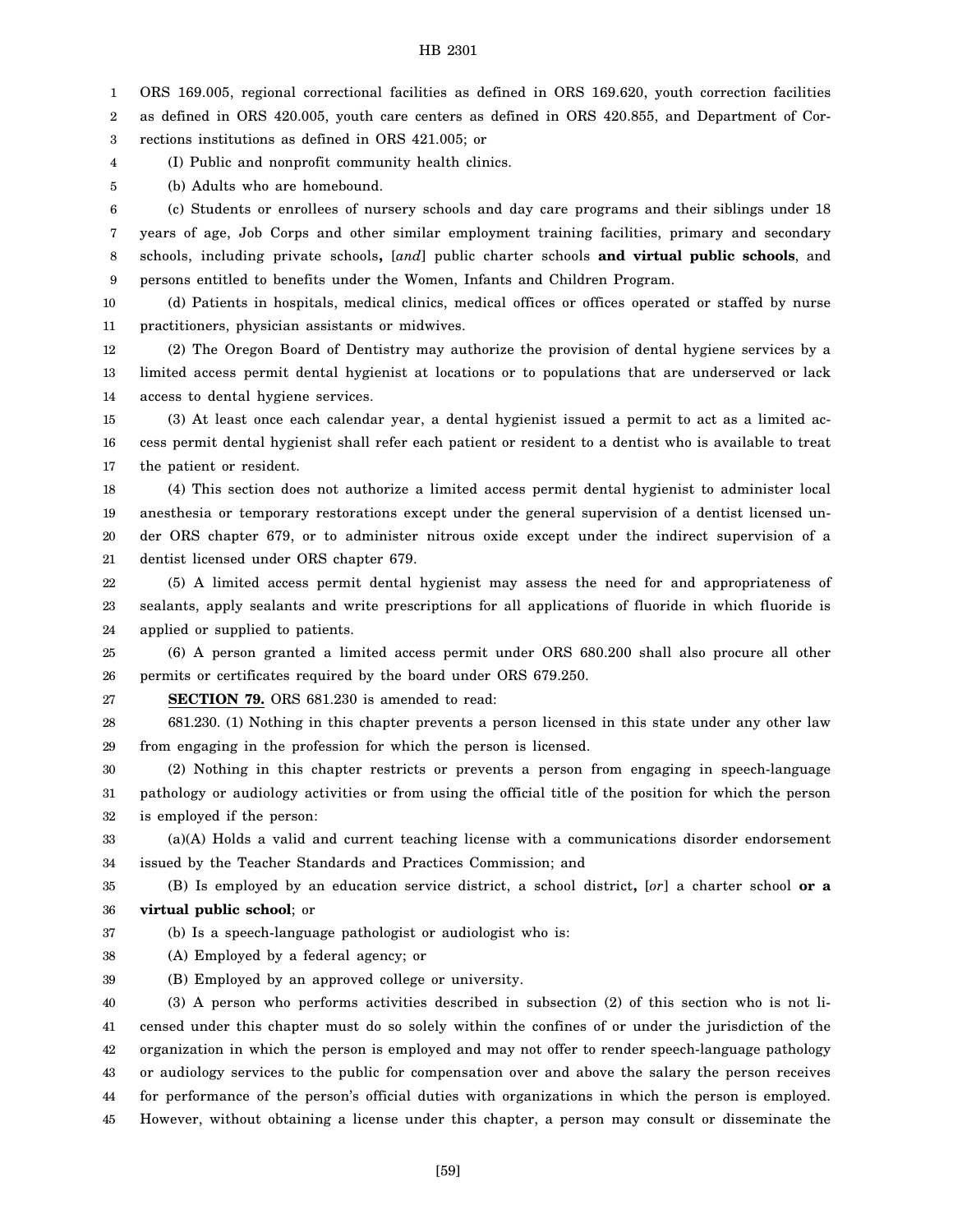1 ORS 169.005, regional correctional facilities as defined in ORS 169.620, youth correction facilities

2 as defined in ORS 420.005, youth care centers as defined in ORS 420.855, and Department of Cor-

3 rections institutions as defined in ORS 421.005; or

4 (I) Public and nonprofit community health clinics.

5 (b) Adults who are homebound.

6 7 8 9 (c) Students or enrollees of nursery schools and day care programs and their siblings under 18 years of age, Job Corps and other similar employment training facilities, primary and secondary schools, including private schools**,** [*and*] public charter schools **and virtual public schools**, and persons entitled to benefits under the Women, Infants and Children Program.

10 11 (d) Patients in hospitals, medical clinics, medical offices or offices operated or staffed by nurse practitioners, physician assistants or midwives.

12 13 14 (2) The Oregon Board of Dentistry may authorize the provision of dental hygiene services by a limited access permit dental hygienist at locations or to populations that are underserved or lack access to dental hygiene services.

15 16 17 (3) At least once each calendar year, a dental hygienist issued a permit to act as a limited access permit dental hygienist shall refer each patient or resident to a dentist who is available to treat the patient or resident.

18 19 20 21 (4) This section does not authorize a limited access permit dental hygienist to administer local anesthesia or temporary restorations except under the general supervision of a dentist licensed under ORS chapter 679, or to administer nitrous oxide except under the indirect supervision of a dentist licensed under ORS chapter 679.

22 23 24 (5) A limited access permit dental hygienist may assess the need for and appropriateness of sealants, apply sealants and write prescriptions for all applications of fluoride in which fluoride is applied or supplied to patients.

25 26 (6) A person granted a limited access permit under ORS 680.200 shall also procure all other permits or certificates required by the board under ORS 679.250.

27 **SECTION 79.** ORS 681.230 is amended to read:

28 29 681.230. (1) Nothing in this chapter prevents a person licensed in this state under any other law from engaging in the profession for which the person is licensed.

30 31 32 (2) Nothing in this chapter restricts or prevents a person from engaging in speech-language pathology or audiology activities or from using the official title of the position for which the person is employed if the person:

33 34 (a)(A) Holds a valid and current teaching license with a communications disorder endorsement issued by the Teacher Standards and Practices Commission; and

35 36 (B) Is employed by an education service district, a school district**,** [*or*] a charter school **or a virtual public school**; or

37 (b) Is a speech-language pathologist or audiologist who is:

38 (A) Employed by a federal agency; or

39 (B) Employed by an approved college or university.

40 41 42 43 44 45 (3) A person who performs activities described in subsection (2) of this section who is not licensed under this chapter must do so solely within the confines of or under the jurisdiction of the organization in which the person is employed and may not offer to render speech-language pathology or audiology services to the public for compensation over and above the salary the person receives for performance of the person's official duties with organizations in which the person is employed. However, without obtaining a license under this chapter, a person may consult or disseminate the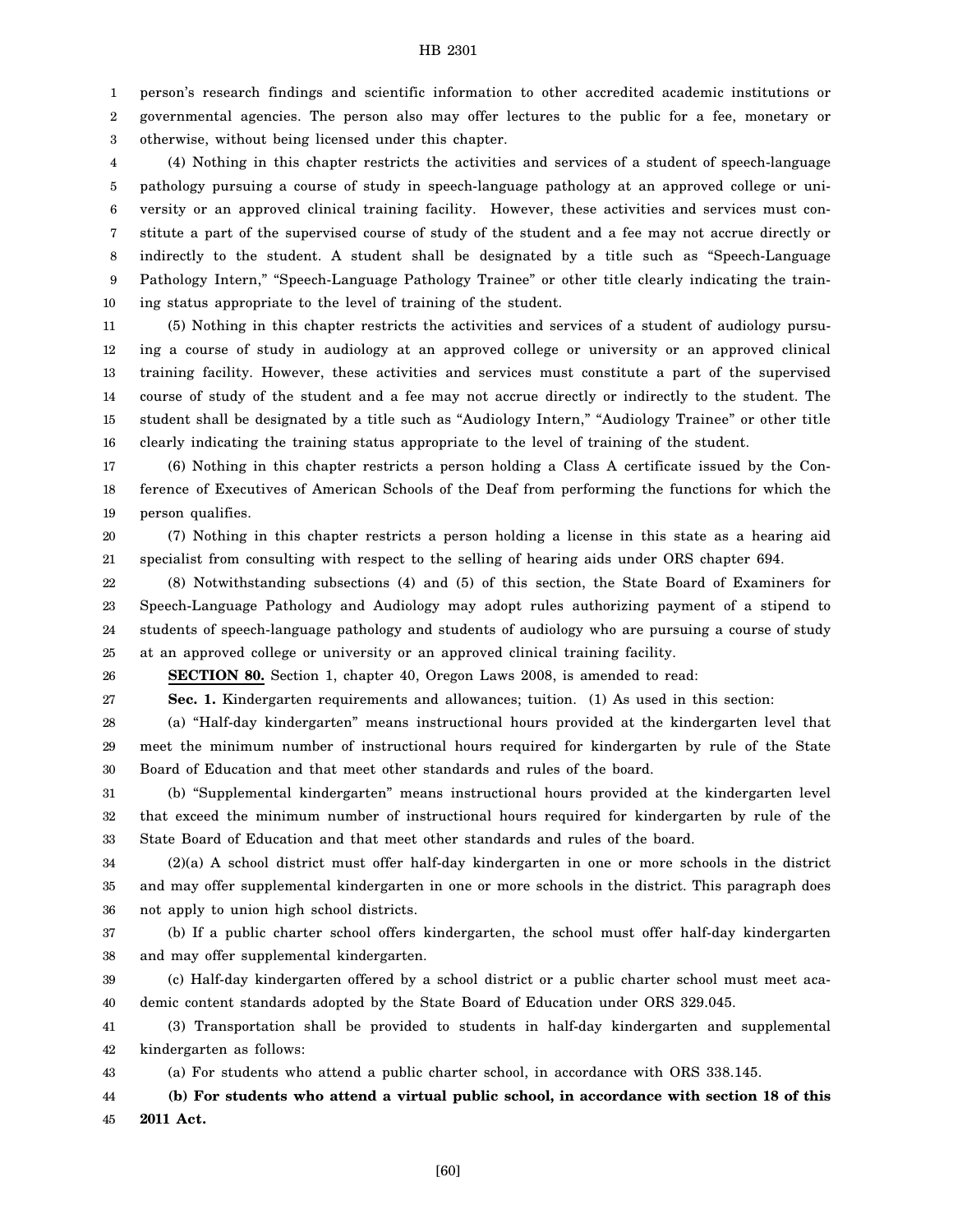1 2 3 person's research findings and scientific information to other accredited academic institutions or governmental agencies. The person also may offer lectures to the public for a fee, monetary or otherwise, without being licensed under this chapter.

4 5 6 7 8 9 10 (4) Nothing in this chapter restricts the activities and services of a student of speech-language pathology pursuing a course of study in speech-language pathology at an approved college or university or an approved clinical training facility. However, these activities and services must constitute a part of the supervised course of study of the student and a fee may not accrue directly or indirectly to the student. A student shall be designated by a title such as "Speech-Language Pathology Intern," "Speech-Language Pathology Trainee" or other title clearly indicating the training status appropriate to the level of training of the student.

11 12 13 14 15 16 (5) Nothing in this chapter restricts the activities and services of a student of audiology pursuing a course of study in audiology at an approved college or university or an approved clinical training facility. However, these activities and services must constitute a part of the supervised course of study of the student and a fee may not accrue directly or indirectly to the student. The student shall be designated by a title such as "Audiology Intern," "Audiology Trainee" or other title clearly indicating the training status appropriate to the level of training of the student.

17 18 19 (6) Nothing in this chapter restricts a person holding a Class A certificate issued by the Conference of Executives of American Schools of the Deaf from performing the functions for which the person qualifies.

20 21 (7) Nothing in this chapter restricts a person holding a license in this state as a hearing aid specialist from consulting with respect to the selling of hearing aids under ORS chapter 694.

22 23 24 25 (8) Notwithstanding subsections (4) and (5) of this section, the State Board of Examiners for Speech-Language Pathology and Audiology may adopt rules authorizing payment of a stipend to students of speech-language pathology and students of audiology who are pursuing a course of study at an approved college or university or an approved clinical training facility.

**SECTION 80.** Section 1, chapter 40, Oregon Laws 2008, is amended to read:

26

27 **Sec. 1.** Kindergarten requirements and allowances; tuition. (1) As used in this section:

28 29 30 (a) "Half-day kindergarten" means instructional hours provided at the kindergarten level that meet the minimum number of instructional hours required for kindergarten by rule of the State Board of Education and that meet other standards and rules of the board.

31 32 33 (b) "Supplemental kindergarten" means instructional hours provided at the kindergarten level that exceed the minimum number of instructional hours required for kindergarten by rule of the State Board of Education and that meet other standards and rules of the board.

34 35 36 (2)(a) A school district must offer half-day kindergarten in one or more schools in the district and may offer supplemental kindergarten in one or more schools in the district. This paragraph does not apply to union high school districts.

37 38 (b) If a public charter school offers kindergarten, the school must offer half-day kindergarten and may offer supplemental kindergarten.

39 40 (c) Half-day kindergarten offered by a school district or a public charter school must meet academic content standards adopted by the State Board of Education under ORS 329.045.

41 42 (3) Transportation shall be provided to students in half-day kindergarten and supplemental kindergarten as follows:

43 (a) For students who attend a public charter school, in accordance with ORS 338.145.

44 45 **(b) For students who attend a virtual public school, in accordance with section 18 of this 2011 Act.**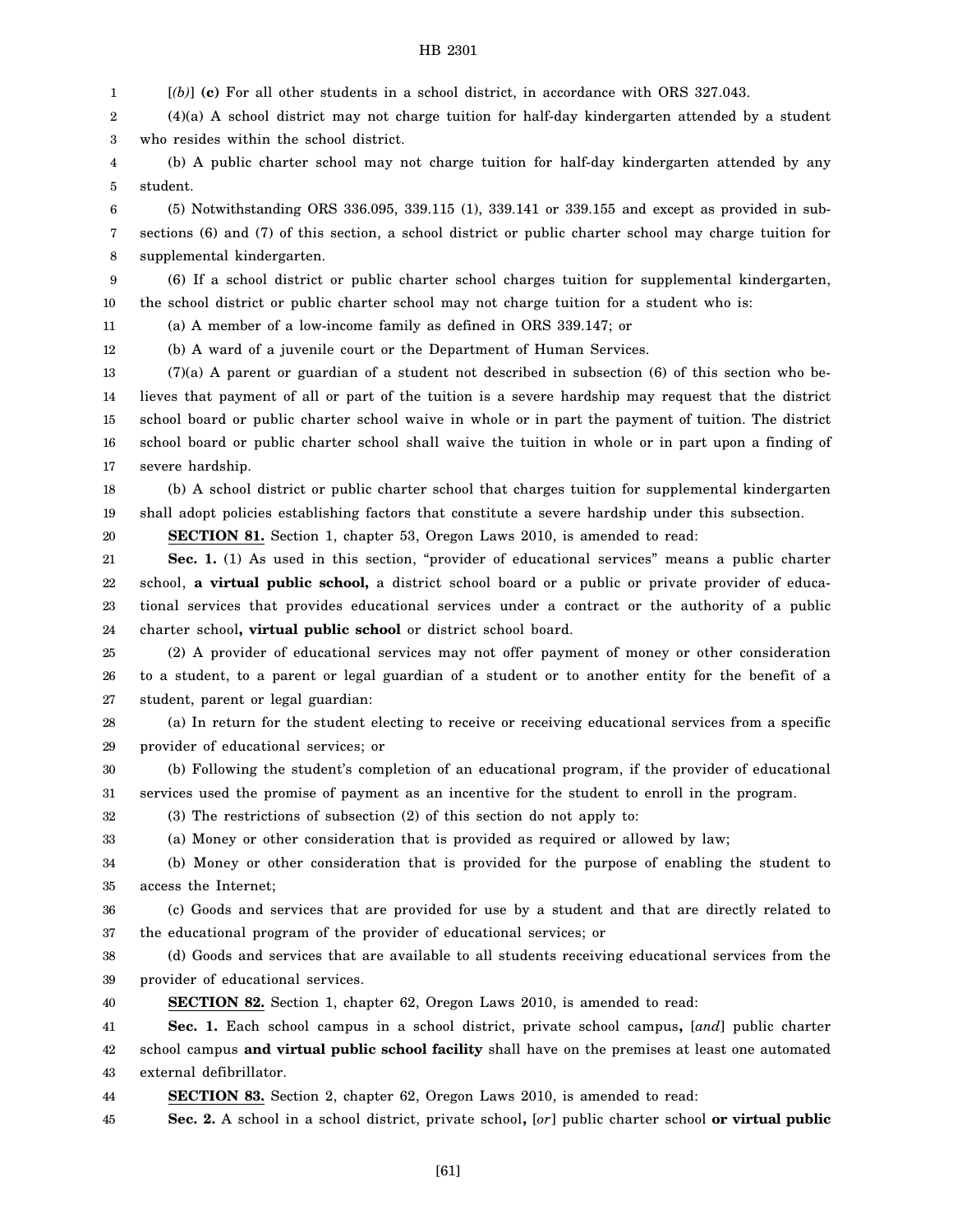1 [*(b)*] **(c)** For all other students in a school district, in accordance with ORS 327.043.

2 3 (4)(a) A school district may not charge tuition for half-day kindergarten attended by a student who resides within the school district.

4 5 (b) A public charter school may not charge tuition for half-day kindergarten attended by any student.

6 7 8 (5) Notwithstanding ORS 336.095, 339.115 (1), 339.141 or 339.155 and except as provided in subsections (6) and (7) of this section, a school district or public charter school may charge tuition for supplemental kindergarten.

9 10 (6) If a school district or public charter school charges tuition for supplemental kindergarten, the school district or public charter school may not charge tuition for a student who is:

11 (a) A member of a low-income family as defined in ORS 339.147; or

12 (b) A ward of a juvenile court or the Department of Human Services.

13 14 15 16 17  $(7)(a)$  A parent or guardian of a student not described in subsection  $(6)$  of this section who believes that payment of all or part of the tuition is a severe hardship may request that the district school board or public charter school waive in whole or in part the payment of tuition. The district school board or public charter school shall waive the tuition in whole or in part upon a finding of severe hardship.

18 19 (b) A school district or public charter school that charges tuition for supplemental kindergarten shall adopt policies establishing factors that constitute a severe hardship under this subsection.

20 **SECTION 81.** Section 1, chapter 53, Oregon Laws 2010, is amended to read:

21 22 23 24 Sec. 1. (1) As used in this section, "provider of educational services" means a public charter school, **a virtual public school,** a district school board or a public or private provider of educational services that provides educational services under a contract or the authority of a public charter school**, virtual public school** or district school board.

25 26 27 (2) A provider of educational services may not offer payment of money or other consideration to a student, to a parent or legal guardian of a student or to another entity for the benefit of a student, parent or legal guardian:

28 29 (a) In return for the student electing to receive or receiving educational services from a specific provider of educational services; or

30 31 (b) Following the student's completion of an educational program, if the provider of educational services used the promise of payment as an incentive for the student to enroll in the program.

32 (3) The restrictions of subsection (2) of this section do not apply to:

33 (a) Money or other consideration that is provided as required or allowed by law;

34 35 (b) Money or other consideration that is provided for the purpose of enabling the student to access the Internet;

36 37 (c) Goods and services that are provided for use by a student and that are directly related to the educational program of the provider of educational services; or

38 39 (d) Goods and services that are available to all students receiving educational services from the provider of educational services.

40 **SECTION 82.** Section 1, chapter 62, Oregon Laws 2010, is amended to read:

41 42 43 **Sec. 1.** Each school campus in a school district, private school campus**,** [*and*] public charter school campus **and virtual public school facility** shall have on the premises at least one automated external defibrillator.

44 **SECTION 83.** Section 2, chapter 62, Oregon Laws 2010, is amended to read:

45 **Sec. 2.** A school in a school district, private school**,** [*or*] public charter school **or virtual public**